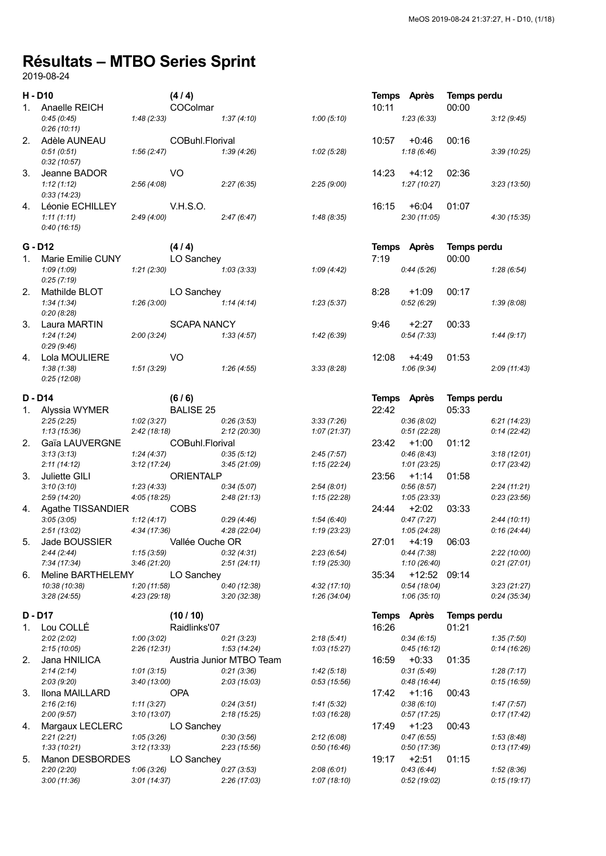## Résultats – MTBO Series Sprint

2019-08-24

| H - D10   |                           |                           | (4/4)              |                           |                           |       | Temps Après               | Temps perdu |                             |
|-----------|---------------------------|---------------------------|--------------------|---------------------------|---------------------------|-------|---------------------------|-------------|-----------------------------|
| 1.        | Anaelle REICH             |                           | COColmar           |                           |                           | 10:11 |                           | 00:00       |                             |
|           | 0:45(0:45)                | 1:48(2:33)                |                    | 1:37(4:10)                | 1:00(5:10)                |       | 1:23(6:33)                |             | 3:12(9:45)                  |
|           | 0:26(10:11)               |                           |                    |                           |                           |       |                           |             |                             |
|           | 2. Adèle AUNEAU           |                           | COBuhl.Florival    |                           |                           | 10:57 | $+0:46$                   | 00:16       |                             |
|           | 0:51(0:51)                | 1:56(2:47)                |                    | 1:39(4:26)                | 1:02(5:28)                |       | 1:18(6:46)                |             | 3:39(10:25)                 |
|           | 0:32(10:57)               |                           |                    |                           |                           |       |                           |             |                             |
| 3.        | Jeanne BADOR              |                           | V <sub>O</sub>     |                           |                           |       | $14:23 +4:12$             | 02:36       |                             |
|           | 1:12(1:12)                | 2:56(4:08)                |                    | 2:27(6:35)                | 2:25(9:00)                |       | 1:27(10:27)               |             | 3:23(13:50)                 |
|           | 0:33(14:23)               |                           |                    |                           |                           |       |                           |             |                             |
| 4.        | Léonie ECHILLEY           |                           | <b>V.H.S.O.</b>    |                           |                           | 16:15 | $+6:04$                   | 01:07       |                             |
|           | 1:11(1:11)                | 2:49(4:00)                |                    | 2:47(6:47)                | 1:48 (8:35)               |       | 2:30(11:05)               |             | 4:30(15:35)                 |
|           | 0:40(16:15)               |                           |                    |                           |                           |       |                           |             |                             |
| $G - D12$ |                           |                           | (4/4)              |                           |                           |       | Temps Après               | Temps perdu |                             |
| 1.        | Marie Emilie CUNY         |                           | LO Sanchey         |                           |                           | 7:19  |                           | 00:00       |                             |
|           | 1:09(1:09)                | 1:21(2:30)                |                    | 1:03(3:33)                | 1:09(4:42)                |       | 0:44(5:26)                |             | 1:28(6:54)                  |
|           | 0:25(7:19)                |                           |                    |                           |                           |       |                           |             |                             |
| 2.        | Mathilde BLOT             |                           | LO Sanchey         |                           |                           | 8:28  | $+1:09$                   | 00:17       |                             |
|           | 1:34(1:34)                | 1:26(3:00)                |                    | 1:14(4:14)                | 1:23(5:37)                |       | 0.52(6.29)                |             | 1:39(8:08)                  |
|           | 0:20(8:28)                |                           |                    |                           |                           |       |                           |             |                             |
| 3.        | Laura MARTIN              |                           | <b>SCAPA NANCY</b> |                           |                           | 9:46  | $+2:27$                   | 00:33       |                             |
|           | 1:24(1:24)                | 2:00(3:24)                |                    | 1:33 (4:57)               | 1:42(6:39)                |       | 0:54(7:33)                |             | 1:44(9:17)                  |
|           | 0:29(9:46)                |                           |                    |                           |                           |       |                           |             |                             |
| 4.        | Lola MOULIERE             |                           | V <sub>O</sub>     |                           |                           | 12:08 | $+4:49$                   | 01:53       |                             |
|           | 1:38(1:38)                | 1:51(3:29)                |                    | 1:26 (4:55)               | 3:33(8:28)                |       | 1:06(9:34)                |             | 2:09(11:43)                 |
|           | 0:25(12:08)               |                           |                    |                           |                           |       |                           |             |                             |
|           |                           |                           |                    |                           |                           |       |                           |             |                             |
| D - D14   |                           |                           | (6/6)              |                           |                           |       | Temps Après               | Temps perdu |                             |
|           | 1. Alyssia WYMER          |                           | <b>BALISE 25</b>   |                           |                           | 22:42 |                           | 05:33       |                             |
|           | 2:25(2:25)                | 1:02(3:27)                |                    | 0:26(3:53)                | 3:33(7:26)                |       | 0:36(8:02)                |             | 6:21(14:23)                 |
|           | 1:13(15:36)               | 2:42(18:18)               |                    | 2:12(20:30)               | 1:07(21:37)               |       | 0:51(22:28)               |             | 0:14(22:42)                 |
| 2.        | Gaïa LAUVERGNE            |                           | COBuhl.Florival    |                           |                           | 23:42 | $+1:00$                   | 01:12       |                             |
|           | 3:13(3:13)<br>2:11(14:12) | 1:24(4:37)<br>3:12(17:24) |                    | 0:35(5:12)<br>3:45(21:09) | 2:45(7:57)<br>1:15(22:24) |       | 0:46(8:43)<br>1:01(23:25) |             | 3:18(12:01)<br>0:17(23:42)  |
| 3.        | Juliette GILI             |                           | <b>ORIENTALP</b>   |                           |                           |       | $23:56 +1:14$             | 01:58       |                             |
|           | 3:10(3:10)                | 1:23(4:33)                |                    | 0:34(5:07)                | 2:54(8:01)                |       | 0.56(8.57)                |             | 2:24(11:21)                 |
|           | 2:59(14:20)               | 4:05 (18:25)              |                    | 2:48(21:13)               | 1:15(22:28)               |       | 1:05(23:33)               |             | 0:23(23:56)                 |
| 4.        | Agathe TISSANDIER         |                           | <b>COBS</b>        |                           |                           |       | 24:44 +2:02               | 03:33       |                             |
|           | 3:05(3:05)                | 1:12(4:17)                |                    | 0:29(4:46)                | 1:54(6:40)                |       | 0:47(7:27)                |             | 2:44(10:11)                 |
|           | 2:51(13:02)               | 4:34 (17:36)              |                    | 4:28 (22:04)              | 1:19(23:23)               |       | 1:05(24:28)               |             | 0:16(24:44)                 |
| 5.        | Jade BOUSSIER             |                           | Vallée Ouche OR    |                           |                           | 27:01 | $+4:19$                   | 06:03       |                             |
|           | 2:44(2:44)                | 1:15(3:59)                |                    | 0:32(4:31)                | 2:23(6:54)                |       | 0:44(7:38)                |             | 2:22(10:00)                 |
|           | 7:34 (17:34)              | 3:46(21:20)               |                    | 2:51(24:11)               | 1:19(25:30)               |       | 1:10(26:40)               |             | 0:21(27:01)                 |
| 6.        | Meline BARTHELEMY         |                           | LO Sanchey         |                           |                           | 35:34 | +12:52 09:14              |             |                             |
|           | 10:38 (10:38)             | 1:20(11:58)               |                    | 0:40(12:38)               | 4:32(17:10)               |       | 0:54(18:04)               |             | 3:23(21:27)                 |
|           | 3:28(24:55)               | 4:23(29:18)               |                    | 3:20(32:38)               | 1:26(34:04)               |       | 1:06(35:10)               |             | 0:24(35:34)                 |
|           |                           |                           |                    |                           |                           |       |                           |             |                             |
| D - D17   |                           |                           | (10/10)            |                           |                           |       | Temps Après               | Temps perdu |                             |
| 1.        | Lou COLLÉ                 |                           | Raidlinks'07       |                           |                           | 16:26 |                           | 01:21       |                             |
|           | 2:02(2:02)                | 1:00(3:02)                |                    | 0:21(3:23)                | 2:18(5:41)                |       | 0:34(6:15)                |             | 1:35(7:50)                  |
|           | 2:15(10:05)               | 2:26(12:31)               |                    | 1:53(14:24)               | 1:03(15:27)               |       | 0:45(16:12)               |             | 0:14(16:26)                 |
| 2.        | Jana HNILICA              |                           |                    | Austria Junior MTBO Team  |                           | 16:59 | $+0:33$                   | 01:35       |                             |
|           | 2:14(2:14)                | 1:01(3:15)                |                    | 0:21(3:36)                | 1:42(5:18)                |       | 0:31(5:49)                |             | 1:28(7:17)                  |
|           | 2:03(9:20)                | 3:40(13:00)               |                    | 2:03(15:03)               | 0:53(15:56)               |       | 0:48(16:44)               |             | 0:15 (16:59)                |
| 3.        | Ilona MAILLARD            |                           | <b>OPA</b>         |                           |                           | 17:42 | $+1:16$                   | 00:43       |                             |
|           | 2:16(2:16)                | 1:11(3:27)                |                    | 0:24(3:51)                | 1:41(5:32)                |       | 0:38(6:10)                |             | 1:47(7:57)                  |
|           | 2:00(9:57)                | 3:10(13:07)               |                    | 2:18(15:25)               | 1:03 (16:28)              |       | 0:57(17:25)               |             | 0:17(17:42)                 |
| 4.        | Margaux LECLERC           |                           | LO Sanchey         |                           |                           | 17:49 | $+1:23$                   | 00:43       |                             |
|           | 2:21(2:21)<br>1:33(10:21) | 1:05(3:26)<br>3:12(13:33) |                    | 0:30(3:56)<br>2:23(15:56) | 2:12(6:08)<br>0.50(16.46) |       | 0:47(6:55)<br>0:50(17:36) |             | 1:53 (8:48)<br>0:13 (17:49) |
| 5.        | Manon DESBORDES           |                           | LO Sanchey         |                           |                           | 19:17 | $+2:51$                   | 01:15       |                             |
|           | 2:20(2:20)                | 1:06(3:26)                |                    | 0:27(3:53)                | 2:08(6:01)                |       | 0:43(6:44)                |             | 1:52(8:36)                  |
|           | 3:00(11:36)               | 3:01(14:37)               |                    | 2:26(17:03)               | 1:07(18:10)               |       | 0:52(19:02)               |             | 0:15(19:17)                 |
|           |                           |                           |                    |                           |                           |       |                           |             |                             |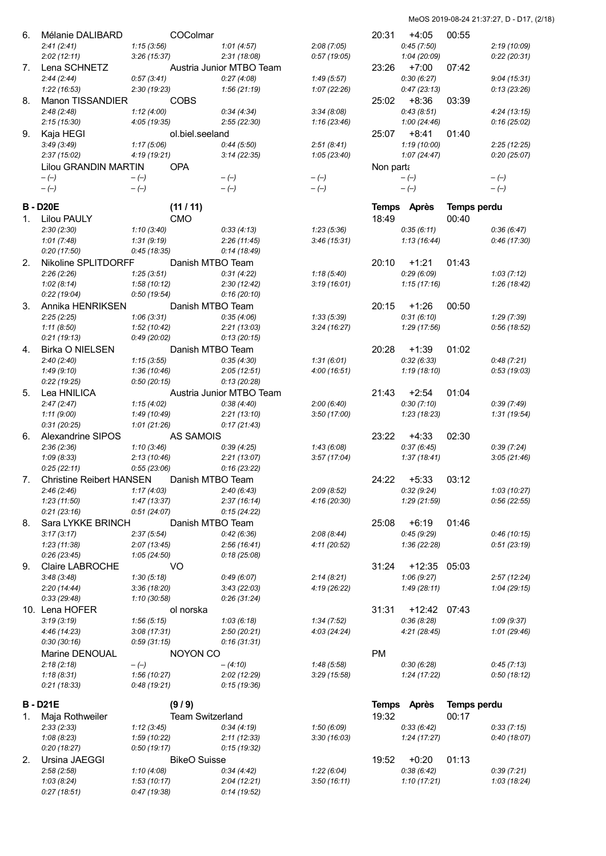| 6. | Mélanie DALIBARD                |              | COColmar                |                          |              | 20:31     | $+4:05$      | 00:55              |              |
|----|---------------------------------|--------------|-------------------------|--------------------------|--------------|-----------|--------------|--------------------|--------------|
|    |                                 |              |                         |                          |              |           |              |                    |              |
|    | 2:41(2:41)                      | 1:15(3:56)   |                         | 1:01(4:57)               | 2:08(7:05)   |           | 0:45(7:50)   |                    | 2:19 (10:09) |
|    | 2:02(12:11)                     | 3:26(15:37)  |                         | 2:31(18:08)              | 0:57(19:05)  |           | 1:04 (20:09) |                    | 0:22(20:31)  |
| 7. | Lena SCHNETZ                    |              |                         | Austria Junior MTBO Team |              | 23:26     | $+7:00$      | 07:42              |              |
|    | 2:44(2:44)                      | 0:57(3:41)   |                         | 0:27(4:08)               | 1:49(5:57)   |           | 0:30(6:27)   |                    | 9:04(15:31)  |
|    | 1:22(16:53)                     | 2:30(19:23)  |                         | 1:56(21:19)              | 1:07(22:26)  |           | 0:47(23:13)  |                    | 0:13(23:26)  |
| 8. | Manon TISSANDIER                |              | <b>COBS</b>             |                          |              | 25:02     | +8:36        | 03:39              |              |
|    |                                 |              |                         |                          |              |           |              |                    |              |
|    | 2:48(2:48)                      | 1:12(4:00)   |                         | 0:34(4:34)               | 3:34(8:08)   |           | 0:43(8:51)   |                    | 4:24(13:15)  |
|    | 2:15(15:30)                     | 4:05(19:35)  |                         | 2:55(22:30)              | 1:16(23:46)  |           | 1:00(24:46)  |                    | 0:16(25:02)  |
| 9. | Kaja HEGI                       |              | ol.biel.seeland         |                          |              | 25:07     | $+8:41$      | 01:40              |              |
|    | 3:49(3:49)                      | 1:17(5:06)   |                         | 0:44(5:50)               | 2:51(8:41)   |           | 1:19(10:00)  |                    | 2:25(12:25)  |
|    | 2:37(15:02)                     | 4:19 (19:21) |                         | 3:14(22:35)              | 1:05(23:40)  |           | 1:07(24:47)  |                    | 0:20(25:07)  |
|    |                                 |              | <b>OPA</b>              |                          |              |           |              |                    |              |
|    | Lilou GRANDIN MARTIN            |              |                         |                          |              | Non parta |              |                    |              |
|    | $-(-)$                          | $-(-)$       |                         | $-(-)$                   | $-(-)$       |           | $-(-)$       |                    | $-(-)$       |
|    | $-(-)$                          | $-(-)$       |                         | $-(-)$                   | $-(-)$       |           | $-(-)$       |                    | $-(-)$       |
|    |                                 |              |                         |                          |              |           |              |                    |              |
|    | <b>B-D20E</b>                   |              | (11/11)                 |                          |              |           | Temps Après  | <b>Temps perdu</b> |              |
| 1. | <b>Lilou PAULY</b>              |              | <b>CMO</b>              |                          |              | 18:49     |              | 00:40              |              |
|    | 2:30(2:30)                      | 1:10(3:40)   |                         | 0:33(4:13)               | 1:23(5:36)   |           | 0:35(6:11)   |                    | 0:36(6:47)   |
|    | 1:01(7:48)                      | 1:31(9:19)   |                         | 2:26(11:45)              | 3:46(15:31)  |           | 1:13(16:44)  |                    | 0:46 (17:30) |
|    |                                 |              |                         |                          |              |           |              |                    |              |
|    | 0:20(17:50)                     | 0:45(18:35)  |                         | 0:14(18:49)              |              |           |              |                    |              |
| 2. | Nikoline SPLITDORFF             |              | Danish MTBO Team        |                          |              | 20:10     | $+1:21$      | 01:43              |              |
|    | 2:26(2:26)                      | 1:25(3:51)   |                         | 0:31(4:22)               | 1:18(5:40)   |           | 0:29(6:09)   |                    | 1:03(7:12)   |
|    | 1:02(8:14)                      | 1:58(10:12)  |                         | 2:30(12:42)              | 3:19(16:01)  |           | 1:15(17:16)  |                    | 1:26 (18:42) |
|    | 0:22(19:04)                     | 0:50(19:54)  |                         | 0:16(20:10)              |              |           |              |                    |              |
|    |                                 |              |                         |                          |              |           |              |                    |              |
| 3. | Annika HENRIKSEN                |              | Danish MTBO Team        |                          |              | 20:15     | +1:26        | 00:50              |              |
|    | 2:25(2:25)                      | 1:06(3:31)   |                         | 0:35(4:06)               | 1:33(5:39)   |           | 0:31(6:10)   |                    | 1:29 (7:39)  |
|    | 1:11(8:50)                      | 1:52(10:42)  |                         | 2:21(13:03)              | 3:24(16:27)  |           | 1:29 (17:56) |                    | 0:56(18:52)  |
|    | 0:21(19:13)                     | 0:49(20:02)  |                         | 0:13(20:15)              |              |           |              |                    |              |
| 4. | <b>Birka O NIELSEN</b>          |              | Danish MTBO Team        |                          |              | 20:28     | $+1:39$      | 01:02              |              |
|    |                                 |              |                         |                          |              |           |              |                    |              |
|    | 2:40(2:40)                      | 1:15(3:55)   |                         | 0:35(4:30)               | 1:31(6:01)   |           | 0:32(6:33)   |                    | 0:48(7:21)   |
|    | 1:49(9:10)                      | 1:36(10:46)  |                         | 2:05(12:51)              | 4:00(16:51)  |           | 1:19 (18:10) |                    | 0:53(19:03)  |
|    | 0:22(19:25)                     | 0:50(20:15)  |                         | 0:13(20:28)              |              |           |              |                    |              |
| 5. | Lea HNILICA                     |              |                         | Austria Junior MTBO Team |              | 21:43     | $+2:54$      | 01:04              |              |
|    | 2:47(2:47)                      | 1:15(4:02)   |                         | 0:38(4:40)               | 2:00(6:40)   |           | 0:30(7:10)   |                    | 0:39(7:49)   |
|    |                                 |              |                         |                          |              |           |              |                    |              |
|    | 1:11(9:00)                      | 1:49 (10:49) |                         | 2:21(13:10)              | 3:50(17:00)  |           | 1:23(18:23)  |                    | 1:31(19:54)  |
|    | 0:31(20:25)                     | 1:01(21:26)  |                         | 0:17(21:43)              |              |           |              |                    |              |
| 6. | Alexandrine SIPOS               |              | <b>AS SAMOIS</b>        |                          |              | 23:22     | $+4:33$      | 02:30              |              |
|    | 2:36(2:36)                      | 1:10(3:46)   |                         | 0:39(4:25)               | 1:43 (6:08)  |           | 0:37(6:45)   |                    | 0:39(7:24)   |
|    | 1:09(8:33)                      | 2:13(10:46)  |                         | 2:21(13:07)              | 3:57(17:04)  |           | 1:37(18:41)  |                    | 3:05(21:46)  |
|    | 0:25(22:11)                     | 0:55(23:06)  |                         | 0:16(23:22)              |              |           |              |                    |              |
|    |                                 |              |                         |                          |              |           |              |                    |              |
| 7. | <b>Christine Reibert HANSEN</b> |              | Danish MTBO Team        |                          |              | 24:22     | $+5:33$      | 03:12              |              |
|    | 2:46(2:46)                      | 1:17(4:03)   |                         | 2:40(6:43)               | 2:09(8:52)   |           | 0:32(9:24)   |                    | 1:03(10:27)  |
|    | 1:23(11:50)                     | 1:47(13:37)  |                         | 2:37(16:14)              | 4:16 (20:30) |           | 1:29(21:59)  |                    | 0:56(22:55)  |
|    | 0:21(23:16)                     | 0:51(24:07)  |                         | 0:15(24:22)              |              |           |              |                    |              |
| 8. | Sara LYKKE BRINCH               |              |                         |                          |              | 25:08     | $+6:19$      | 01:46              |              |
|    |                                 |              | Danish MTBO Team        |                          |              |           |              |                    |              |
|    | 3:17(3:17)                      | 2:37(5:54)   |                         | 0:42(6:36)               | 2:08(8:44)   |           | 0:45(9:29)   |                    | 0:46(10:15)  |
|    | 1:23(11:38)                     | 2:07(13:45)  |                         | 2:56(16:41)              | 4:11 (20:52) |           | 1:36(22:28)  |                    | 0:51(23:19)  |
|    | 0:26(23:45)                     | 1:05(24:50)  |                         | 0:18(25:08)              |              |           |              |                    |              |
| 9. | Claire LABROCHE                 |              | VO                      |                          |              | 31:24     | $+12:35$     | 05:03              |              |
|    | 3:48(3:48)                      | 1:30(5:18)   |                         | 0:49(6:07)               | 2:14(8:21)   |           | 1:06(9:27)   |                    | 2:57(12:24)  |
|    | 2:20(14:44)                     | 3:36(18:20)  |                         | 3:43(22:03)              | 4:19 (26:22) |           | 1:49(28:11)  |                    | 1:04(29:15)  |
|    |                                 |              |                         |                          |              |           |              |                    |              |
|    | 0:33(29:48)                     | 1:10 (30:58) |                         | 0:26(31:24)              |              |           |              |                    |              |
|    | 10. Lena HOFER                  |              | ol norska               |                          |              | 31:31     | +12:42 07:43 |                    |              |
|    | 3:19(3:19)                      | 1:56(5:15)   |                         | 1:03(6:18)               | 1:34(7:52)   |           | 0:36(8:28)   |                    | 1:09(9:37)   |
|    | 4:46 (14:23)                    | 3:08(17:31)  |                         | 2:50(20:21)              | 4:03(24:24)  |           | 4:21(28:45)  |                    | 1:01(29:46)  |
|    |                                 |              |                         |                          |              |           |              |                    |              |
|    | 0:30(30:16)                     | 0:59(31:15)  |                         | 0:16(31:31)              |              |           |              |                    |              |
|    | Marine DENOUAL                  |              | NOYON CO                |                          |              | <b>PM</b> |              |                    |              |
|    | 2:18(2:18)                      | $-(-)$       |                         | $-(4:10)$                | 1:48(5:58)   |           | 0:30(6:28)   |                    | 0:45(7:13)   |
|    | 1:18(8:31)                      | 1:56(10:27)  |                         | 2:02(12:29)              | 3:29(15:58)  |           | 1:24(17:22)  |                    | 0:50(18:12)  |
|    | 0:21(18:33)                     | 0:48(19:21)  |                         | 0:15(19:36)              |              |           |              |                    |              |
|    |                                 |              |                         |                          |              |           |              |                    |              |
|    | <b>B-D21E</b>                   |              | (9/9)                   |                          |              |           | Temps Après  | Temps perdu        |              |
|    |                                 |              |                         |                          |              |           |              |                    |              |
| 1. | Maja Rothweiler                 |              | <b>Team Switzerland</b> |                          |              | 19:32     |              | 00:17              |              |
|    | 2:33(2:33)                      | 1:12(3:45)   |                         | 0:34(4:19)               | 1:50(6:09)   |           | 0:33(6:42)   |                    | 0:33(7:15)   |
|    | 1:08(8:23)                      | 1:59(10:22)  |                         | 2:11(12:33)              | 3:30(16:03)  |           | 1:24 (17:27) |                    | 0:40(18:07)  |
|    | 0:20(18:27)                     | 0:50(19:17)  |                         | 0:15(19:32)              |              |           |              |                    |              |
| 2. | Ursina JAEGGI                   |              | <b>BikeO</b> Suisse     |                          |              | 19:52     | $+0:20$      | 01:13              |              |
|    |                                 |              |                         |                          |              |           |              |                    |              |
|    | 2:58(2:58)                      | 1:10(4:08)   |                         | 0:34(4:42)               | 1:22(6:04)   |           | 0:38(6:42)   |                    | 0:39(7:21)   |
|    | 1:03(8:24)                      | 1:53(10:17)  |                         | 2:04(12:21)              | 3:50(16:11)  |           | 1:10(17:21)  |                    | 1:03(18:24)  |
|    | 0:27(18:51)                     | 0:47(19:38)  |                         | 0:14(19:52)              |              |           |              |                    |              |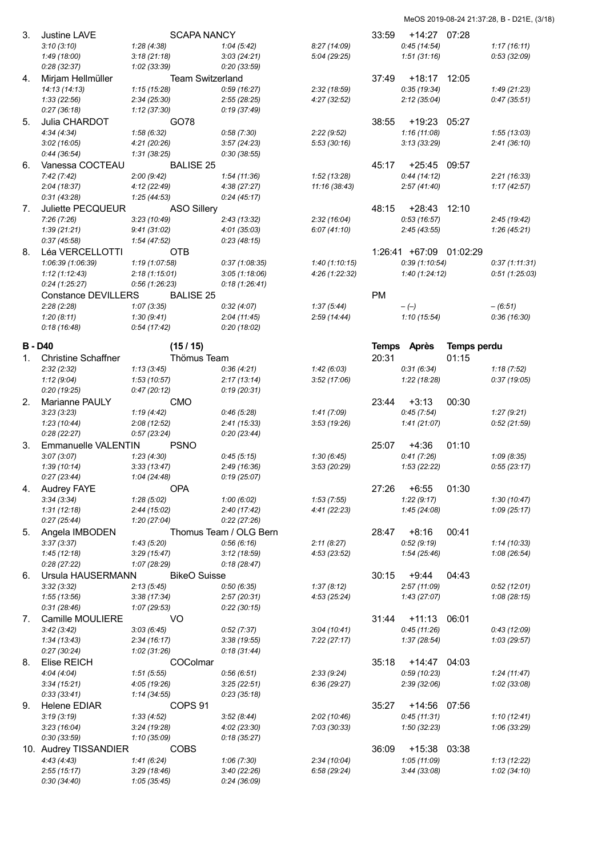| 3. | <b>Justine LAVE</b>        | <b>SCAPA NANCY</b>        |                           |                           | 33:59     | +14:27 07:28               |                    |                           |
|----|----------------------------|---------------------------|---------------------------|---------------------------|-----------|----------------------------|--------------------|---------------------------|
|    | 3:10(3:10)                 | 1:28(4:38)                | 1:04(5:42)                | 8:27 (14:09)              |           | 0:45(14:54)                |                    | 1:17(16:11)               |
|    | 1:49(18:00)                | 3:18(21:18)               | 3:03(24:21)               | 5:04(29:25)               |           | 1:51(31:16)                |                    | 0:53(32:09)               |
|    | 0:28(32:37)                | 1:02(33:39)               | 0:20(33:59)               |                           |           |                            |                    |                           |
| 4. | Mirjam Hellmüller          | <b>Team Switzerland</b>   |                           |                           | 37:49     | +18:17                     | 12:05              |                           |
|    | 14:13(14:13)               | 1:15(15:28)               | 0:59(16:27)               | 2:32 (18:59)              |           | 0:35(19:34)                |                    | 1:49(21:23)               |
|    | 1:33(22:56)                | 2:34(25:30)               | 2:55(28:25)               | 4:27(32:52)               |           | 2:12(35:04)                |                    | 0:47(35:51)               |
|    | 0:27(36:18)                | 1:12 (37:30)              | 0:19(37:49)               |                           |           |                            |                    |                           |
| 5. | Julia CHARDOT              | GO78                      |                           |                           | 38:55     | +19:23                     | 05:27              |                           |
|    | 4:34(4:34)                 | 1:58(6:32)                | 0:58(7:30)                | 2:22(9:52)                |           | 1:16(11:08)                |                    | 1:55(13:03)               |
|    | 3:02(16:05)                | 4:21 (20:26)              | 3:57(24:23)               | 5:53 (30:16)              |           | 3:13(33:29)                |                    | 2:41(36:10)               |
|    | 0:44(36:54)                | 1:31(38:25)               | 0:30(38:55)               |                           |           |                            |                    |                           |
| 6. | Vanessa COCTEAU            | <b>BALISE 25</b>          |                           |                           |           | 45:17 +25:45 09:57         |                    |                           |
|    | 7:42(7:42)                 | 2:00(9:42)                | 1:54(11:36)               | 1:52(13:28)               |           | 0:44(14:12)                |                    | 2:21(16:33)               |
|    | 2:04(18:37)                | 4:12 (22:49)              | 4:38(27:27)               | 11:16 (38:43)             |           | 2:57(41:40)                |                    | 1:17(42:57)               |
|    | 0:31(43:28)                | 1:25(44:53)               | 0:24(45:17)               |                           |           |                            |                    |                           |
| 7. | Juliette PECQUEUR          | <b>ASO Sillery</b>        |                           |                           | 48:15     | $+28:43$ 12:10             |                    |                           |
|    | 7:26(7:26)                 | 3:23(10:49)               | 2:43(13:32)               | 2:32 (16:04)              |           | 0:53(16:57)                |                    | 2:45(19:42)               |
|    | 1:39(21:21)                | 9:41(31:02)               | 4:01(35:03)               | 6:07(41:10)               |           | 2:45(43:55)                |                    | 1:26(45:21)               |
|    | 0:37(45:58)                | 1:54(47:52)               | 0:23(48:15)               |                           |           |                            |                    |                           |
| 8. | Léa VERCELLOTTI            | OTB                       |                           |                           |           | 1:26:41 +67:09 01:02:29    |                    |                           |
|    | 1:06:39 (1:06:39)          | 1:19(1:07:58)             | 0:37(1:08:35)             | 1:40(1:10:15)             |           | 0:39(1:10:54)              |                    | 0:37(1:11:31)             |
|    | 1:12(1:12:43)              | 2:18(1:15:01)             | 3:05(1:18:06)             | 4:26 (1:22:32)            |           | 1:40(1:24:12)              |                    | 0:51(1:25:03)             |
|    | 0:24(1:25:27)              | 0.56(1.26.23)             | 0:18(1:26:41)             |                           |           |                            |                    |                           |
|    | Constance DEVILLERS        | <b>BALISE 25</b>          |                           |                           | <b>PM</b> |                            |                    |                           |
|    | 2:28(2:28)                 | 1:07(3:35)                | 0:32(4:07)                | 1:37(5:44)                |           | $-(-)$                     |                    | $-(6.51)$                 |
|    | 1:20(8:11)                 | 1:30(9:41)                | 2:04(11:45)               | 2:59(14:44)               |           | 1:10(15:54)                |                    | 0:36(16:30)               |
|    | 0:18(16:48)                | 0.54(17.42)               | 0:20(18:02)               |                           |           |                            |                    |                           |
|    |                            |                           |                           |                           |           |                            |                    |                           |
|    | B - D40                    | (15/15)                   |                           |                           |           | Temps Après                | <b>Temps perdu</b> |                           |
| 1. | <b>Christine Schaffner</b> | Thömus Team               |                           |                           | 20:31     |                            | 01:15              |                           |
|    | 2:32(2:32)<br>1:12(9:04)   | 1:13(3:45)<br>1:53(10:57) | 0:36(4:21)<br>2:17(13:14) | 1:42(6:03)<br>3:52(17:06) |           | 0:31(6:34)<br>1:22 (18:28) |                    | 1:18(7:52)<br>0:37(19:05) |
|    | 0:20(19:25)                | 0:47(20:12)               | 0:19(20:31)               |                           |           |                            |                    |                           |
| 2. | Marianne PAULY             | <b>CMO</b>                |                           |                           | 23:44     | $+3:13$                    | 00:30              |                           |
|    | 3:23(3:23)                 | 1:19(4:42)                | 0:46(5:28)                | 1:41(7:09)                |           | 0:45(7:54)                 |                    | 1:27(9:21)                |
|    | 1:23(10:44)                | 2:08(12:52)               | 2:41(15:33)               | 3:53(19:26)               |           | 1:41(21:07)                |                    | 0:52(21:59)               |
|    | 0:28(22:27)                | 0:57(23:24)               | 0:20(23:44)               |                           |           |                            |                    |                           |
| 3. | <b>Emmanuelle VALENTIN</b> | <b>PSNO</b>               |                           |                           | 25:07     | $+4:36$                    | 01:10              |                           |
|    | 3:07(3:07)                 | 1:23(4:30)                | 0:45(5:15)                | 1:30(6:45)                |           | 0:41(7:26)                 |                    | 1:09(8:35)                |
|    | 1:39(10:14)                | 3:33(13:47)               | 2:49(16:36)               | 3:53 (20:29)              |           | 1:53(22:22)                |                    | 0:55(23:17)               |
|    | 0:27(23:44)                | 1:04(24:48)               | 0:19(25:07)               |                           |           |                            |                    |                           |
| 4. | <b>Audrey FAYE</b>         | OPA                       |                           |                           | 27:26     | $+6:55$                    | 01:30              |                           |
|    | 3:34(3:34)                 | 1:28(5:02)                | 1:00(6:02)                | 1:53(7:55)                |           | 1:22(9:17)                 |                    | 1:30(10:47)               |
|    | 1:31(12:18)                | 2:44(15:02)               | 2:40(17:42)               | 4:41 (22:23)              |           | 1:45(24:08)                |                    | 1:09(25:17)               |
|    | 0:27(25:44)                | 1:20(27:04)               | 0:22(27:26)               |                           |           |                            |                    |                           |
| 5. | Angela IMBODEN             |                           | Thomus Team / OLG Bern    |                           | 28:47     | $+8:16$                    | 00:41              |                           |
|    | 3:37(3:37)                 | 1:43(5:20)                | 0:56(6:16)                | 2:11(8:27)                |           | 0:52(9:19)                 |                    | 1:14(10:33)               |
|    | 1:45(12:18)                | 3:29(15:47)               | 3:12(18:59)               | 4:53 (23:52)              |           | 1:54(25:46)                |                    | 1:08 (26:54)              |
|    | 0:28(27:22)                | 1:07 (28:29)              | 0:18(28:47)               |                           |           |                            |                    |                           |
| 6. | Ursula HAUSERMANN          | <b>BikeO</b> Suisse       |                           |                           | 30:15     | $+9:44$                    | 04:43              |                           |
|    | 3:32(3:32)                 | 2:13(5:45)                | 0:50(6:35)                | 1:37(8:12)                |           | 2:57(11:09)                |                    | 0:52(12:01)               |
|    | 1:55(13:56)                | 3:38(17:34)               | 2:57(20:31)               | 4:53 (25:24)              |           | 1:43(27:07)                |                    | 1:08(28:15)               |
|    | 0:31(28:46)                | 1:07(29:53)               | 0:22(30:15)               |                           |           |                            |                    |                           |
| 7. | Camille MOULIERE           | VO                        |                           |                           | 31:44     | $+11:13$                   | 06:01              |                           |
|    | 3:42(3:42)                 | 3:03(6:45)                | 0:52(7:37)                | 3:04 (10:41)              |           | 0:45(11:26)                |                    | 0:43(12:09)               |
|    | 1:34(13:43)                | 2:34(16:17)               | 3:38(19:55)               | 7:22(27:17)               |           | 1:37(28:54)                |                    | 1:03(29:57)               |
|    | 0:27(30:24)                | 1:02(31:26)               | 0:18(31:44)               |                           |           |                            |                    |                           |
| 8. | Elise REICH                | COColmar                  |                           |                           | 35:18     | +14:47                     | 04:03              |                           |
|    | 4:04(4:04)                 | 1:51(5:55)                | 0.56(6.51)                | 2:33(9:24)                |           | 0:59(10:23)                |                    | 1:24(11:47)               |
|    | 3:34(15:21)                | 4:05 (19:26)              | 3:25(22:51)               | 6:36(29:27)               |           | 2:39(32:06)                |                    | 1:02(33:08)               |
|    | 0:33(33:41)                | 1:14(34:55)               | 0:23(35:18)               |                           |           |                            |                    |                           |
| 9. | Helene EDIAR               | COPS 91                   |                           |                           | 35:27     | +14:56                     | 07:56              |                           |
|    | 3:19(3:19)                 | 1:33(4:52)                | 3:52(8:44)                | 2:02 (10:46)              |           | 0:45(11:31)                |                    | 1:10(12:41)               |
|    | 3:23(16:04)                | 3:24(19:28)               | 4:02(23:30)               | 7:03 (30:33)              |           | 1:50(32:23)                |                    | 1:06(33:29)               |
|    | 0:30(33:59)                | 1:10 (35:09)              | 0:18(35:27)               |                           |           |                            |                    |                           |
|    | 10. Audrey TISSANDIER      | <b>COBS</b>               |                           |                           | 36:09     | $+15:38$                   | 03:38              |                           |
|    | 4:43(4:43)                 | 1:41(6:24)                | 1:06(7:30)                | 2:34(10:04)               |           | 1:05(11:09)                |                    | 1:13(12:22)               |
|    | 2:55(15:17)                | 3:29(18:46)               | 3:40(22:26)               | 6:58(29:24)               |           | 3:44(33:08)                |                    | 1:02(34:10)               |
|    | 0:30(34:40)                | 1:05(35:45)               | 0:24(36:09)               |                           |           |                            |                    |                           |
|    |                            |                           |                           |                           |           |                            |                    |                           |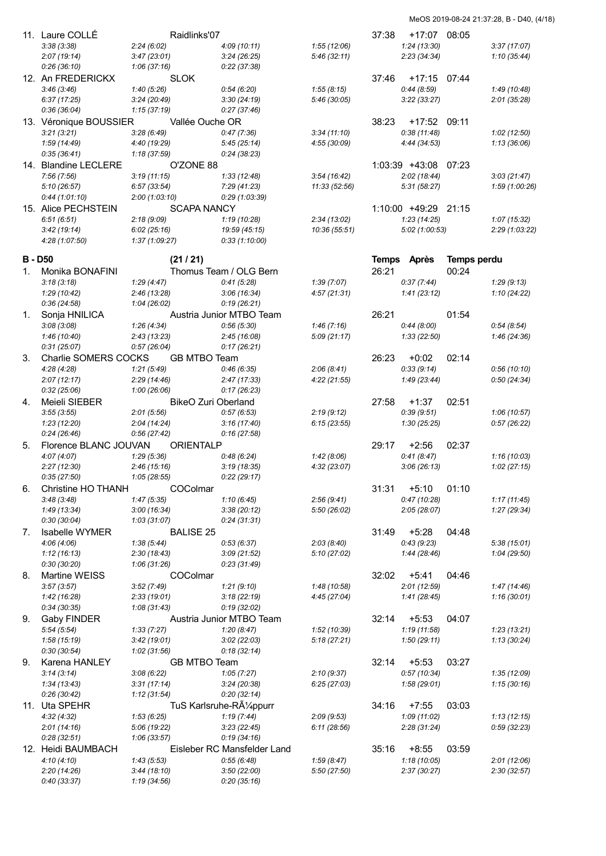|    | 11. Laure COLLE            |                              | Raidlinks'07        |                             |               | 37:38        | +17:07 08:05         |                    |                |
|----|----------------------------|------------------------------|---------------------|-----------------------------|---------------|--------------|----------------------|--------------------|----------------|
|    | 3:38(3:38)                 | 2:24(6:02)                   |                     | 4:09(10:11)                 | 1:55(12:06)   |              | 1:24(13:30)          |                    | 3:37(17:07)    |
|    | 2:07(19:14)                | 3:47(23:01)                  |                     | 3:24(26:25)                 | 5:46(32:11)   |              | 2:23(34:34)          |                    | 1:10(35:44)    |
|    | 0:26(36:10)                | 1:06(37:16)                  |                     | 0:22(37:38)                 |               |              |                      |                    |                |
|    | 12. An FREDERICKX          |                              | <b>SLOK</b>         |                             |               | 37:46        | +17:15 07:44         |                    |                |
|    | 3:46(3:46)                 | 1:40(5:26)                   |                     | 0.54(6.20)                  | 1:55(8:15)    |              | 0:44(8:59)           |                    | 1:49(10:48)    |
|    | 6:37(17:25)                | 3:24(20:49)                  |                     | 3:30(24:19)                 | 5:46 (30:05)  |              | 3:22(33:27)          |                    | 2:01(35:28)    |
|    | 0:36(36:04)                | 1:15(37:19)                  |                     | 0:27(37:46)                 |               |              |                      |                    |                |
|    | 13. Véronique BOUSSIER     |                              | Vallée Ouche OR     |                             |               | 38:23        | +17:52               | 09:11              |                |
|    |                            |                              |                     |                             |               |              |                      |                    |                |
|    | 3:21(3:21)<br>1:59 (14:49) | 3:28(6:49)                   |                     | 0:47(7:36)<br>5:45(25:14)   | 3:34(11:10)   |              | 0:38(11:48)          |                    | 1:02(12:50)    |
|    | 0:35(36:41)                | 4:40 (19:29)<br>1:18 (37:59) |                     | 0:24(38:23)                 | 4:55(30:09)   |              | 4:44 (34:53)         |                    | 1:13(36:06)    |
|    |                            |                              |                     |                             |               |              |                      |                    |                |
|    | 14. Blandine LECLERE       |                              | O'ZONE 88           |                             |               |              | 1:03:39 +43:08       | 07:23              |                |
|    | 7:56(7:56)                 | 3:19(11:15)                  |                     | 1:33(12:48)                 | 3:54(16:42)   |              | 2:02(18:44)          |                    | 3:03(21:47)    |
|    | 5:10(26:57)                | 6:57(33:54)                  |                     | 7:29 (41:23)                | 11:33 (52:56) |              | 5:31(58:27)          |                    | 1:59 (1:00:26) |
|    | 0:44(1:01:10)              | 2:00(1:03:10)                |                     | 0:29(1:03:39)               |               |              |                      |                    |                |
|    | 15. Alice PECHSTEIN        |                              | <b>SCAPA NANCY</b>  |                             |               |              | 1:10:00 +49:29 21:15 |                    |                |
|    | 6:51(6:51)                 | 2:18(9:09)                   |                     | 1:19(10:28)                 | 2:34(13:02)   |              | 1:23(14:25)          |                    | 1:07(15:32)    |
|    | 3:42(19:14)                | 6:02(25:16)                  |                     | 19:59 (45:15)               | 10:36 (55:51) |              | 5:02(1:00:53)        |                    | 2:29 (1:03:22) |
|    | 4:28 (1:07:50)             | 1:37(1:09:27)                |                     | 0:33(1:10:00)               |               |              |                      |                    |                |
|    | B - D50                    |                              | (21/21)             |                             |               | <b>Temps</b> | Après                | <b>Temps perdu</b> |                |
|    |                            |                              |                     |                             |               |              |                      |                    |                |
| 1. | Monika BONAFINI            |                              |                     | Thomus Team / OLG Bern      |               | 26:21        |                      | 00:24              |                |
|    | 3:18(3:18)                 | 1:29(4:47)                   |                     | 0:41(5:28)                  | 1:39(7:07)    |              | 0:37(7:44)           |                    | 1:29(9:13)     |
|    | 1:29(10:42)                | 2:46(13:28)                  |                     | 3:06(16:34)                 | 4:57(21:31)   |              | 1:41(23:12)          |                    | 1:10(24:22)    |
|    | 0:36(24:58)                | 1:04(26:02)                  |                     | 0:19(26:21)                 |               |              |                      |                    |                |
| 1. | Sonja HNILICA              |                              |                     | Austria Junior MTBO Team    |               | 26:21        |                      | 01:54              |                |
|    | 3:08(3:08)                 | 1:26(4:34)                   |                     | 0:56(5:30)                  | 1:46(7:16)    |              | 0:44(8:00)           |                    | 0.54(8.54)     |
|    | 1:46(10:40)                | 2:43(13:23)                  |                     | 2:45(16:08)                 | 5:09(21:17)   |              | 1:33(22:50)          |                    | 1:46(24:36)    |
|    | 0:31(25:07)                | 0:57(26:04)                  |                     | 0:17(26:21)                 |               |              |                      |                    |                |
| 3. | Charlie SOMERS COCKS       |                              | <b>GB MTBO Team</b> |                             |               | 26:23        | $+0:02$              | 02:14              |                |
|    | 4:28(4:28)                 | 1:21(5:49)                   |                     | 0:46(6:35)                  | 2:06(8:41)    |              | 0:33(9:14)           |                    | 0:56(10:10)    |
|    | 2:07(12:17)                | 2:29(14:46)                  |                     | 2:47(17:33)                 | 4:22(21:55)   |              | 1:49(23:44)          |                    | 0:50(24:34)    |
|    | 0:32(25:06)                | 1:00(26:06)                  |                     | 0:17(26:23)                 |               |              |                      |                    |                |
| 4. | Meieli SIEBER              |                              | BikeO Zuri Oberland |                             |               | 27:58        | +1:37                | 02:51              |                |
|    | 3:55(3:55)                 | 2:01(5:56)                   |                     | 0:57(6:53)                  | 2:19(9:12)    |              | 0:39(9:51)           |                    | 1:06(10:57)    |
|    | 1:23(12:20)                | 2:04(14:24)                  |                     | 3:16(17:40)                 | 6:15(23:55)   |              | 1:30(25:25)          |                    | 0:57(26:22)    |
|    | 0:24(26:46)                | 0:56(27:42)                  |                     | 0:16(27:58)                 |               |              |                      |                    |                |
| 5. | Florence BLANC JOUVAN      |                              | <b>ORIENTALP</b>    |                             |               | 29:17        | $+2:56$              | 02:37              |                |
|    | 4:07(4:07)                 | 1:29(5:36)                   |                     | 0.48(6.24)                  | 1:42(8:06)    |              | 0:41(8:47)           |                    | 1:16 (10:03)   |
|    | 2:27(12:30)                | 2:46(15:16)                  |                     | 3:19(18:35)                 | 4:32 (23:07)  |              | 3:06(26:13)          |                    | 1:02(27:15)    |
|    | 0:35(27:50)                | 1:05(28:55)                  |                     | 0:22(29:17)                 |               |              |                      |                    |                |
| 6. | Christine HO THANH         |                              | COColmar            |                             |               | 31:31        | $+5:10$              | 01:10              |                |
|    | 3:48(3:48)                 | 1:47(5:35)                   |                     | 1:10(6:45)                  | 2:56(9:41)    |              | 0:47(10:28)          |                    | 1:17(11:45)    |
|    | 1:49 (13:34)               | 3:00(16:34)                  |                     | 3:38(20:12)                 | 5:50 (26:02)  |              | 2:05(28:07)          |                    | 1:27(29:34)    |
|    | 0:30(30:04)                | 1:03(31:07)                  |                     | 0:24(31:31)                 |               |              |                      |                    |                |
| 7. | <b>Isabelle WYMER</b>      |                              | <b>BALISE 25</b>    |                             |               | 31:49        | $+5:28$              | 04:48              |                |
|    | 4:06(4:06)                 | 1:38(5:44)                   |                     | 0:53(6:37)                  | 2:03(8:40)    |              | 0:43(9:23)           |                    | 5:38(15:01)    |
|    | 1:12(16:13)                | 2:30(18:43)                  |                     | 3:09(21:52)                 | 5:10(27:02)   |              | 1:44(28:46)          |                    | 1:04(29:50)    |
|    | 0:30(30:20)                | 1:06(31:26)                  |                     | 0:23(31:49)                 |               |              |                      |                    |                |
| 8. | <b>Martine WEISS</b>       |                              | COColmar            |                             |               | 32:02        | $+5:41$              | 04:46              |                |
|    | 3:57(3:57)                 | 3:52(7:49)                   |                     | 1:21(9:10)                  | 1:48 (10:58)  |              | 2:01(12:59)          |                    | 1:47(14:46)    |
|    | 1:42(16:28)                | 2:33(19:01)                  |                     | 3:18(22:19)                 | 4:45 (27:04)  |              | 1:41(28:45)          |                    | 1:16 (30:01)   |
|    | 0:34(30:35)                | 1:08(31:43)                  |                     | 0:19(32:02)                 |               |              |                      |                    |                |
| 9. | Gaby FINDER                |                              |                     | Austria Junior MTBO Team    |               | 32:14        | $+5:53$              | 04:07              |                |
|    | 5:54(5:54)                 | 1:33(7:27)                   |                     | 1:20(8:47)                  | 1:52(10:39)   |              | 1:19(11:58)          |                    | 1:23(13:21)    |
|    | 1:58(15:19)                | 3:42(19:01)                  |                     | 3:02(22:03)                 | 5:18 (27:21)  |              | 1:50(29:11)          |                    | 1:13(30:24)    |
|    | 0:30(30:54)                | 1:02(31:56)                  |                     | 0:18(32:14)                 |               |              |                      |                    |                |
| 9. | Karena HANLEY              |                              | <b>GB MTBO Team</b> |                             |               | 32:14        |                      | 03:27              |                |
|    |                            |                              |                     |                             |               |              | $+5:53$              |                    |                |
|    | 3:14(3:14)                 | 3:08(6:22)                   |                     | 1:05(7:27)                  | 2:10(9:37)    |              | 0:57(10:34)          |                    | 1:35(12:09)    |
|    | 1:34(13:43)                | 3:31(17:14)                  |                     | 3:24(20:38)                 | 6:25(27:03)   |              | 1:58(29:01)          |                    | 1:15(30:16)    |
|    | 0:26(30:42)                | 1:12(31:54)                  |                     | 0:20(32:14)                 |               |              |                      |                    |                |
|    | 11. Uta SPEHR              |                              |                     | TuS Karlsruhe-Rüppurr       |               | 34:16        | $+7:55$              | 03:03              |                |
|    | 4:32(4:32)                 | 1:53(6:25)                   |                     | 1:19(7:44)                  | 2:09(9:53)    |              | 1:09(11:02)          |                    | 1:13(12:15)    |
|    | 2:01(14:16)                | 5:06 (19:22)                 |                     | 3:23(22:45)                 | 6:11(28:56)   |              | 2:28(31:24)          |                    | 0:59(32:23)    |
|    | 0:28(32:51)                | 1:06(33:57)                  |                     | 0:19(34:16)                 |               |              |                      |                    |                |
|    | 12. Heidi BAUMBACH         |                              |                     | Eisleber RC Mansfelder Land |               | 35:16        | $+8:55$              | 03:59              |                |
|    | 4:10(4:10)                 | 1:43(5:53)                   |                     | 0.55(6.48)                  | 1:59(8:47)    |              | 1:18(10:05)          |                    | 2:01(12:06)    |
|    | 2:20(14:26)                | 3:44(18:10)                  |                     | 3:50(22:00)                 | 5:50 (27:50)  |              | 2:37(30:27)          |                    | 2:30(32:57)    |
|    | 0:40(33:37)                | 1:19(34:56)                  |                     | 0:20(35:16)                 |               |              |                      |                    |                |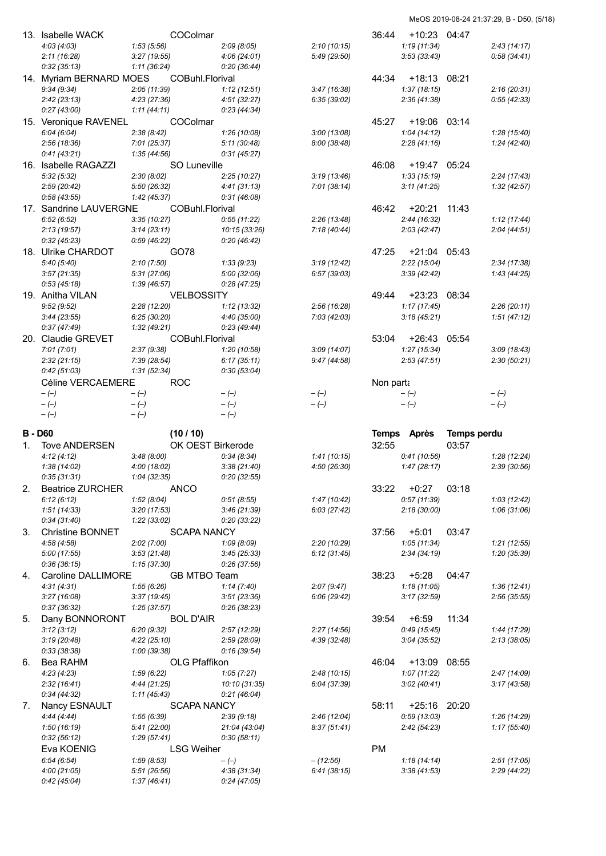|              | 13. Isabelle WACK          | COColmar                   |                             |              | 36:44     | $+10:23$           | 04:47       |              |
|--------------|----------------------------|----------------------------|-----------------------------|--------------|-----------|--------------------|-------------|--------------|
|              | 4:03(4:03)                 | 1:53(5:56)                 | 2:09(8:05)                  | 2:10(10:15)  |           | 1:19(11:34)        |             | 2:43(14:17)  |
|              | 2:11(16:28)                | 3:27(19:55)                | 4:06(24:01)                 | 5:49 (29:50) |           | 3:53(33:43)        |             | 0.58(34.41)  |
|              | 0:32(35:13)                | 1:11(36:24)                | 0:20(36:44)                 |              |           |                    |             |              |
|              | 14. Myriam BERNARD MOES    | COBuhl.Florival            |                             |              | 44:34     | +18:13 08:21       |             |              |
|              | 9:34(9:34)                 | 2:05(11:39)                | 1:12(12:51)                 | 3:47(16:38)  |           | 1:37(18:15)        |             | 2:16(20:31)  |
|              | 2:42(23:13)                | 4:23(27:36)                | 4:51(32:27)                 | 6:35(39:02)  |           | 2:36(41:38)        |             | 0:55(42:33)  |
|              | 0:27(43:00)                | 1:11(44:11)                | 0:23(44:34)                 |              |           |                    |             |              |
|              | 15. Veronique RAVENEL      | <b>COColmar</b>            |                             |              | 45:27     | +19:06 03:14       |             |              |
|              | 6:04(6:04)                 | 2:38(8:42)                 | 1:26 (10:08)                | 3:00(13:08)  |           | 1:04(14:12)        |             | 1:28 (15:40) |
|              | 2:56(18:36)                | 7:01 (25:37)               | 5:11(30:48)                 | 8:00 (38:48) |           | 2:28(41:16)        |             | 1:24(42:40)  |
|              | 0:41(43:21)                | 1:35(44:56)                | 0:31(45:27)                 |              |           |                    |             |              |
|              | 16. Isabelle RAGAZZI       | SO Luneville               |                             |              | 46:08     | +19:47 05:24       |             |              |
|              | 5:32(5:32)                 | 2:30(8:02)                 | 2:25(10:27)                 | 3:19(13:46)  |           | 1:33(15:19)        |             | 2:24(17:43)  |
|              | 2:59(20:42)                | 5:50 (26:32)               | 4:41(31:13)                 | 7:01(38:14)  |           | 3:11(41:25)        |             | 1:32(42:57)  |
|              | 0:58(43:55)                | 1:42 (45:37)               | 0:31(46:08)                 |              |           |                    |             |              |
|              | 17. Sandrine LAUVERGNE     | COBuhl.Florival            |                             |              | 46:42     | +20:21 11:43       |             |              |
|              | 6:52(6:52)                 | 3:35(10:27)                | 0:55(11:22)                 | 2:26(13:48)  |           | 2:44(16:32)        |             | 1:12(17:44)  |
|              | 2:13(19:57)                | 3:14(23:11)                | 10:15 (33:26)               | 7:18(40:44)  |           | 2:03(42:47)        |             | 2:04(44:51)  |
|              | 0:32(45:23)                | 0.59(46.22)                | 0:20(46:42)                 |              |           |                    |             |              |
|              | 18. Ulrike CHARDOT         | GO78                       |                             |              |           | 47:25 +21:04 05:43 |             |              |
|              | 5:40(5:40)                 | 2:10(7:50)                 | 1:33(9:23)                  | 3:19(12:42)  |           | 2:22(15:04)        |             | 2:34(17:38)  |
|              | 3:57(21:35)                | 5:31(27:06)                | 5:00 (32:06)                | 6:57(39:03)  |           | 3:39(42:42)        |             | 1:43(44:25)  |
|              | 0:53(45:18)                | 1:39(46:57)                | 0:28(47:25)                 |              |           |                    |             |              |
|              | 19. Anitha VILAN           | <b>VELBOSSITY</b>          |                             |              | 49:44     | +23:23 08:34       |             |              |
|              | 9:52(9:52)                 | 2:28(12:20)                | 1:12(13:32)                 | 2:56(16:28)  |           | 1:17(17:45)        |             | 2:26(20:11)  |
|              | 3:44(23:55)                | 6:25(30:20)                | 4:40 (35:00)                | 7:03(42:03)  |           | 3:18(45:21)        |             | 1:51(47:12)  |
|              | 0:37(47:49)                | 1:32(49:21)                | 0:23(49:44)                 |              |           |                    |             |              |
|              | 20. Claudie GREVET         | COBuhl.Florival            |                             |              | 53:04     | $+26:43$ 05:54     |             |              |
|              | 7:01(7:01)                 | 2:37(9:38)                 | 1:20(10:58)                 | 3:09(14:07)  |           | 1:27(15:34)        |             | 3:09(18:43)  |
|              | 2:32(21:15)                | 7:39 (28:54)               | 6:17(35:11)                 | 9:47(44:58)  |           | 2:53(47:51)        |             | 2:30(50:21)  |
|              | 0:42(51:03)                | 1:31(52:34)                | 0:30(53:04)                 |              |           |                    |             |              |
|              | Céline VERCAEMERE          | <b>ROC</b>                 |                             |              | Non parta |                    |             |              |
|              | $-(-)$                     | $-(-)$                     | $-(-)$                      | $-(-)$       |           | $-(-)$             |             | $-(-)$       |
|              |                            |                            |                             |              |           |                    |             | $-(-)$       |
|              | $-(-)$                     | $-(-)$                     | $-(-)$                      | $-(-)$       |           | $-(-)$             |             |              |
|              | $-(-)$                     | $-(-)$                     | $-(-)$                      |              |           |                    |             |              |
|              |                            |                            |                             |              |           |                    |             |              |
| <b>B-D60</b> |                            | (10/10)                    |                             |              |           | Temps Après        | Temps perdu |              |
| 1.           | <b>Tove ANDERSEN</b>       | OK OEST Birkerode          |                             |              | 32:55     |                    | 03:57       |              |
|              | 4:12(4:12)                 | 3:48(8:00)                 | 0:34(8:34)                  | 1:41(10:15)  |           | 0:41(10:56)        |             | 1:28(12:24)  |
|              | 1:38(14:02)                | 4:00(18:02)                | 3:38(21:40)                 | 4:50 (26:30) |           | 1:47(28:17)        |             | 2:39(30:56)  |
|              | 0:35(31:31)                | 1:04(32:35)                | 0:20(32:55)                 |              |           |                    |             |              |
| 2.           | <b>Beatrice ZURCHER</b>    | <b>ANCO</b>                |                             |              | 33:22     | $+0:27$            | 03:18       |              |
|              | 6:12(6:12)                 | 1:52(8:04)                 | 0.51(8.55)                  | 1:47(10:42)  |           | 0:57(11:39)        |             | 1:03(12:42)  |
|              | 1:51(14:33)                | 3:20(17:53)                | 3:46(21:39)                 | 6:03(27:42)  |           | 2:18(30:00)        |             | 1:06(31:06)  |
|              | 0:34(31:40)                | 1:22(33:02)                | 0:20(33:22)                 |              |           |                    |             |              |
| 3.           | Christine BONNET           | <b>SCAPA NANCY</b>         |                             |              | 37:56     | $+5:01$            | 03:47       |              |
|              | 4:58(4:58)                 | 2:02(7:00)                 | 1:09(8:09)                  | 2:20(10:29)  |           | 1:05(11:34)        |             | 1:21(12:55)  |
|              | 5:00(17:55)                | 3:53(21:48)                | 3:45(25:33)                 | 6:12(31:45)  |           | 2:34(34:19)        |             | 1:20 (35:39) |
|              | 0:36(36:15)                | 1:15(37:30)                | 0:26(37:56)                 |              |           |                    |             |              |
| 4.           | Caroline DALLIMORE         | <b>GB MTBO Team</b>        |                             |              | 38:23     | $+5:28$            | 04:47       |              |
|              | 4:31(4:31)                 | 1:55(6:26)                 | 1:14(7:40)                  | 2:07(9:47)   |           | 1:18(11:05)        |             | 1:36(12:41)  |
|              | 3:27(16:08)                | 3:37(19:45)                | 3:51(23:36)                 | 6:06(29:42)  |           | 3:17(32:59)        |             | 2:56 (35:55) |
|              | 0:37(36:32)                | 1:25(37:57)                | 0:26(38:23)                 |              |           |                    |             |              |
| 5.           | Dany BONNORONT             | <b>BOL D'AIR</b>           |                             |              | 39:54     | $+6:59$            | 11:34       |              |
|              | 3:12(3:12)                 | 6:20(9:32)                 | 2:57(12:29)                 | 2:27(14:56)  |           | 0:49(15:45)        |             | 1:44 (17:29) |
|              | 3:19(20:48)                | 4:22(25:10)                | 2:59(28:09)                 | 4:39 (32:48) |           | 3:04(35:52)        |             | 2:13(38:05)  |
|              | 0:33(38:38)                | 1:00 (39:38)               | 0:16(39:54)                 |              |           |                    |             |              |
| 6.           | Bea RAHM                   | OLG Pfaffikon              |                             |              | 46:04     | +13:09 08:55       |             |              |
|              | 4:23(4:23)                 | 1:59(6:22)                 | 1:05(7:27)                  | 2:48(10:15)  |           | 1:07(11:22)        |             | 2:47(14:09)  |
|              | 2:32(16:41)                | 4:44(21:25)                | 10:10 (31:35)               | 6:04 (37:39) |           | 3:02(40:41)        |             | 3:17 (43:58) |
|              | 0:34(44:32)                | 1:11 (45:43)               | 0:21(46:04)                 |              |           |                    |             |              |
| 7.           | Nancy ESNAULT              | <b>SCAPA NANCY</b>         |                             |              | 58:11     | $+25:16$           | 20:20       |              |
|              | 4:44(4:44)                 | 1:55(6:39)                 | 2:39(9:18)                  | 2:46(12:04)  |           | 0:59(13:03)        |             | 1:26(14:29)  |
|              | 1:50(16:19)                | 5:41(22:00)                | 21:04 (43:04)               | 8:37(51:41)  |           | 2:42(54:23)        |             | 1:17(55:40)  |
|              | 0:32(56:12)                | 1:29(57:41)                | 0:30(58:11)                 |              |           |                    |             |              |
|              | Eva KOENIG                 | <b>LSG Weiher</b>          |                             |              | PM        |                    |             |              |
|              | 6:54(6:54)                 | 1:59(8:53)                 | $-(-)$                      | $-(12:56)$   |           | 1:18(14:14)        |             | 2:51(17:05)  |
|              | 4:00(21:05)<br>0:42(45:04) | 5:51(26:56)<br>1:37(46:41) | 4:38 (31:34)<br>0:24(47:05) | 6:41(38:15)  |           | 3:38(41:53)        |             | 2:29 (44:22) |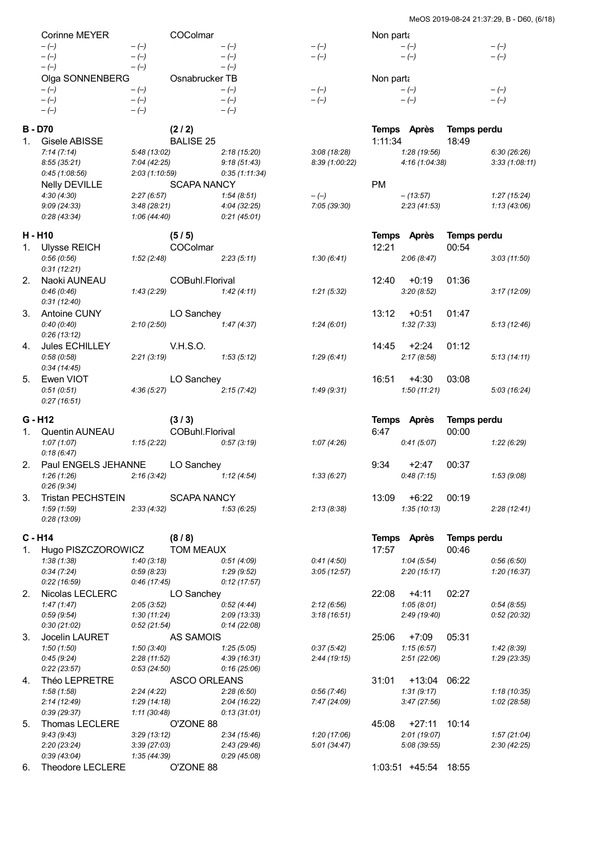|    | Corinne MEYER                          |                            | COColmar                  |                             |                            | Non parta |                           |                             |                            |
|----|----------------------------------------|----------------------------|---------------------------|-----------------------------|----------------------------|-----------|---------------------------|-----------------------------|----------------------------|
|    | $-(-)$<br>$-(-)$                       | $-(-)$<br>$-(-)$           |                           | $-(-)$<br>$-(-)$            | $-(-)$<br>$-(-)$           |           | $-(-)$<br>$-(-)$          |                             | $-(-)$<br>$-(-)$           |
|    | $-(-)$                                 | $-(-)$                     |                           | $-(-)$                      |                            |           |                           |                             |                            |
|    | Olga SONNENBERG                        |                            | Osnabrucker TB            |                             |                            | Non parta |                           |                             |                            |
|    | $-(-)$                                 | $-(-)$                     |                           | $-(-)$                      | $-(-)$                     |           | $-(-)$                    |                             | $-(-)$                     |
|    | $-(-)$<br>$-(-)$                       | $-(-)$<br>$-(-)$           |                           | $-(-)$<br>$-(-)$            | $-(-)$                     |           | $-(-)$                    |                             | $-(-)$                     |
|    | <b>B-D70</b>                           |                            | (2/2)                     |                             |                            |           | Temps Après               | <b>Temps perdu</b>          |                            |
| 1. | Gisele ABISSE                          |                            | <b>BALISE 25</b>          |                             |                            | 1:11:34   |                           | 18:49                       |                            |
|    | 7:14(7:14)                             | 5:48 (13:02)               |                           | 2:18(15:20)                 | 3:08(18:28)                |           | 1:28 (19:56)              |                             | 6:30(26:26)                |
|    | 8:55(35:21)                            | 7:04 (42:25)               |                           | 9:18(51:43)                 | 8:39 (1:00:22)             |           | 4:16 (1:04:38)            |                             | 3:33(1:08:11)              |
|    | 0:45(1:08:56)                          | 2:03(1:10:59)              |                           | 0:35(1:11:34)               |                            |           |                           |                             |                            |
|    | <b>Nelly DEVILLE</b><br>4:30(4:30)     | 2:27(6:57)                 | <b>SCAPA NANCY</b>        | 1:54(8:51)                  | $-(-)$                     | <b>PM</b> | $-(13.57)$                |                             | 1:27(15:24)                |
|    | 9:09(24:33)                            | 3:48(28:21)                |                           | 4:04 (32:25)                | 7:05 (39:30)               |           | 2:23(41:53)               |                             | 1:13(43:06)                |
|    | 0:28(43:34)                            | 1:06(44:40)                |                           | 0:21(45:01)                 |                            |           |                           |                             |                            |
|    | H - H10                                |                            | (5/5)                     |                             |                            |           | Temps Après               | Temps perdu                 |                            |
| 1. | <b>Ulysse REICH</b>                    |                            | COColmar                  |                             |                            | 12:21     |                           | 00:54                       |                            |
|    | 0.56(0.56)                             | 1:52(2:48)                 |                           | 2:23(5:11)                  | 1:30(6:41)                 |           | 2:06(8:47)                |                             | 3:03(11:50)                |
|    | 0:31(12:21)                            |                            |                           |                             |                            |           |                           |                             |                            |
| 2. | Naoki AUNEAU                           |                            | COBuhl.Florival           |                             |                            | 12:40     | $+0:19$                   | 01:36                       |                            |
|    | 0:46(0:46)                             | 1:43(2:29)                 |                           | 1:42(4:11)                  | 1:21(5:32)                 |           | 3:20(8:52)                |                             | 3:17(12:09)                |
|    | 0:31(12:40)                            |                            |                           |                             |                            |           |                           |                             |                            |
| 3. | Antoine CUNY<br>0:40(0:40)             | 2:10(2:50)                 | LO Sanchey                | 1:47(4:37)                  | 1:24(6:01)                 | 13:12     | $+0:51$<br>1:32(7:33)     | 01:47                       | 5:13(12:46)                |
|    | 0:26(13:12)                            |                            |                           |                             |                            |           |                           |                             |                            |
| 4. | Jules ECHILLEY                         |                            | <b>V.H.S.O.</b>           |                             |                            | 14:45     | +2:24                     | 01:12                       |                            |
|    | 0.58(0.58)                             | 2:21(3:19)                 |                           | 1:53(5:12)                  | 1:29(6:41)                 |           | 2:17(8:58)                |                             | 5:13(14:11)                |
|    | 0:34(14:45)                            |                            |                           |                             |                            |           |                           |                             |                            |
| 5. | Ewen VIOT                              |                            | LO Sanchey                |                             |                            | 16:51     | $+4:30$                   | 03:08                       |                            |
|    | 0:51(0:51)                             | 4:36(5:27)                 |                           | 2:15(7:42)                  | 1:49(9:31)                 |           | 1:50(11:21)               |                             | 5:03(16:24)                |
|    | 0:27(16:51)                            |                            |                           |                             |                            |           |                           |                             |                            |
|    |                                        |                            |                           |                             |                            |           |                           |                             |                            |
|    | $G - H12$                              |                            | (3/3)                     |                             |                            |           | Temps Après               | Temps perdu                 |                            |
| 1. | Quentin AUNEAU                         |                            | COBuhl.Florival           |                             |                            | 6:47      |                           | 00:00                       |                            |
|    | 1:07(1:07)                             | 1:15(2:22)                 |                           | 0:57(3:19)                  | 1:07(4:26)                 |           | 0:41(5:07)                |                             | 1:22(6:29)                 |
|    | 0:18(6:47)                             |                            |                           |                             |                            |           |                           |                             |                            |
| 2. | Paul ENGELS JEHANNE                    |                            | LO Sanchey                |                             |                            | 9:34      | $+2:47$                   | 00:37                       |                            |
|    | 1:26(1:26)                             | 2:16(3:42)                 |                           | 1:12(4:54)                  | 1:33(6:27)                 |           | 0:48(7:15)                |                             | 1:53(9:08)                 |
| 3. | 0:26(9:34)<br><b>Tristan PECHSTEIN</b> |                            | <b>SCAPA NANCY</b>        |                             |                            | 13:09     | $+6:22$                   | 00:19                       |                            |
|    | 1:59(1:59)                             | 2:33(4:32)                 |                           | 1:53(6:25)                  | 2:13(8:38)                 |           | 1:35(10:13)               |                             | 2:28(12:41)                |
|    | 0:28(13:09)                            |                            |                           |                             |                            |           |                           |                             |                            |
|    | $C - H14$                              |                            |                           |                             |                            |           |                           |                             |                            |
| 1. | Hugo PISZCZOROWICZ                     |                            | (8/8)<br><b>TOM MEAUX</b> |                             |                            | 17:57     | Temps Après               | <b>Temps perdu</b><br>00:46 |                            |
|    | 1:38(1:38)                             | 1:40(3:18)                 |                           | 0:51(4:09)                  | 0:41(4:50)                 |           | 1:04(5:54)                |                             | 0.56(6.50)                 |
|    | 0:34(7:24)                             | 0:59(8:23)                 |                           | 1:29(9:52)                  | 3:05(12:57)                |           | 2:20(15:17)               |                             | 1:20(16:37)                |
|    | 0:22(16:59)                            | 0:46(17:45)                |                           | 0:12(17:57)                 |                            |           |                           |                             |                            |
| 2. | Nicolas LECLERC                        |                            | LO Sanchey                |                             |                            | 22:08     | $+4:11$                   | 02:27                       |                            |
|    | 1:47(1:47)                             | 2:05(3:52)                 |                           | 0:52(4:44)                  | 2:12(6:56)                 |           | 1:05(8:01)                |                             | 0.54(8.55)                 |
|    | 0:59(9:54)<br>0:30(21:02)              | 1:30(11:24)<br>0:52(21:54) |                           | 2:09 (13:33)<br>0:14(22:08) | 3:18(16:51)                |           | 2:49 (19:40)              |                             | 0:52(20:32)                |
| 3. | Jocelin LAURET                         |                            | AS SAMOIS                 |                             |                            | 25:06     | $+7:09$                   | 05:31                       |                            |
|    | 1:50(1:50)                             | 1:50(3:40)                 |                           | 1:25(5:05)                  | 0:37(5:42)                 |           | 1:15(6:57)                |                             | 1:42(8:39)                 |
|    | 0:45(9:24)                             | 2:28(11:52)                |                           | 4:39 (16:31)                | 2:44(19:15)                |           | 2:51(22:06)               |                             | 1:29(23:35)                |
|    | 0:22(23:57)                            | 0:53(24:50)                |                           | 0:16(25:06)                 |                            |           |                           |                             |                            |
| 4. | Théo LEPRETRE                          |                            | <b>ASCO ORLEANS</b>       |                             |                            | 31:01     | $+13:04$                  | 06:22                       |                            |
|    | 1:58(1:58)<br>2:14(12:49)              | 2:24(4:22)<br>1:29(14:18)  |                           | 2:28(6:50)<br>2:04(16:22)   | 0:56(7:46)<br>7:47 (24:09) |           | 1:31(9:17)<br>3:47(27:56) |                             | 1:18(10:35)<br>1:02(28:58) |
|    | 0:39(29:37)                            | 1:11(30:48)                |                           | 0:13(31:01)                 |                            |           |                           |                             |                            |
| 5. | Thomas LECLERE                         |                            | O'ZONE 88                 |                             |                            | 45:08     | $+27:11$                  | 10:14                       |                            |
|    | 9:43(9:43)                             | 3:29(13:12)                |                           | 2:34(15:46)                 | 1:20(17:06)                |           | 2:01 (19:07)              |                             | 1:57(21:04)                |
|    | 2:20(23:24)<br>0:39(43:04)             | 3:39(27:03)<br>1:35(44:39) |                           | 2:43(29:46)<br>0:29(45:08)  | 5:01(34:47)                |           | 5:08 (39:55)              |                             | 2:30(42:25)                |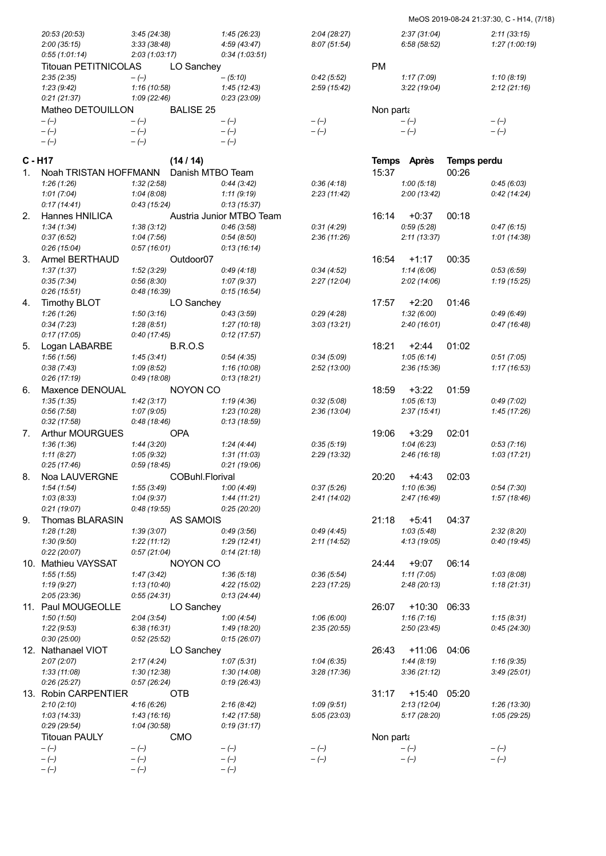## MeOS 2019-08-24 21:37:30, C - H14, (7/18)

|    | 20:53 (20:53)<br>2:00(35:15) | 3:45(24:38)<br>3:33(38:48) |                       | 1:45(26:23)<br>4:59(43:47) | 2:04(28:27)<br>8:07(51:54) |           | 2:37(31:04)<br>6:58(58:52) |                    | 2:11(33:15)<br>1:27 (1:00:19) |
|----|------------------------------|----------------------------|-----------------------|----------------------------|----------------------------|-----------|----------------------------|--------------------|-------------------------------|
|    | 0:55(1:01:14)                | 2:03(1:03:17)              |                       | 0:34(1:03:51)              |                            |           |                            |                    |                               |
|    | Titouan PETITNICOLAS         |                            | LO Sanchey            |                            |                            | <b>PM</b> |                            |                    |                               |
|    | 2:35(2:35)                   | $-(-)$                     |                       | $-(5:10)$                  | 0:42(5:52)                 |           | 1:17(7:09)                 |                    | 1:10(8:19)                    |
|    | 1:23(9:42)                   | 1:16(10:58)                |                       | 1:45(12:43)                | 2:59(15:42)                |           | 3:22(19:04)                |                    | 2:12(21:16)                   |
|    | 0:21(21:37)                  | 1:09(22:46)                |                       | 0:23(23:09)                |                            |           |                            |                    |                               |
|    | Matheo DETOUILLON            |                            | <b>BALISE 25</b>      |                            |                            | Non parta |                            |                    |                               |
|    | $-(-)$                       | $-(-)$                     |                       | $-(-)$                     | $-(-)$                     |           | $-(-)$                     |                    | $-(-)$                        |
|    | $-(-)$                       | $-(-)$                     |                       | $-(-)$                     | $-(-)$                     |           | $-(-)$                     |                    | $-(-)$                        |
|    | $-(-)$                       | $-(-)$                     |                       | $-(-)$                     |                            |           |                            |                    |                               |
|    | C - H17                      |                            | (14/14)               |                            |                            |           | Temps Après                | <b>Temps perdu</b> |                               |
| 1. | Noah TRISTAN HOFFMANN        |                            | Danish MTBO Team      |                            |                            | 15:37     |                            | 00:26              |                               |
|    | 1:26(1:26)                   | 1:32(2:58)                 |                       | 0:44(3:42)                 | 0:36(4:18)                 |           | 1:00(5:18)                 |                    | 0:45(6:03)                    |
|    | 1:01(7:04)                   | 1:04(8:08)                 |                       | 1:11(9:19)                 | 2:23(11:42)                |           | 2:00(13:42)                |                    | 0:42(14:24)                   |
|    | 0:17(14:41)                  | 0:43(15:24)                |                       | 0:13(15:37)                |                            |           |                            |                    |                               |
| 2. | Hannes HNILICA               |                            |                       | Austria Junior MTBO Team   |                            | 16:14     | $+0:37$                    | 00:18              |                               |
|    | 1:34(1:34)                   | 1:38(3:12)                 |                       | 0:46(3:58)                 | 0:31(4:29)                 |           | 0.59(5.28)                 |                    | 0:47(6:15)                    |
|    | 0:37(6:52)                   | 1:04(7:56)                 |                       | 0:54(8:50)                 | 2:36(11:26)                |           | 2:11(13:37)                |                    | 1:01(14:38)                   |
|    | 0:26(15:04)                  | 0:57(16:01)                |                       | 0:13(16:14)                |                            |           |                            |                    |                               |
| 3. | Armel BERTHAUD               |                            | Outdoor <sub>07</sub> |                            |                            | 16:54     | $+1:17$                    | 00:35              |                               |
|    | 1:37(1:37)                   | 1:52(3:29)                 |                       | 0:49(4:18)                 | 0:34(4:52)                 |           | 1:14(6:06)                 |                    | 0.53(6.59)                    |
|    | 0:35(7:34)                   | 0:56(8:30)                 |                       | 1:07(9:37)                 | 2:27(12:04)                |           | 2:02(14:06)                |                    | 1:19(15:25)                   |
|    | 0:26(15:51)                  | 0:48(16:39)                |                       | 0:15(16:54)                |                            |           |                            |                    |                               |
| 4. | <b>Timothy BLOT</b>          |                            | LO Sanchey            |                            |                            | 17:57     | $+2:20$                    | 01:46              |                               |
|    | 1:26(1:26)                   | 1:50(3:16)                 |                       | 0:43(3:59)                 | 0:29(4:28)                 |           | 1:32(6:00)                 |                    | 0.49(6.49)                    |
|    | 0:34(7:23)                   | 1:28(8:51)                 |                       | 1:27(10:18)                | 3:03(13:21)                |           | 2:40(16:01)                |                    | 0:47(16:48)                   |
|    | 0:17(17:05)                  | 0:40(17:45)                |                       | 0:12(17:57)                |                            |           |                            |                    |                               |
| 5. | Logan LABARBE                |                            | <b>B.R.O.S</b>        |                            |                            | 18:21     | +2:44<br>1:05(6:14)        | 01:02              |                               |
|    | 1:56(1:56)<br>0:38(7:43)     | 1:45(3:41)<br>1:09(8:52)   |                       | 0:54(4:35)<br>1:16(10:08)  | 0:34(5:09)<br>2:52(13:00)  |           | 2:36(15:36)                |                    | 0:51(7:05)<br>1:17 (16:53)    |
|    | 0:26(17:19)                  | 0.49(18.08)                |                       | 0:13(18:21)                |                            |           |                            |                    |                               |
| 6. | Maxence DENOUAL              |                            | NOYON CO              |                            |                            | 18:59     | $+3:22$                    | 01:59              |                               |
|    | 1:35(1:35)                   | 1:42(3:17)                 |                       | 1:19(4:36)                 | 0.32(5.08)                 |           | 1:05(6:13)                 |                    | 0:49(7:02)                    |
|    | 0:56(7:58)                   | 1:07(9:05)                 |                       | 1:23 (10:28)               | 2:36(13:04)                |           | 2:37(15:41)                |                    | 1:45(17:26)                   |
|    | 0:32(17:58)                  | 0:48(18:46)                |                       | 0:13(18:59)                |                            |           |                            |                    |                               |
| 7. | <b>Arthur MOURGUES</b>       |                            | <b>OPA</b>            |                            |                            | 19:06     | $+3:29$                    | 02:01              |                               |
|    | 1:36(1:36)                   | 1:44(3:20)                 |                       | 1:24 (4:44)                | 0:35(5:19)                 |           | 1:04(6:23)                 |                    | 0:53(7:16)                    |
|    | 1:11(8:27)                   | 1:05(9:32)                 |                       | 1:31(11:03)                | 2:29(13:32)                |           | 2:46 (16:18)               |                    | 1:03(17:21)                   |
|    | 0:25(17:46)                  | 0.59(18.45)                |                       | 0:21(19:06)                |                            |           |                            |                    |                               |
| 8. | Noa LAUVERGNE                |                            | COBuhl.Florival       |                            |                            | 20:20     | $+4:43$                    | 02:03              |                               |
|    | 1:54(1:54)                   | 1:55(3:49)                 |                       | 1:00(4:49)                 | 0:37(5:26)                 |           | 1:10(6:36)                 |                    | 0:54(7:30)                    |
|    | 1:03(8:33)                   | 1:04(9:37)                 |                       | 1:44(11:21)                | 2:41(14:02)                |           | 2:47(16:49)                |                    | 1:57(18:46)                   |
|    | 0:21(19:07)                  | 0:48(19:55)                |                       | 0:25 (20:20)               |                            |           |                            |                    |                               |
| 9. | Thomas BLARASIN              |                            | AS SAMOIS             |                            |                            | 21:18     | $+5:41$                    | 04:37              |                               |
|    | 1:28(1:28)                   | 1:39(3:07)                 |                       | 0:49(3:56)                 | 0:49(4:45)                 |           | 1:03(5:48)                 |                    | 2:32(8:20)                    |
|    | 1:30(9:50)<br>0:22(20:07)    | 1:22(11:12)<br>0:57(21:04) |                       | 1:29(12:41)<br>0:14(21:18) | 2:11(14:52)                |           | 4:13 (19:05)               |                    | 0:40(19:45)                   |
|    | 10. Mathieu VAYSSAT          |                            | NOYON CO              |                            |                            | 24:44     | $+9:07$                    | 06:14              |                               |
|    | 1:55(1:55)                   | 1:47(3:42)                 |                       | 1:36(5:18)                 | 0:36(5:54)                 |           | 1:11(7:05)                 |                    | 1:03(8:08)                    |
|    | 1:19(9:27)                   | 1:13(10:40)                |                       | 4:22 (15:02)               | 2:23(17:25)                |           | 2:48(20:13)                |                    | 1:18(21:31)                   |
|    | 2:05(23:36)                  | 0:55(24:31)                |                       | 0:13(24:44)                |                            |           |                            |                    |                               |
|    | 11. Paul MOUGEOLLE           |                            | LO Sanchey            |                            |                            | 26:07     | $+10:30$                   | 06:33              |                               |
|    | 1:50(1:50)                   | 2:04(3:54)                 |                       | 1:00(4:54)                 | 1:06(6:00)                 |           | 1:16(7:16)                 |                    | 1:15(8:31)                    |
|    | 1:22(9:53)                   | 6:38(16:31)                |                       | 1:49 (18:20)               | 2:35(20:55)                |           | 2:50(23:45)                |                    | 0:45(24:30)                   |
|    | 0:30(25:00)                  | 0.52(25.52)                |                       | 0:15(26:07)                |                            |           |                            |                    |                               |
|    | 12. Nathanael VIOT           |                            | LO Sanchey            |                            |                            | 26:43     | +11:06                     | 04:06              |                               |
|    | 2:07(2:07)                   | 2:17(4:24)                 |                       | 1:07(5:31)                 | 1:04(6:35)                 |           | 1:44(8:19)                 |                    | 1:16(9:35)                    |
|    | 1:33(11:08)                  | 1:30(12:38)                |                       | 1:30(14:08)                | 3:28(17:36)                |           | 3:36(21:12)                |                    | 3:49(25:01)                   |
|    | 0:26(25:27)                  | 0:57(26:24)                |                       | 0:19(26:43)                |                            |           |                            |                    |                               |
|    | 13. Robin CARPENTIER         |                            | <b>OTB</b>            |                            |                            | 31:17     | +15:40 05:20               |                    |                               |
|    | 2:10(2:10)                   | 4:16(6:26)                 |                       | 2:16(8:42)                 | 1:09(9:51)                 |           | 2:13(12:04)                |                    | 1:26 (13:30)                  |
|    | 1:03 (14:33)                 | 1:43 (16:16)               |                       | 1:42(17:58)                | 5:05(23:03)                |           | 5:17(28:20)                |                    | 1:05 (29:25)                  |
|    | 0.29(29.54)                  | 1:04 (30:58)               |                       | 0:19(31:17)                |                            |           |                            |                    |                               |
|    | <b>Titouan PAULY</b>         |                            | <b>CMO</b>            |                            |                            | Non parta |                            |                    |                               |
|    | $-(-)$                       | $-(-)$                     |                       | $-(-)$                     | $-(-)$                     |           | $-(-)$                     |                    | $-(-)$                        |
|    | $-(-)$                       | $-(-)$                     |                       | $-(-)$                     | $-(-)$                     |           | $-(-)$                     |                    | $-(-)$                        |
|    | $-(-)$                       | $-(-)$                     |                       | $-(-)$                     |                            |           |                            |                    |                               |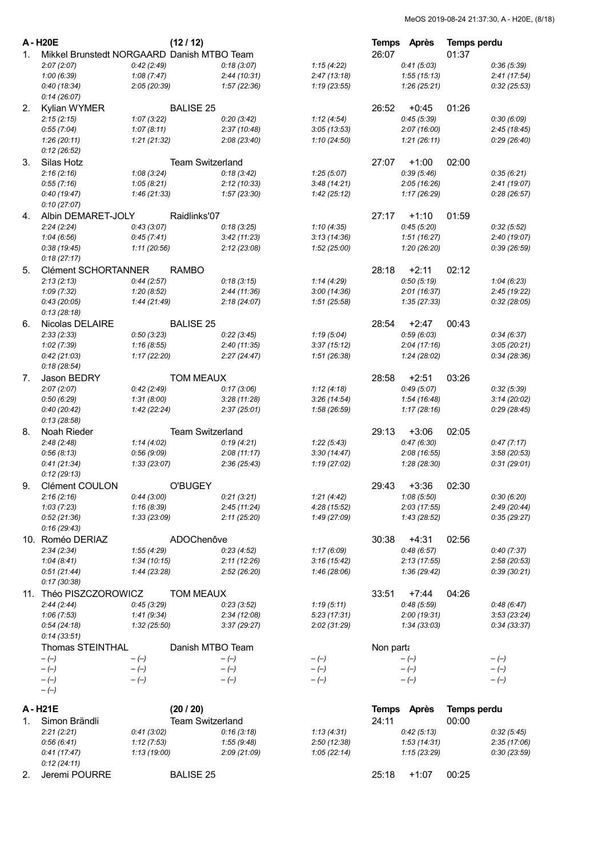|         | A-H20E                                     |                           | (12/12)                 |                            |                            | <b>Temps</b> | Après                      | <b>Temps perdu</b> |                            |
|---------|--------------------------------------------|---------------------------|-------------------------|----------------------------|----------------------------|--------------|----------------------------|--------------------|----------------------------|
| $1_{-}$ | Mikkel Brunstedt NORGAARD Danish MTBO Team |                           |                         |                            |                            | 26:07        |                            | 01:37              |                            |
|         | 2:07(2:07)                                 | 0:42(2:49)                |                         | 0:18(3:07)                 | 1:15(4:22)                 |              | 0:41(5:03)                 |                    | 0:36(5:39)                 |
|         | 1:00(6:39)                                 | 1:08(7:47)                |                         | 2:44(10:31)                | 2:47(13:18)                |              | 1:55(15:13)                |                    | 2:41(17:54)                |
|         | 0:40(18:34)<br>0:14(26:07)                 | 2:05(20:39)               |                         | 1:57(22:36)                | 1:19(23:55)                |              | 1:26(25:21)                |                    | 0:32(25:53)                |
| 2.      | Kylian WYMER                               |                           | <b>BALISE 25</b>        |                            |                            | 26:52        | $+0:45$                    | 01:26              |                            |
|         | 2:15(2:15)                                 | 1:07(3:22)                |                         | 0:20(3:42)                 | 1:12(4:54)                 |              | 0:45(5:39)                 |                    | 0:30(6:09)                 |
|         | 0:55(7:04)                                 | 1:07(8:11)                |                         | 2:37(10:48)                | 3:05(13:53)                |              | 2:07(16:00)                |                    | 2:45(18:45)                |
|         | 1:26(20:11)                                | 1:21(21:32)               |                         | 2:08(23:40)                | 1:10(24:50)                |              | 1:21(26:11)                |                    | 0:29(26:40)                |
| 3.      | 0:12(26:52)<br>Silas Hotz                  |                           | <b>Team Switzerland</b> |                            |                            | 27:07        | $+1:00$                    | 02:00              |                            |
|         | 2:16(2:16)                                 | 1:08(3:24)                |                         | 0:18(3:42)                 | 1:25(5:07)                 |              | 0:39(5:46)                 |                    | 0:35(6:21)                 |
|         | 0:55(7:16)                                 | 1:05(8:21)                |                         | 2:12(10:33)                | 3:48(14:21)                |              | 2:05(16:26)                |                    | 2:41(19:07)                |
|         | 0:40(19:47)                                | 1:46(21:33)               |                         | 1:57 (23:30)               | 1:42(25:12)                |              | 1:17(26:29)                |                    | 0.28(26.57)                |
|         | 0:10(27:07)                                |                           |                         |                            |                            |              |                            |                    |                            |
| 4.      | Albin DEMARET-JOLY                         |                           | Raidlinks'07            |                            |                            | 27:17        | $+1:10$                    | 01:59              |                            |
|         | 2:24(2:24)                                 | 0:43(3:07)                |                         | 0:18(3:25)                 | 1:10(4:35)                 |              | 0:45(5:20)                 |                    | 0:32(5:52)                 |
|         | 1:04(6:56)                                 | 0:45(7:41)                |                         | 3:42(11:23)                | 3:13(14:36)                |              | 1:51(16:27)                |                    | 2:40 (19:07)               |
|         | 0:38(19:45)<br>0:18(27:17)                 | 1:11(20:56)               |                         | 2:12(23:08)                | 1:52 (25:00)               |              | 1:20(26:20)                |                    | 0:39(26:59)                |
| 5.      | <b>Clément SCHORTANNER</b>                 |                           | <b>RAMBO</b>            |                            |                            | 28:18        | $+2:11$                    | 02:12              |                            |
|         | 2:13(2:13)                                 | 0:44(2:57)                |                         | 0:18(3:15)                 | 1:14(4:29)                 |              | 0:50(5:19)                 |                    | 1:04(6:23)                 |
|         | 1:09(7:32)                                 | 1:20(8:52)                |                         | 2:44(11:36)                | 3:00(14:36)                |              | 2:01(16:37)                |                    | 2:45(19:22)                |
|         | 0:43(20:05)                                | 1:44 (21:49)              |                         | 2:18(24:07)                | 1:51(25:58)                |              | 1:35(27:33)                |                    | 0:32(28:05)                |
|         | 0:13(28:18)                                |                           |                         |                            |                            |              |                            |                    |                            |
| 6.      | Nicolas DELAIRE                            |                           | <b>BALISE 25</b>        |                            |                            | 28:54        | $+2:47$                    | 00:43              |                            |
|         | 2:33(2:33)                                 | 0:50(3:23)                |                         | 0:22(3:45)                 | 1:19(5:04)                 |              | 0:59(6:03)                 |                    | 0:34(6:37)                 |
|         | 1:02(7:39)<br>0:42(21:03)                  | 1:16(8:55)<br>1:17(22:20) |                         | 2:40(11:35)<br>2:27(24:47) | 3:37(15:12)<br>1:51(26:38) |              | 2:04(17:16)<br>1:24(28:02) |                    | 3:05(20:21)<br>0:34(28:36) |
|         | 0:18(28:54)                                |                           |                         |                            |                            |              |                            |                    |                            |
| 7.      | Jason BEDRY                                |                           | <b>TOM MEAUX</b>        |                            |                            | 28:58        | $+2:51$                    | 03:26              |                            |
|         | 2:07(2:07)                                 | 0:42(2:49)                |                         | 0:17(3:06)                 | 1:12(4:18)                 |              | 0:49(5:07)                 |                    | 0:32(5:39)                 |
|         | 0:50(6:29)                                 | 1:31(8:00)                |                         | 3:28(11:28)                | 3:26(14:54)                |              | 1:54(16:48)                |                    | 3:14(20:02)                |
|         | 0:40(20:42)                                | 1:42(22:24)               |                         | 2:37(25:01)                | 1:58 (26:59)               |              | 1:17(28:16)                |                    | 0:29(28:45)                |
|         | 0:13(28:58)                                |                           |                         |                            |                            |              |                            |                    |                            |
| 8.      | Noah Rieder                                |                           | Team Switzerland        |                            |                            | 29:13        | $+3:06$                    | 02:05              |                            |
|         | 2:48(2:48)<br>0:56(8:13)                   | 1:14(4:02)<br>0:56(9:09)  |                         | 0:19(4:21)<br>2:08(11:17)  | 1:22(5:43)<br>3:30(14:47)  |              | 0:47(6:30)<br>2:08(16:55)  |                    | 0:47(7:17)<br>3:58(20:53)  |
|         | 0:41(21:34)                                | 1:33(23:07)               |                         | 2:36 (25:43)               | 1:19(27:02)                |              | 1:28(28:30)                |                    | 0:31(29:01)                |
|         | 0:12(29:13)                                |                           |                         |                            |                            |              |                            |                    |                            |
| 9.      | Clément COULON                             |                           | <b>O'BUGEY</b>          |                            |                            | 29:43        | $+3:36$                    | 02:30              |                            |
|         | 2:16(2:16)                                 | 0:44(3:00)                |                         | 0:21(3:21)                 | 1:21(4:42)                 |              | 1:08(5:50)                 |                    | 0:30(6:20)                 |
|         | 1:03(7:23)                                 | 1:16(8:39)                |                         | 2:45(11:24)                | 4:28(15:52)                |              | 2:03(17:55)                |                    | 2:49(20:44)                |
|         | 0:52(21:36)                                | 1:33(23:09)               |                         | 2:11(25:20)                | 1:49 (27:09)               |              | 1:43(28:52)                |                    | 0:35(29:27)                |
|         | 0:16(29:43)                                |                           |                         |                            |                            |              |                            |                    |                            |
|         | 10. Roméo DERIAZ<br>2:34(2:34)             | 1:55(4:29)                | ADOChenôve              | 0:23(4:52)                 | 1:17(6:09)                 | 30:38        | $+4:31$<br>0:48(6:57)      | 02:56              | 0:40(7:37)                 |
|         | 1:04(8:41)                                 | 1:34(10:15)               |                         | 2:11(12:26)                | 3:16(15:42)                |              | 2:13(17:55)                |                    | 2:58 (20:53)               |
|         | 0:51(21:44)                                | 1:44 (23:28)              |                         | 2:52(26:20)                | 1:46 (28:06)               |              | 1:36 (29:42)               |                    | 0:39(30:21)                |
|         | 0:17(30:38)                                |                           |                         |                            |                            |              |                            |                    |                            |
|         | 11. Théo PISZCZOROWICZ                     |                           | <b>TOM MEAUX</b>        |                            |                            | 33:51        | $+7:44$                    | 04:26              |                            |
|         | 2:44(2:44)                                 | 0:45(3:29)                |                         | 0:23(3:52)                 | 1:19(5:11)                 |              | 0:48(5:59)                 |                    | 0:48(6:47)                 |
|         | 1:06(7:53)                                 | 1:41(9:34)                |                         | 2:34(12:08)                | 5:23(17:31)                |              | 2:00(19:31)                |                    | 3:53(23:24)                |
|         | 0:54(24:18)<br>0:14(33:51)                 | 1:32(25:50)               |                         | 3:37(29:27)                | 2:02(31:29)                |              | 1:34 (33:03)               |                    | 0:34(33:37)                |
|         | <b>Thomas STEINTHAL</b>                    |                           | Danish MTBO Team        |                            |                            | Non parta    |                            |                    |                            |
|         | $-(-)$                                     | $-(-)$                    |                         | $-(-)$                     | $-(-)$                     |              | $-(-)$                     |                    | $-(-)$                     |
|         | $-(-)$                                     | $-(-)$                    |                         | $-(-)$                     | $-(-)$                     |              | $-(-)$                     |                    | $-(-)$                     |
|         | $-(-)$                                     | $-(-)$                    |                         | $-(-)$                     | $-(-)$                     |              | $-(-)$                     |                    | $-(-)$                     |
|         | $-(-)$                                     |                           |                         |                            |                            |              |                            |                    |                            |
|         | A-H21E                                     |                           | (20/20)                 |                            |                            | <b>Temps</b> | <b>Après</b>               | <b>Temps perdu</b> |                            |
| 1.      | Simon Brändli                              |                           | <b>Team Switzerland</b> |                            |                            | 24:11        |                            | 00:00              |                            |
|         | 2:21(2:21)                                 | 0:41(3:02)                |                         | 0:16(3:18)                 | 1:13(4:31)                 |              | 0:42(5:13)                 |                    | 0.32(5.45)                 |
|         | 0:56(6:41)                                 | 1:12(7:53)                |                         | 1:55(9:48)                 | 2:50(12:38)                |              | 1:53(14:31)                |                    | 2:35(17:06)                |
|         | 0:41(17:47)<br>0:12(24:11)                 | 1:13(19:00)               |                         | 2:09(21:09)                | 1:05(22:14)                |              | 1:15(23:29)                |                    | 0:30(23:59)                |
| 2.      | Jeremi POURRE                              |                           | <b>BALISE 25</b>        |                            |                            | 25:18        | $+1:07$                    | 00:25              |                            |
|         |                                            |                           |                         |                            |                            |              |                            |                    |                            |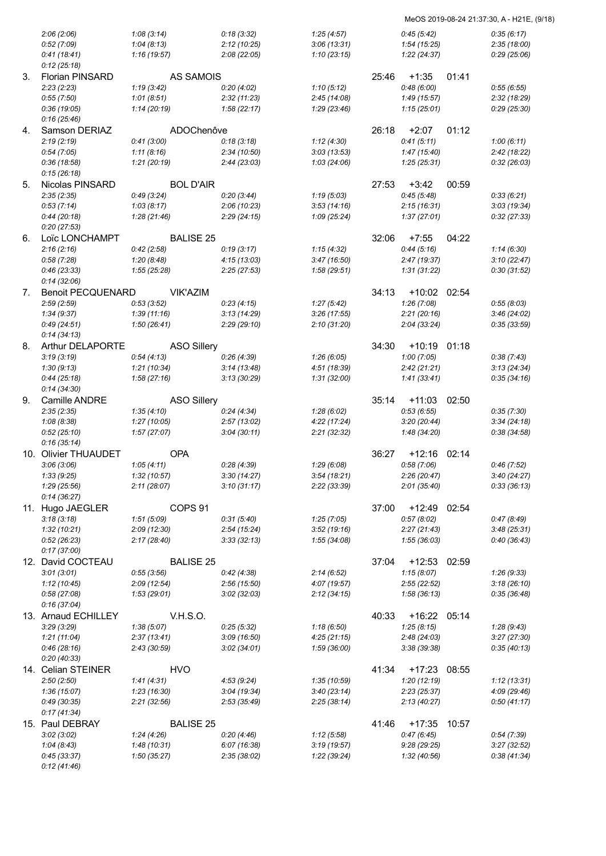| MeOS 2019-08-24 21:37:30, A - H21E, (9/18) |  |  |
|--------------------------------------------|--|--|
|                                            |  |  |

|    | 2:06(2:06)               | 1:08(3:14)   |                    | 0:18(3:32)  | 1:25(4:57)   |       | 0:45(5:42)     |       | 0:35(6:17)  |
|----|--------------------------|--------------|--------------------|-------------|--------------|-------|----------------|-------|-------------|
|    | 0:52(7:09)               | 1:04(8:13)   |                    | 2:12(10:25) | 3:06(13:31)  |       | 1:54(15:25)    |       | 2:35(18:00) |
|    | 0:41(18:41)              | 1:16(19:57)  |                    | 2:08(22:05) | 1:10(23:15)  |       | 1:22(24:37)    |       | 0:29(25:06) |
|    | 0:12(25:18)              |              |                    |             |              |       |                |       |             |
|    |                          |              |                    |             |              |       |                |       |             |
| 3. | <b>Florian PINSARD</b>   |              | <b>AS SAMOIS</b>   |             |              | 25:46 | $+1:35$        | 01:41 |             |
|    | 2:23(2:23)               | 1:19(3:42)   |                    | 0:20(4:02)  | 1:10(5:12)   |       | 0:48(6:00)     |       | 0:55(6:55)  |
|    | 0:55(7:50)               | 1:01(8:51)   |                    | 2:32(11:23) | 2:45(14:08)  |       | 1:49(15:57)    |       | 2:32(18:29) |
|    | 0:36(19:05)              | 1:14(20:19)  |                    | 1:58(22:17) | 1:29(23:46)  |       | 1:15(25:01)    |       | 0:29(25:30) |
|    | 0:16(25:46)              |              |                    |             |              |       |                |       |             |
|    | Samson DERIAZ            |              | ADOChenôve         |             |              | 26:18 | $+2:07$        | 01:12 |             |
| 4. |                          |              |                    |             |              |       |                |       |             |
|    | 2:19(2:19)               | 0:41(3:00)   |                    | 0:18(3:18)  | 1:12(4:30)   |       | 0:41(5:11)     |       | 1:00(6:11)  |
|    | 0:54(7:05)               | 1:11(8:16)   |                    | 2:34(10:50) | 3:03(13:53)  |       | 1:47(15:40)    |       | 2:42(18:22) |
|    | 0:36(18:58)              | 1:21(20:19)  |                    | 2:44(23:03) | 1:03(24:06)  |       | 1:25(25:31)    |       | 0:32(26:03) |
|    | 0:15(26:18)              |              |                    |             |              |       |                |       |             |
| 5. | Nicolas PINSARD          |              | <b>BOL D'AIR</b>   |             |              | 27:53 | $+3:42$        | 00:59 |             |
|    | 2:35(2:35)               | 0:49(3:24)   |                    | 0:20(3:44)  | 1:19(5:03)   |       | 0:45(5:48)     |       | 0:33(6:21)  |
|    |                          |              |                    |             |              |       |                |       |             |
|    | 0:53(7:14)               | 1:03(8:17)   |                    | 2:06(10:23) | 3:53(14:16)  |       | 2:15(16:31)    |       | 3:03(19:34) |
|    | 0:44(20:18)              | 1:28(21:46)  |                    | 2:29(24:15) | 1:09(25:24)  |       | 1:37(27:01)    |       | 0:32(27:33) |
|    | 0:20(27:53)              |              |                    |             |              |       |                |       |             |
| 6. | Loïc LONCHAMPT           |              | <b>BALISE 25</b>   |             |              | 32:06 | $+7:55$        | 04:22 |             |
|    | 2:16(2:16)               | 0:42(2:58)   |                    | 0:19(3:17)  | 1:15(4:32)   |       | 0:44(5:16)     |       | 1:14(6:30)  |
|    | 0:58(7:28)               | 1:20(8:48)   |                    | 4:15(13:03) | 3:47(16:50)  |       | 2:47(19:37)    |       | 3:10(22:47) |
|    |                          |              |                    |             |              |       |                |       |             |
|    | 0:46(23:33)              | 1:55(25:28)  |                    | 2:25(27:53) | 1:58(29:51)  |       | 1:31(31:22)    |       | 0:30(31:52) |
|    | 0:14(32:06)              |              |                    |             |              |       |                |       |             |
| 7. | <b>Benoit PECQUENARD</b> |              | <b>VIK'AZIM</b>    |             |              | 34:13 | $+10:02$       | 02:54 |             |
|    | 2:59(2:59)               | 0:53(3:52)   |                    | 0:23(4:15)  | 1:27(5:42)   |       | 1:26(7:08)     |       | 0:55(8:03)  |
|    | 1:34(9:37)               | 1:39(11:16)  |                    | 3:13(14:29) | 3:26(17:55)  |       | 2:21(20:16)    |       | 3:46(24:02) |
|    | 0:49(24:51)              | 1:50(26:41)  |                    |             | 2:10(31:20)  |       | 2:04(33:24)    |       | 0:35(33:59) |
|    |                          |              |                    | 2:29(29:10) |              |       |                |       |             |
|    | 0:14(34:13)              |              |                    |             |              |       |                |       |             |
| 8. | <b>Arthur DELAPORTE</b>  |              | <b>ASO Sillery</b> |             |              | 34:30 | $+10:19$ 01:18 |       |             |
|    | 3:19(3:19)               | 0:54(4:13)   |                    | 0:26(4:39)  | 1:26(6:05)   |       | 1:00(7:05)     |       | 0:38(7:43)  |
|    | 1:30(9:13)               | 1:21(10:34)  |                    | 3:14(13:48) | 4:51 (18:39) |       | 2:42(21:21)    |       | 3:13(24:34) |
|    | 0:44(25:18)              | 1:58(27:16)  |                    | 3:13(30:29) | 1:31(32:00)  |       | 1:41(33:41)    |       | 0:35(34:16) |
|    | 0:14(34:30)              |              |                    |             |              |       |                |       |             |
|    |                          |              |                    |             |              |       |                |       |             |
| 9. | Camille ANDRE            |              | <b>ASO Sillery</b> |             |              | 35:14 | $+11:03$       | 02:50 |             |
|    | 2:35(2:35)               | 1:35(4:10)   |                    | 0:24(4:34)  | 1:28(6:02)   |       | 0:53(6:55)     |       | 0:35(7:30)  |
|    | 1:08(8:38)               | 1:27(10:05)  |                    | 2:57(13:02) | 4:22(17:24)  |       | 3:20(20:44)    |       | 3:34(24:18) |
|    | 0:52(25:10)              | 1:57(27:07)  |                    | 3:04(30:11) | 2:21(32:32)  |       | 1:48 (34:20)   |       | 0:38(34:58) |
|    | 0:16(35:14)              |              |                    |             |              |       |                |       |             |
|    |                          |              |                    |             |              |       |                |       |             |
|    | 10. Olivier THUAUDET     |              | <b>OPA</b>         |             |              | 36:27 | $+12:16$       | 02:14 |             |
|    | 3:06(3:06)               | 1:05(4:11)   |                    | 0:28(4:39)  | 1:29(6:08)   |       | 0:58(7:06)     |       | 0:46(7:52)  |
|    | 1:33(9:25)               | 1:32 (10:57) |                    | 3:30(14:27) | 3:54(18:21)  |       | 2:26 (20:47)   |       | 3:40(24:27) |
|    | 1:29(25:56)              | 2:11(28:07)  |                    | 3:10(31:17) | 2:22(33:39)  |       | 2:01(35:40)    |       | 0:33(36:13) |
|    | 0:14(36:27)              |              |                    |             |              |       |                |       |             |
|    | 11. Hugo JAEGLER         |              | COPS <sub>91</sub> |             |              | 37:00 | +12:49         | 02:54 |             |
|    |                          |              |                    |             |              |       |                |       |             |
|    | 3:18(3:18)               | 1:51(5:09)   |                    | 0:31(5:40)  | 1:25(7:05)   |       | 0:57(8:02)     |       | 0:47(8:49)  |
|    | 1:32(10:21)              | 2:09 (12:30) |                    | 2:54(15:24) | 3:52(19:16)  |       | 2:27(21:43)    |       | 3:48(25:31) |
|    | 0:52(26:23)              | 2:17(28:40)  |                    | 3:33(32:13) | 1:55(34:08)  |       | 1:55(36:03)    |       | 0:40(36:43) |
|    | 0:17(37:00)              |              |                    |             |              |       |                |       |             |
|    | 12. David COCTEAU        |              | <b>BALISE 25</b>   |             |              | 37:04 | +12:53 02:59   |       |             |
|    | 3:01(3:01)               | 0:55(3:56)   |                    | 0:42(4:38)  | 2:14(6:52)   |       | 1:15(8:07)     |       | 1:26(9:33)  |
|    |                          |              |                    |             |              |       |                |       |             |
|    | 1:12(10:45)              | 2:09(12:54)  |                    | 2:56(15:50) | 4:07 (19:57) |       | 2:55(22:52)    |       | 3:18(26:10) |
|    | 0:58(27:08)              | 1:53(29:01)  |                    | 3:02(32:03) | 2:12(34:15)  |       | 1:58(36:13)    |       | 0:35(36:48) |
|    | 0:16(37:04)              |              |                    |             |              |       |                |       |             |
|    | 13. Arnaud ECHILLEY      |              | <b>V.H.S.O.</b>    |             |              | 40:33 | +16:22 05:14   |       |             |
|    | 3:29(3:29)               | 1:38(5:07)   |                    | 0:25(5:32)  | 1:18(6:50)   |       | 1:25(8:15)     |       | 1:28(9:43)  |
|    | 1:21(11:04)              | 2:37(13:41)  |                    | 3:09(16:50) | 4:25(21:15)  |       | 2:48(24:03)    |       | 3:27(27:30) |
|    |                          |              |                    |             |              |       |                |       |             |
|    | 0:46(28:16)              | 2:43 (30:59) |                    | 3:02(34:01) | 1:59 (36:00) |       | 3:38(39:38)    |       | 0:35(40:13) |
|    | 0:20(40:33)              |              |                    |             |              |       |                |       |             |
|    | 14. Celian STEINER       |              | <b>HVO</b>         |             |              | 41:34 | $+17:23$       | 08:55 |             |
|    | 2:50(2:50)               | 1:41(4:31)   |                    | 4:53(9:24)  | 1:35 (10:59) |       | 1:20(12:19)    |       | 1:12(13:31) |
|    | 1:36(15:07)              | 1:23(16:30)  |                    | 3:04(19:34) | 3:40(23:14)  |       | 2:23(25:37)    |       | 4:09(29:46) |
|    | 0:49(30:35)              | 2:21(32:56)  |                    |             | 2:25(38:14)  |       | 2:13(40:27)    |       | 0:50(41:17) |
|    |                          |              |                    | 2:53(35:49) |              |       |                |       |             |
|    | 0:17(41:34)              |              |                    |             |              |       |                |       |             |
|    | 15. Paul DEBRAY          |              | <b>BALISE 25</b>   |             |              | 41:46 | +17:35         | 10:57 |             |
|    | 3:02(3:02)               | 1:24(4:26)   |                    | 0:20(4:46)  | 1:12(5:58)   |       | 0:47(6:45)     |       | 0.54(7.39)  |
|    | 1:04(8:43)               | 1:48(10:31)  |                    | 6:07(16:38) | 3:19(19:57)  |       | 9:28(29:25)    |       | 3:27(32:52) |
|    | 0:45(33:37)              | 1:50(35:27)  |                    | 2:35(38:02) | 1:22 (39:24) |       | 1:32 (40:56)   |       | 0.38(41.34) |
|    | 0:12(41:46)              |              |                    |             |              |       |                |       |             |
|    |                          |              |                    |             |              |       |                |       |             |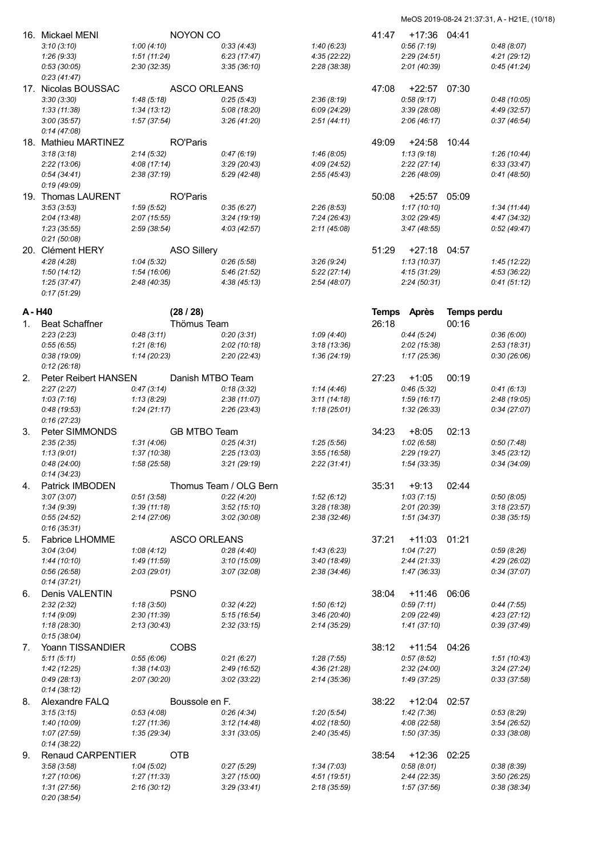|                | 16. Mickael MENI         |              | NOYON CO            |                        |              | 41:47        | +17:36 04:41   |             |              |
|----------------|--------------------------|--------------|---------------------|------------------------|--------------|--------------|----------------|-------------|--------------|
|                | 3:10(3:10)               | 1:00(4:10)   |                     | 0:33(4:43)             | 1:40(6:23)   |              | 0:56(7:19)     |             | 0:48(8:07)   |
|                | 1:26(9:33)               | 1:51(11:24)  |                     | 6:23(17:47)            | 4:35(22:22)  |              | 2:29(24:51)    |             | 4:21(29:12)  |
|                | 0:53(30:05)              | 2:30(32:35)  |                     | 3:35(36:10)            | 2:28(38:38)  |              | 2:01 (40:39)   |             | 0:45(41:24)  |
|                |                          |              |                     |                        |              |              |                |             |              |
|                | 0:23(41:47)              |              |                     |                        |              |              |                |             |              |
|                | 17. Nicolas BOUSSAC      |              | ASCO ORLEANS        |                        |              | 47:08        | $+22:57$ 07:30 |             |              |
|                | 3:30(3:30)               | 1:48(5:18)   |                     | 0:25(5:43)             | 2:36(8:19)   |              | 0:58(9:17)     |             | 0:48(10:05)  |
|                | 1:33(11:38)              | 1:34(13:12)  |                     | 5:08 (18:20)           | 6:09 (24:29) |              | 3:39(28:08)    |             | 4:49 (32:57) |
|                | 3:00(35:57)              | 1:57(37:54)  |                     | 3:26(41:20)            | 2:51(44:11)  |              | 2:06(46:17)    |             | 0:37(46:54)  |
|                | 0:14(47:08)              |              |                     |                        |              |              |                |             |              |
|                | 18. Mathieu MARTINEZ     |              | <b>RO'Paris</b>     |                        |              | 49:09        | +24:58         | 10:44       |              |
|                |                          |              |                     |                        |              |              |                |             |              |
|                | 3:18(3:18)               | 2:14(5:32)   |                     | 0:47(6:19)             | 1:46(8:05)   |              | 1:13(9:18)     |             | 1:26(10:44)  |
|                | 2:22(13:06)              | 4:08(17:14)  |                     | 3:29(20:43)            | 4:09 (24:52) |              | 2:22(27:14)    |             | 6:33(33:47)  |
|                | 0:54(34:41)              | 2:38(37:19)  |                     | 5:29 (42:48)           | 2:55(45:43)  |              | 2:26 (48:09)   |             | 0:41(48:50)  |
|                | 0:19(49:09)              |              |                     |                        |              |              |                |             |              |
|                | 19. Thomas LAURENT       |              | <b>RO'Paris</b>     |                        |              | 50:08        | $+25:57$       | 05:09       |              |
|                | 3:53(3:53)               | 1:59(5:52)   |                     | 0:35(6:27)             | 2:26(8:53)   |              | 1:17(10:10)    |             | 1:34(11:44)  |
|                |                          |              |                     |                        |              |              |                |             |              |
|                | 2:04(13:48)              | 2:07(15:55)  |                     | 3:24(19:19)            | 7:24(26:43)  |              | 3:02(29:45)    |             | 4:47 (34:32) |
|                | 1:23(35:55)              | 2:59(38:54)  |                     | 4:03 (42:57)           | 2:11(45:08)  |              | 3:47(48:55)    |             | 0:52(49:47)  |
|                | 0:21(50:08)              |              |                     |                        |              |              |                |             |              |
|                | 20. Clément HERY         |              | <b>ASO Sillery</b>  |                        |              | 51:29        | $+27:18$ 04:57 |             |              |
|                | 4:28(4:28)               | 1:04(5:32)   |                     | 0:26(5:58)             | 3:26(9:24)   |              | 1:13(10:37)    |             | 1:45(12:22)  |
|                | 1:50(14:12)              | 1:54(16:06)  |                     | 5:46(21:52)            | 5:22(27:14)  |              | 4:15(31:29)    |             | 4:53(36:22)  |
|                |                          |              |                     |                        |              |              |                |             | 0:41(51:12)  |
|                | 1:25(37:47)              | 2:48(40:35)  |                     | 4:38(45:13)            | 2:54(48:07)  |              | 2:24(50:31)    |             |              |
|                | 0:17(51:29)              |              |                     |                        |              |              |                |             |              |
|                |                          |              |                     |                        |              |              |                |             |              |
| A - H40        |                          |              | (28/28)             |                        |              | <b>Temps</b> | <b>Après</b>   | Temps perdu |              |
| 1.             | <b>Beat Schaffner</b>    |              | Thömus Team         |                        |              | 26:18        |                | 00:16       |              |
|                | 2:23(2:23)               | 0:48(3:11)   |                     | 0:20(3:31)             | 1:09(4:40)   |              | 0:44(5:24)     |             | 0.36(6.00)   |
|                | 0:55(6:55)               | 1:21(8:16)   |                     | 2:02(10:18)            | 3:18(13:36)  |              | 2:02(15:38)    |             | 2:53(18:31)  |
|                | 0:38(19:09)              | 1:14(20:23)  |                     | 2:20(22:43)            | 1:36(24:19)  |              | 1:17(25:36)    |             | 0:30(26:06)  |
|                |                          |              |                     |                        |              |              |                |             |              |
|                | 0:12(26:18)              |              |                     |                        |              |              |                |             |              |
| 2.             | Peter Reibert HANSEN     |              | Danish MTBO Team    |                        |              | 27:23        | $+1:05$        | 00:19       |              |
|                | 2:27(2:27)               | 0:47(3:14)   |                     | 0:18(3:32)             | 1:14(4:46)   |              | 0:46(5:32)     |             | 0:41(6:13)   |
|                | 1:03(7:16)               | 1:13(8:29)   |                     | 2:38(11:07)            | 3:11(14:18)  |              | 1:59(16:17)    |             | 2:48 (19:05) |
|                | 0:48(19:53)              | 1:24(21:17)  |                     | 2:26(23:43)            | 1:18(25:01)  |              | 1:32(26:33)    |             | 0:34(27:07)  |
|                | 0:16(27:23)              |              |                     |                        |              |              |                |             |              |
|                |                          |              |                     |                        |              |              |                |             |              |
| 3.             | Peter SIMMONDS           |              | GB MTBO Team        |                        |              | 34:23        | $+8:05$        | 02:13       |              |
|                | 2:35(2:35)               | 1:31(4:06)   |                     | 0:25(4:31)             | 1:25(5:56)   |              | 1:02(6:58)     |             | 0:50(7:48)   |
|                | 1:13(9:01)               | 1:37(10:38)  |                     | 2:25(13:03)            | 3:55(16:58)  |              | 2:29(19:27)    |             | 3:45(23:12)  |
|                | 0:48(24:00)              | 1:58(25:58)  |                     | 3:21(29:19)            | 2:22(31:41)  |              | 1:54(33:35)    |             | 0:34(34:09)  |
|                | 0:14(34:23)              |              |                     |                        |              |              |                |             |              |
| 4.             | Patrick IMBODEN          |              |                     | Thomus Team / OLG Bern |              | 35:31        |                | 02:44       |              |
|                |                          |              |                     |                        |              |              | $+9:13$        |             |              |
|                | 3:07(3:07)               | 0:51(3:58)   |                     | 0:22(4:20)             | 1:52(6:12)   |              | 1:03(7:15)     |             | 0:50(8:05)   |
|                | 1:34(9:39)               | 1:39(11:18)  |                     | 3:52(15:10)            | 3:28(18:38)  |              | 2:01 (20:39)   |             | 3:18(23:57)  |
|                | 0:55(24:52)              | 2:14(27:06)  |                     | 3:02(30:08)            | 2:38(32:46)  |              | 1:51(34:37)    |             | 0:38(35:15)  |
|                | 0:16(35:31)              |              |                     |                        |              |              |                |             |              |
| 5.             | <b>Fabrice LHOMME</b>    |              | <b>ASCO ORLEANS</b> |                        |              | 37:21        | +11:03         | 01:21       |              |
|                |                          |              |                     |                        |              |              |                |             |              |
|                | 3:04(3:04)               | 1:08(4:12)   |                     | 0:28(4:40)             | 1:43(6:23)   |              | 1:04(7:27)     |             | 0:59(8:26)   |
|                | 1:44(10:10)              | 1:49(11:59)  |                     | 3:10(15:09)            | 3:40(18:49)  |              | 2:44(21:33)    |             | 4:29 (26:02) |
|                | 0.56(26.58)              | 2:03(29:01)  |                     | 3:07(32:08)            | 2:38(34:46)  |              | 1:47(36:33)    |             | 0:34(37:07)  |
|                | 0:14(37:21)              |              |                     |                        |              |              |                |             |              |
| 6.             | Denis VALENTIN           |              | <b>PSNO</b>         |                        |              | 38:04        | $+11:46$       | 06:06       |              |
|                | 2:32(2:32)               | 1:18(3:50)   |                     | 0:32(4:22)             | 1:50(6:12)   |              | 0:59(7:11)     |             | 0:44(7:55)   |
|                |                          |              |                     |                        |              |              | 2:09 (22:49)   |             |              |
|                | 1:14(9:09)               | 2:30(11:39)  |                     | 5:15(16:54)            | 3:46(20:40)  |              |                |             | 4:23(27:12)  |
|                | 1:18(28:30)              | 2:13(30:43)  |                     | 2:32(33:15)            | 2:14(35:29)  |              | 1:41(37:10)    |             | 0:39 (37:49) |
|                | 0:15(38:04)              |              |                     |                        |              |              |                |             |              |
| 7 <sub>1</sub> | Yoann TISSANDIER         |              | <b>COBS</b>         |                        |              | 38:12        | $+11:54$       | 04:26       |              |
|                | 5:11(5:11)               | 0:55(6:06)   |                     | 0:21(6:27)             | 1:28(7:55)   |              | 0:57(8:52)     |             | 1:51(10:43)  |
|                | 1:42(12:25)              | 1:38(14:03)  |                     | 2:49 (16:52)           | 4:36(21:28)  |              | 2:32(24:00)    |             | 3:24(27:24)  |
|                |                          | 2:07 (30:20) |                     |                        |              |              |                |             |              |
|                | 0:49(28:13)              |              |                     | 3:02(33:22)            | 2:14(35:36)  |              | 1:49 (37:25)   |             | 0:33(37:58)  |
|                | 0:14(38:12)              |              |                     |                        |              |              |                |             |              |
| 8.             | Alexandre FALQ           |              | Boussole en F.      |                        |              | 38:22        | +12:04         | 02:57       |              |
|                | 3:15(3:15)               | 0:53(4:08)   |                     | 0.26(4.34)             | 1:20(5:54)   |              | 1:42(7:36)     |             | 0:53(8:29)   |
|                | 1:40(10:09)              | 1:27(11:36)  |                     | 3:12(14:48)            | 4:02 (18:50) |              | 4:08(22:58)    |             | 3:54(26:52)  |
|                | 1:07 (27:59)             | 1:35 (29:34) |                     | 3:31(33:05)            | 2:40(35:45)  |              | 1:50 (37:35)   |             | 0:33 (38:08) |
|                |                          |              |                     |                        |              |              |                |             |              |
|                | 0:14(38:22)              |              |                     |                        |              |              |                |             |              |
| 9.             | <b>Renaud CARPENTIER</b> |              | <b>OTB</b>          |                        |              | 38:54        | +12:36         | 02:25       |              |
|                | 3:58(3:58)               | 1:04(5:02)   |                     | 0:27(5:29)             | 1:34(7:03)   |              | 0:58(8:01)     |             | 0:38(8:39)   |
|                | 1:27(10:06)              | 1:27(11:33)  |                     | 3:27(15:00)            | 4:51 (19:51) |              | 2:44(22:35)    |             | 3:50(26:25)  |
|                | 1:31(27:56)              | 2:16(30:12)  |                     | 3:29(33:41)            | 2:18(35:59)  |              | 1:57 (37:56)   |             | 0:38 (38:34) |
|                | 0:20(38:54)              |              |                     |                        |              |              |                |             |              |
|                |                          |              |                     |                        |              |              |                |             |              |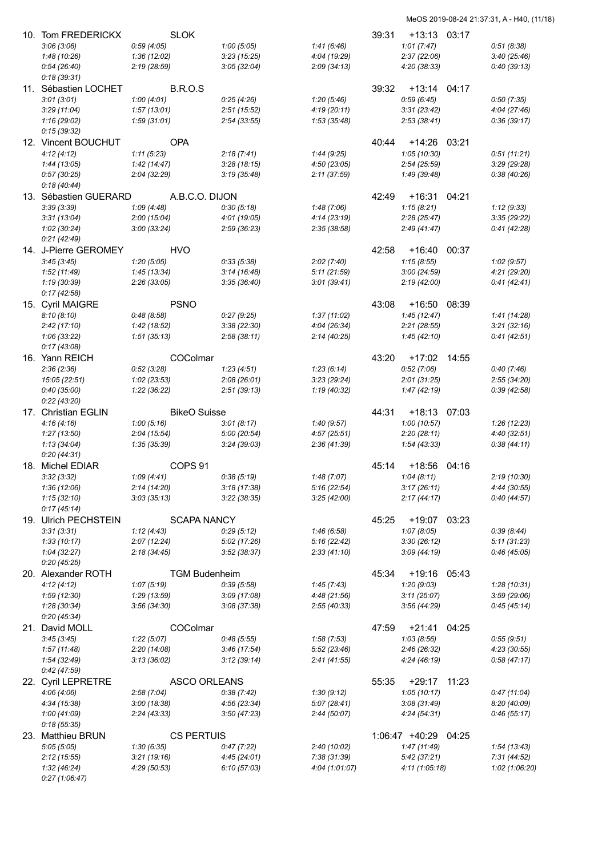| 10. Tom FREDERICKX           | <b>SLOK</b>                |                             |                              | 39:31 | +13:13                     | 03:17 |                           |
|------------------------------|----------------------------|-----------------------------|------------------------------|-------|----------------------------|-------|---------------------------|
| 3:06(3:06)                   | 0:59(4:05)                 | 1:00(5:05)                  | 1:41(6:46)                   |       | 1:01(7:47)                 |       | 0:51(8:38)                |
| 1:48(10:26)                  | 1:36(12:02)                | 3:23(15:25)                 | 4:04 (19:29)                 |       | 2:37(22:06)                |       | 3:40(25:46)               |
| 0:54(26:40)                  | 2:19(28:59)                | 3:05(32:04)                 | 2:09(34:13)                  |       | 4:20 (38:33)               |       | 0:40(39:13)               |
| 0:18(39:31)                  |                            |                             |                              |       |                            |       |                           |
| 11. Sébastien LOCHET         | <b>B.R.O.S</b>             |                             |                              | 39:32 | +13:14                     | 04:17 |                           |
| 3:01(3:01)                   | 1:00(4:01)                 | 0:25(4:26)                  | 1:20(5:46)                   |       | 0:59(6:45)                 |       | 0:50(7:35)                |
| 3:29(11:04)                  | 1:57(13:01)                | 2:51(15:52)                 | 4:19(20:11)                  |       | 3:31(23:42)                |       | 4:04(27:46)               |
| 1:16(29:02)                  | 1:59(31:01)                | 2:54(33:55)                 | 1:53 (35:48)                 |       | 2:53(38:41)                |       | 0:36(39:17)               |
| 0:15(39:32)                  |                            |                             |                              |       |                            |       |                           |
| 12. Vincent BOUCHUT          | <b>OPA</b>                 |                             |                              | 40:44 | +14:26                     | 03:21 |                           |
| 4:12(4:12)                   | 1:11(5:23)                 | 2:18(7:41)                  | 1:44(9:25)                   |       | 1:05(10:30)                |       | 0:51(11:21)               |
| 1:44(13:05)                  | 1:42(14:47)                | 3:28(18:15)                 | 4:50(23:05)                  |       | 2:54(25:59)                |       | 3:29(29:28)               |
| 0:57(30:25)                  | 2:04(32:29)                | 3:19(35:48)                 | 2:11(37:59)                  |       | 1:49 (39:48)               |       | 0:38(40:26)               |
| 0:18(40:44)                  |                            |                             |                              |       |                            |       |                           |
| 13. Sébastien GUERARD        | A.B.C.O. DIJON             |                             |                              | 42:49 | $+16:31$                   | 04:21 |                           |
| 3:39(3:39)                   | 1:09(4:48)                 | 0:30(5:18)                  | 1:48(7:06)                   |       | 1:15(8:21)                 |       | 1:12(9:33)<br>3:35(29:22) |
| 3:31(13:04)<br>1:02(30:24)   | 2:00(15:04)<br>3:00(33:24) | 4:01 (19:05)<br>2:59(36:23) | 4:14 (23:19)<br>2:35 (38:58) |       | 2:28(25:47)<br>2:49(41:47) |       | 0:41(42:28)               |
| 0:21(42:49)                  |                            |                             |                              |       |                            |       |                           |
| 14. J-Pierre GEROMEY         | HVO                        |                             |                              | 42:58 | $+16:40$                   | 00:37 |                           |
| 3:45(3:45)                   | 1:20(5:05)                 | 0:33(5:38)                  | 2:02(7:40)                   |       | 1:15(8:55)                 |       | 1:02(9:57)                |
| 1:52(11:49)                  | 1:45(13:34)                | 3:14(16:48)                 | 5:11(21:59)                  |       | 3:00(24:59)                |       | 4:21(29:20)               |
| 1:19(30:39)                  | 2:26(33:05)                | 3:35(36:40)                 | 3:01(39:41)                  |       | 2:19(42:00)                |       | 0:41(42:41)               |
| 0:17(42:58)                  |                            |                             |                              |       |                            |       |                           |
| 15. Cyril MAIGRE             | <b>PSNO</b>                |                             |                              | 43:08 | $+16:50$                   | 08:39 |                           |
| 8:10(8:10)                   | 0:48(8:58)                 | 0:27(9:25)                  | 1:37(11:02)                  |       | 1:45(12:47)                |       | 1:41(14:28)               |
| 2:42(17:10)                  | 1:42 (18:52)               | 3:38(22:30)                 | 4:04(26:34)                  |       | 2:21(28:55)                |       | 3:21(32:16)               |
| 1:06(33:22)                  | 1:51(35:13)                | 2:58(38:11)                 | 2:14 (40:25)                 |       | 1:45(42:10)                |       | 0:41(42:51)               |
| 0:17(43:08)                  |                            |                             |                              |       |                            |       |                           |
| 16. Yann REICH               | COColmar                   |                             |                              | 43:20 | $+17:02$                   | 14:55 |                           |
| 2:36(2:36)                   | 0:52(3:28)                 | 1:23(4:51)                  | 1:23(6:14)                   |       | 0:52(7:06)                 |       | 0:40(7:46)                |
| 15:05 (22:51)                | 1:02(23:53)                | 2:08(26:01)                 | 3:23(29:24)                  |       | 2:01(31:25)                |       | 2:55(34:20)               |
| 0:40(35:00)                  | 1:22(36:22)                | 2:51(39:13)                 | 1:19 (40:32)                 |       | 1:47(42:19)                |       | 0.39(42.58)               |
| 0:22(43:20)                  |                            |                             |                              |       |                            |       |                           |
| 17. Christian EGLIN          | <b>BikeO</b> Suisse        |                             |                              | 44:31 | $+18:13$                   | 07:03 |                           |
| 4:16(4:16)                   | 1:00(5:16)                 | 3:01(8:17)                  | 1:40(9:57)                   |       | 1:00(10:57)                |       | 1:26 (12:23)              |
| 1:27(13:50)                  | 2:04(15:54)                | 5:00 (20:54)                | 4:57(25:51)                  |       | 2:20(28:11)                |       | 4:40(32:51)               |
| 1:13(34:04)<br>0:20(44:31)   | 1:35(35:39)                | 3:24(39:03)                 | 2:36(41:39)                  |       | 1:54(43:33)                |       | 0:38(44:11)               |
| 18. Michel EDIAR             | COPS <sub>91</sub>         |                             |                              | 45:14 | $+18:56$                   | 04:16 |                           |
|                              | 1:09(4:41)                 |                             |                              |       |                            |       | 2:19 (10:30)              |
| 3:32(3:32)<br>1:36(12:06)    | 2:14(14:20)                | 0.38(5.19)<br>3:18(17:38)   | 1:48 (7:07)<br>5:16(22:54)   |       | 1:04(8:11)<br>3:17(26:11)  |       | 4:44 (30:55)              |
| 1:15(32:10)                  | 3:03(35:13)                | 3:22(38:35)                 | 3:25(42:00)                  |       | 2:17(44:17)                |       | 0:40(44:57)               |
| 0:17(45:14)                  |                            |                             |                              |       |                            |       |                           |
| 19. Ulrich PECHSTEIN         | <b>SCAPA NANCY</b>         |                             |                              | 45:25 | +19:07                     | 03:23 |                           |
| 3:31(3:31)                   | 1:12(4:43)                 | 0:29(5:12)                  | 1:46(6:58)                   |       | 1:07(8:05)                 |       | 0:39(8:44)                |
| 1:33(10:17)                  | 2:07(12:24)                | 5:02 (17:26)                | 5:16 (22:42)                 |       | 3:30(26:12)                |       | 5:11(31:23)               |
| 1:04 (32:27)                 | 2:18(34:45)                | 3:52(38:37)                 | 2:33(41:10)                  |       | 3:09(44:19)                |       | 0:46(45:05)               |
| 0:20(45:25)                  |                            |                             |                              |       |                            |       |                           |
| 20. Alexander ROTH           | <b>TGM Budenheim</b>       |                             |                              | 45:34 | $+19:16$                   | 05:43 |                           |
| 4:12(4:12)                   | 1:07(5:19)                 | 0:39(5:58)                  | 1:45(7:43)                   |       | 1:20(9:03)                 |       | 1:28(10:31)               |
| 1:59(12:30)                  | 1:29 (13:59)               | 3:09(17:08)                 | 4:48 (21:56)                 |       | 3:11(25:07)                |       | 3:59(29:06)               |
| 1:28(30:34)                  | 3:56(34:30)                | 3:08(37:38)                 | 2:55(40:33)                  |       | 3:56(44:29)                |       | 0:45(45:14)               |
| 0:20(45:34)                  |                            |                             |                              |       |                            |       |                           |
| 21. David MOLL               | COColmar                   |                             |                              | 47:59 | $+21:41$                   | 04:25 |                           |
| 3:45(3:45)                   |                            | 0:48(5:55)                  | 1:58(7:53)                   |       | 1:03(8:56)                 |       | 0:55(9:51)                |
|                              | 1:22(5:07)                 |                             |                              |       |                            |       |                           |
| 1:57(11:48)                  | 2:20(14:08)                | 3:46(17:54)                 | 5:52 (23:46)                 |       | 2:46(26:32)                |       | 4:23(30:55)               |
| 1:54 (32:49)                 | 3:13(36:02)                | 3:12(39:14)                 | 2:41 (41:55)                 |       | 4:24 (46:19)               |       | 0:58(47:17)               |
| 0:42(47:59)                  |                            |                             |                              |       |                            |       |                           |
| 22. Cyril LEPRETRE           | <b>ASCO ORLEANS</b>        |                             |                              | 55:35 | $+29:17$                   | 11:23 |                           |
| 4:06(4:06)                   | 2:58(7:04)                 | 0:38(7:42)                  | 1:30(9:12)                   |       | 1:05(10:17)                |       | 0:47(11:04)               |
| 4:34(15:38)                  | 3:00(18:38)                | 4:56(23:34)                 | 5:07(28:41)                  |       | 3:08(31:49)                |       | 8:20 (40:09)              |
| 1:00 (41:09)                 | 2:24(43:33)                | 3:50(47:23)                 | 2:44(50:07)                  |       | 4:24(54:31)                |       | 0:46(55:17)               |
| 0:18(55:35)                  |                            |                             |                              |       |                            |       |                           |
| 23. Matthieu BRUN            | <b>CS PERTUIS</b>          |                             |                              |       | 1:06:47 +40:29             | 04:25 |                           |
| 5:05(5:05)                   | 1:30(6:35)                 | 0:47(7:22)                  | 2:40 (10:02)                 |       | 1:47(11:49)                |       | 1:54(13:43)               |
| 2:12(15:55)                  | 3:21(19:16)                | 4:45 (24:01)                | 7:38(31:39)                  |       | 5:42(37:21)                |       | 7:31(44:52)               |
| 1:32(46:24)<br>0:27(1:06:47) | 4:29(50:53)                | 6:10(57:03)                 | 4:04 (1:01:07)               |       | 4:11(1:05:18)              |       | 1:02 (1:06:20)            |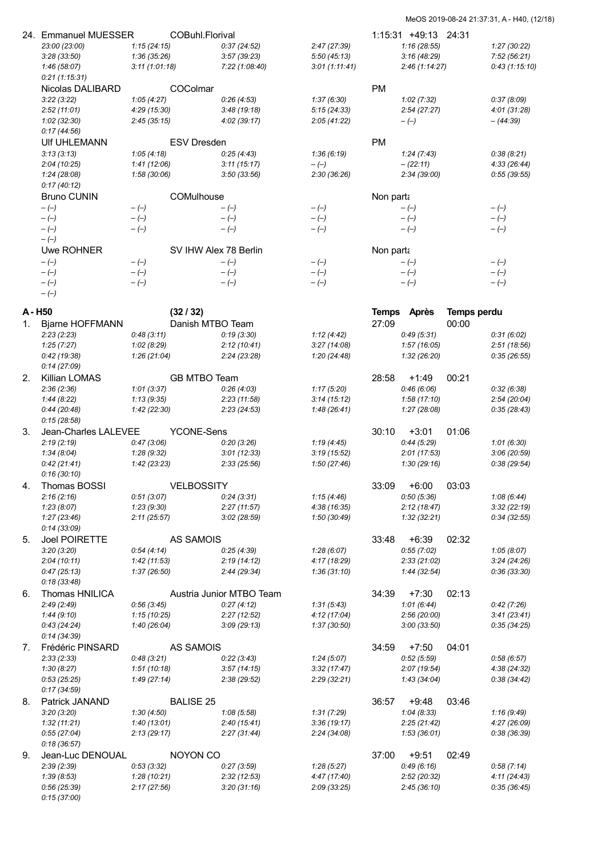|    | 24. Emmanuel MUESSER          |                            | COBuhl.Florival       |                            |                           |           | 1:15:31 +49:13 24:31        |             |                            |
|----|-------------------------------|----------------------------|-----------------------|----------------------------|---------------------------|-----------|-----------------------------|-------------|----------------------------|
|    | 23:00 (23:00)                 | 1:15(24:15)                |                       | 0:37(24:52)                | 2:47(27:39)               |           | 1:16(28:55)                 |             | 1:27(30:22)                |
|    | 3:28(33:50)                   | 1:36(35:26)                |                       | 3:57(39:23)                | 5:50(45:13)               |           | 3:16(48:29)                 |             | 7:52(56:21)                |
|    | 1:46(58:07)<br>0:21(1:15:31)  | 3:11(1:01:18)              |                       | 7:22 (1:08:40)             | 3:01(1:11:41)             |           | 2:46(1:14:27)               |             | 0:43(1:15:10)              |
|    | Nicolas DALIBARD              |                            | COColmar              |                            |                           | <b>PM</b> |                             |             |                            |
|    | 3:22(3:22)                    | 1:05(4:27)                 |                       | 0:26(4:53)                 | 1:37(6:30)                |           | 1:02(7:32)                  |             | 0:37(8:09)                 |
|    | 2:52(11:01)                   | 4:29(15:30)                |                       | 3:48(19:18)                | 5:15(24:33)               |           | 2:54(27:27)                 |             | 4:01(31:28)                |
|    | 1:02(32:30)                   | 2:45(35:15)                |                       | 4:02(39:17)                | 2:05(41:22)               |           | $-(-)$                      |             | $-(44.39)$                 |
|    | 0:17(44:56)                   |                            |                       |                            |                           |           |                             |             |                            |
|    | UIf UHLEMANN                  |                            | <b>ESV Dresden</b>    |                            |                           | <b>PM</b> |                             |             |                            |
|    | 3:13(3:13)                    | 1:05(4:18)                 |                       | 0:25(4:43)                 | 1:36(6:19)                |           | 1:24(7:43)                  |             | 0:38(8:21)                 |
|    | 2:04(10:25)<br>1:24(28:08)    | 1:41(12:06)<br>1:58(30:06) |                       | 3:11(15:17)<br>3:50(33:56) | $-(-)$<br>2:30(36:26)     |           | $- (22:11)$<br>2:34 (39:00) |             | 4:33(26:44)<br>0:55(39:55) |
|    | 0:17(40:12)                   |                            |                       |                            |                           |           |                             |             |                            |
|    | <b>Bruno CUNIN</b>            |                            | COMulhouse            |                            |                           | Non parta |                             |             |                            |
|    | $-(-)$                        | $-(-)$                     |                       | $-(-)$                     | $-(-)$                    |           | $-(-)$                      |             | $-(-)$                     |
|    | $-(-)$                        | $-(-)$                     |                       | $-(-)$                     | $-(-)$                    |           | $-(-)$                      |             | $-(-)$                     |
|    | $-(-)$                        | $-(-)$                     |                       | $-(-)$                     | $-(-)$                    |           | $-(-)$                      |             | $-(-)$                     |
|    | $-(-)$                        |                            |                       |                            |                           |           |                             |             |                            |
|    | Uwe ROHNER                    |                            | SV IHW Alex 78 Berlin |                            |                           | Non parta |                             |             |                            |
|    | $-(-)$                        | $-(-)$                     |                       | $-(-)$                     | $-(-)$                    |           | $-(-)$                      |             | $-(-)$                     |
|    | $-(-)$                        | $-(-)$                     |                       | $-(-)$                     | $-(-)$                    |           | $-(-)$                      |             | $-(-)$                     |
|    | $-(-)$<br>$-(-)$              | $-(-)$                     |                       | $-(-)$                     | $-(-)$                    |           | $-(-)$                      |             | $-(-)$                     |
|    |                               |                            |                       |                            |                           |           |                             |             |                            |
|    | A - H50                       |                            | (32/32)               |                            |                           |           | Temps Après                 | Temps perdu |                            |
| 1. | Bjarne HOFFMANN               |                            | Danish MTBO Team      |                            |                           | 27:09     |                             | 00:00       |                            |
|    | 2:23(2:23)                    | 0:48(3:11)                 |                       | 0:19(3:30)                 | 1:12(4:42)                |           | 0:49(5:31)                  |             | 0:31(6:02)                 |
|    | 1:25(7:27)                    | 1:02(8:29)                 |                       | 2:12(10:41)                | 3:27(14:08)               |           | 1:57(16:05)                 |             | 2:51(18:56)                |
|    | 0:42(19:38)<br>0:14(27:09)    | 1:26(21:04)                |                       | 2:24(23:28)                | 1:20(24:48)               |           | 1:32(26:20)                 |             | 0:35(26:55)                |
| 2. | Killian LOMAS                 |                            | GB MTBO Team          |                            |                           | 28:58     | $+1:49$                     | 00:21       |                            |
|    | 2:36(2:36)                    | 1:01(3:37)                 |                       | 0:26(4:03)                 | 1:17(5:20)                |           | 0:46(6:06)                  |             | 0:32(6:38)                 |
|    | 1:44(8:22)                    | 1:13(9:35)                 |                       | 2:23(11:58)                | 3:14(15:12)               |           | 1:58(17:10)                 |             | 2:54(20:04)                |
|    | 0:44(20:48)                   | 1:42(22:30)                |                       | 2:23(24:53)                | 1:48(26:41)               |           | 1:27(28:08)                 |             | 0:35(28:43)                |
|    | 0:15(28:58)                   |                            |                       |                            |                           |           |                             |             |                            |
| 3. | Jean-Charles LALEVEE          |                            | <b>YCONE-Sens</b>     |                            |                           | 30:10     | $+3:01$                     | 01:06       |                            |
|    | 2:19(2:19)                    | 0:47(3:06)                 |                       | 0:20(3:26)                 | 1:19(4:45)                |           | 0:44(5:29)                  |             | 1:01(6:30)                 |
|    | 1:34(8:04)                    | 1:28(9:32)                 |                       | 3:01(12:33)                | 3:19(15:52)               |           | 2:01(17:53)                 |             | 3:06(20:59)                |
|    | 0:42(21:41)<br>0:16(30:10)    | 1:42(23:23)                |                       | 2:33(25:56)                | 1:50(27:46)               |           | 1:30(29:16)                 |             | 0:38(29:54)                |
| 4. | Thomas BOSSI                  |                            | <b>VELBOSSITY</b>     |                            |                           | 33:09     | $+6:00$                     | 03:03       |                            |
|    | 2:16(2:16)                    | 0:51(3:07)                 |                       | 0:24(3:31)                 | 1:15(4:46)                |           | 0:50(5:36)                  |             | 1:08(6:44)                 |
|    | 1:23(8:07)                    | 1:23(9:30)                 |                       | 2:27(11:57)                | 4:38 (16:35)              |           | 2:12(18:47)                 |             | 3:32(22:19)                |
|    | 1:27(23:46)                   | 2:11(25:57)                |                       | 3:02(28:59)                | 1:50 (30:49)              |           | 1:32(32:21)                 |             | 0:34(32:55)                |
|    | 0:14(33:09)                   |                            |                       |                            |                           |           |                             |             |                            |
| 5. | <b>Joel POIRETTE</b>          |                            | <b>AS SAMOIS</b>      |                            |                           | 33:48     | $+6:39$                     | 02:32       |                            |
|    | 3:20(3:20)                    | 0:54(4:14)                 |                       | 0:25(4:39)                 | 1:28(6:07)                |           | 0:55(7:02)                  |             | 1:05(8:07)                 |
|    | 2:04(10:11)                   | 1:42(11:53)                |                       | 2:19(14:12)                | 4:17 (18:29)              |           | 2:33(21:02)                 |             | 3:24(24:26)                |
|    | 0:47(25:13)                   | 1:37(26:50)                |                       | 2:44 (29:34)               | 1:36(31:10)               |           | 1:44 (32:54)                |             | 0:36(33:30)                |
| 6. | 0:18(33:48)<br>Thomas HNILICA |                            |                       | Austria Junior MTBO Team   |                           | 34:39     | $+7:30$                     | 02:13       |                            |
|    | 2:49(2:49)                    | 0:56(3:45)                 |                       | 0:27(4:12)                 | 1:31(5:43)                |           | 1:01(6:44)                  |             | 0:42(7:26)                 |
|    | 1:44(9:10)                    | 1:15(10:25)                |                       | 2:27(12:52)                | 4:12(17:04)               |           | 2:56 (20:00)                |             | 3:41(23:41)                |
|    | 0:43(24:24)                   | 1:40 (26:04)               |                       | 3:09(29:13)                | 1:37 (30:50)              |           | 3:00(33:50)                 |             | 0:35(34:25)                |
|    | 0:14(34:39)                   |                            |                       |                            |                           |           |                             |             |                            |
| 7. | Frédéric PINSARD              |                            | <b>AS SAMOIS</b>      |                            |                           | 34:59     | $+7:50$                     | 04:01       |                            |
|    | 2:33(2:33)                    | 0:48(3:21)                 |                       | 0:22(3:43)                 | 1:24(5:07)                |           | 0:52(5:59)                  |             | 0.58(6.57)                 |
|    | 1:30(8:27)                    | 1:51(10:18)                |                       | 3:57(14:15)                | 3:32(17:47)               |           | 2:07(19:54)                 |             | 4:38(24:32)                |
|    | 0:53(25:25)                   | 1:49(27:14)                |                       | 2:38(29:52)                | 2:29(32:21)               |           | 1:43(34:04)                 |             | 0:38(34:42)                |
|    | 0:17(34:59)                   |                            |                       |                            |                           |           |                             |             |                            |
| 8. | Patrick JANAND<br>3:20(3:20)  | 1:30(4:50)                 | <b>BALISE 25</b>      | 1:08(5:58)                 |                           | 36:57     | $+9:48$<br>1:04(8:33)       | 03:46       | 1:16(9:49)                 |
|    | 1:32(11:21)                   | 1:40(13:01)                |                       | 2:40(15:41)                | 1:31(7:29)<br>3:36(19:17) |           | 2:25(21:42)                 |             | 4:27(26:09)                |
|    | 0:55(27:04)                   | 2:13(29:17)                |                       | 2:27(31:44)                | 2:24 (34:08)              |           | 1:53 (36:01)                |             | 0.38(36.39)                |
|    | 0:18(36:57)                   |                            |                       |                            |                           |           |                             |             |                            |
| 9. | Jean-Luc DENOUAL              |                            | NOYON CO              |                            |                           | 37:00     | $+9:51$                     | 02:49       |                            |
|    | 2:39(2:39)                    | 0:53(3:32)                 |                       | 0:27(3:59)                 | 1:28(5:27)                |           | 0:49(6:16)                  |             | 0:58(7:14)                 |
|    | 1:39(8:53)                    | 1:28(10:21)                |                       | 2:32(12:53)                | 4:47 (17:40)              |           | 2:52 (20:32)                |             | 4:11 (24:43)               |
|    | 0:56(25:39)                   | 2:17(27:56)                |                       | 3:20(31:16)                | 2:09(33:25)               |           | 2:45(36:10)                 |             | 0:35(36:45)                |
|    | 0:15(37:00)                   |                            |                       |                            |                           |           |                             |             |                            |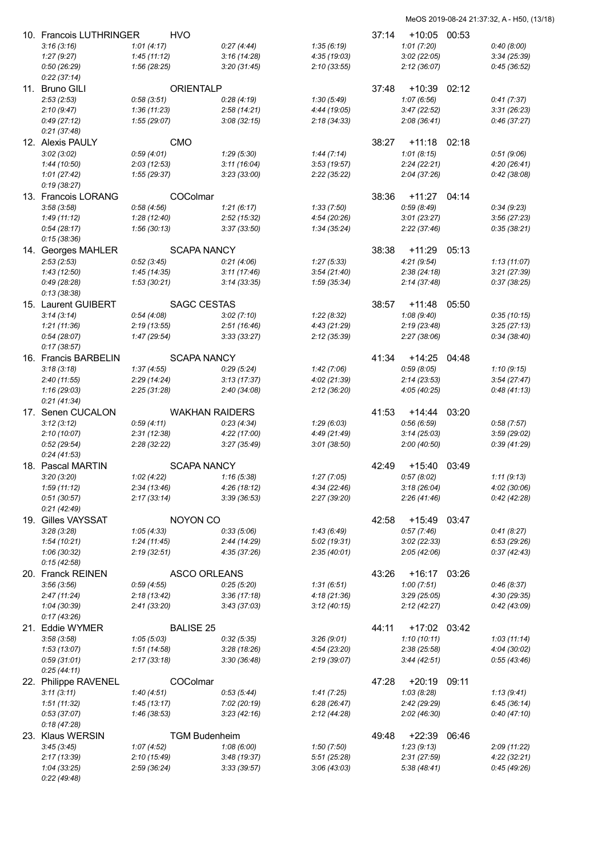| 10. Francois LUTHRINGER    |              | <b>HVO</b>            |              |              | 37:14 | +10:05       | 00:53 |              |
|----------------------------|--------------|-----------------------|--------------|--------------|-------|--------------|-------|--------------|
| 3:16(3:16)                 | 1:01(4:17)   |                       | 0:27(4:44)   | 1:35(6:19)   |       | 1:01(7:20)   |       | 0:40(8:00)   |
| 1:27(9:27)                 | 1:45(11:12)  |                       | 3:16(14:28)  | 4:35(19:03)  |       | 3:02(22:05)  |       | 3:34(25:39)  |
| 0:50(26:29)                | 1:56(28:25)  |                       | 3:20(31:45)  | 2:10(33:55)  |       | 2:12(36:07)  |       | 0:45(36:52)  |
| 0:22(37:14)                |              |                       |              |              |       |              |       |              |
| 11. Bruno GILI             |              | <b>ORIENTALP</b>      |              |              | 37:48 | $+10:39$     | 02:12 |              |
| 2:53(2:53)                 | 0:58(3:51)   |                       | 0:28(4:19)   | 1:30(5:49)   |       | 1:07(6:56)   |       | 0:41(7:37)   |
| 2:10(9:47)                 | 1:36(11:23)  |                       | 2:58(14:21)  | 4:44 (19:05) |       | 3:47(22:52)  |       | 3:31(26:23)  |
| 0:49(27:12)                | 1:55(29:07)  |                       | 3:08(32:15)  | 2:18(34:33)  |       | 2:08(36:41)  |       | 0:46(37:27)  |
| 0:21(37:48)                |              |                       |              |              |       |              |       |              |
| 12. Alexis PAULY           |              | CMO                   |              |              | 38:27 | +11:18       | 02:18 |              |
| 3:02(3:02)                 | 0:59(4:01)   |                       | 1:29(5:30)   | 1:44(7:14)   |       | 1:01(8:15)   |       | 0:51(9:06)   |
| 1:44(10:50)                | 2:03(12:53)  |                       | 3:11(16:04)  | 3:53(19:57)  |       | 2:24(22:21)  |       | 4:20(26:41)  |
| 1:01(27:42)                | 1:55(29:37)  |                       | 3:23(33:00)  | 2:22(35:22)  |       | 2:04(37:26)  |       | 0:42(38:08)  |
| 0:19(38:27)                |              |                       |              |              |       |              |       |              |
| 13. Francois LORANG        |              | COColmar              |              |              | 38:36 | $+11:27$     | 04:14 |              |
| 3:58(3:58)                 | 0.58(4.56)   |                       | 1:21(6:17)   | 1:33(7:50)   |       | 0:59(8:49)   |       | 0:34(9:23)   |
| 1:49(11:12)                | 1:28(12:40)  |                       | 2:52(15:32)  | 4:54(20:26)  |       | 3:01(23:27)  |       | 3:56(27:23)  |
| 0:54(28:17)                | 1:56 (30:13) |                       | 3:37(33:50)  | 1:34 (35:24) |       | 2:22 (37:46) |       | 0:35(38:21)  |
| 0:15(38:36)                |              |                       |              |              |       |              |       |              |
| 14. Georges MAHLER         |              | <b>SCAPA NANCY</b>    |              |              | 38:38 | $+11:29$     | 05:13 |              |
| 2:53(2:53)                 | 0:52(3:45)   |                       | 0:21(4:06)   | 1:27(5:33)   |       | 4:21(9:54)   |       | 1:13(11:07)  |
| 1:43(12:50)                | 1:45(14:35)  |                       | 3:11(17:46)  | 3:54(21:40)  |       | 2:38(24:18)  |       | 3:21(27:39)  |
| 0:49(28:28)                | 1:53(30:21)  |                       | 3:14(33:35)  | 1:59 (35:34) |       | 2:14 (37:48) |       | 0:37(38:25)  |
| 0:13(38:38)                |              |                       |              |              |       |              |       |              |
| 15. Laurent GUIBERT        |              | <b>SAGC CESTAS</b>    |              |              | 38:57 | $+11:48$     | 05:50 |              |
| 3:14(3:14)                 | 0:54(4:08)   |                       | 3:02(7:10)   | 1:22(8:32)   |       | 1:08(9:40)   |       | 0:35(10:15)  |
| 1:21(11:36)                | 2:19(13:55)  |                       | 2:51(16:46)  | 4:43(21:29)  |       | 2:19(23:48)  |       | 3:25(27:13)  |
| 0:54(28:07)                | 1:47(29:54)  |                       | 3:33(33:27)  | 2:12(35:39)  |       | 2:27(38:06)  |       | 0:34(38:40)  |
| 0:17(38:57)                |              |                       |              |              |       |              |       |              |
| 16. Francis BARBELIN       |              | <b>SCAPA NANCY</b>    |              |              | 41:34 | +14:25       | 04:48 |              |
| 3:18(3:18)                 | 1:37(4:55)   |                       | 0:29(5:24)   | 1:42(7:06)   |       | 0:59(8:05)   |       | 1:10(9:15)   |
| 2:40(11:55)                | 2:29(14:24)  |                       | 3:13(17:37)  | 4:02(21:39)  |       | 2:14(23:53)  |       | 3:54(27:47)  |
| 1:16(29:03)                | 2:25(31:28)  |                       | 2:40(34:08)  | 2:12(36:20)  |       | 4:05 (40:25) |       | 0:48(41:13)  |
| 0:21(41:34)                |              |                       |              |              |       |              |       |              |
| 17. Senen CUCALON          |              | <b>WAKHAN RAIDERS</b> |              |              | 41:53 | +14:44       | 03:20 |              |
| 3:12(3:12)                 | 0:59(4:11)   |                       | 0:23(4:34)   | 1:29(6:03)   |       | 0.56(6.59)   |       | 0:58(7:57)   |
| 2:10(10:07)                | 2:31(12:38)  |                       | 4:22 (17:00) | 4:49 (21:49) |       | 3:14(25:03)  |       | 3:59(29:02)  |
| 0:52(29:54)                | 2:28(32:22)  |                       | 3:27(35:49)  | 3:01(38:50)  |       | 2:00 (40:50) |       | 0:39(41:29)  |
| 0:24(41:53)                |              |                       |              |              |       |              |       |              |
| 18. Pascal MARTIN          |              | <b>SCAPA NANCY</b>    |              |              | 42:49 | $+15:40$     | 03:49 |              |
| 3:20(3:20)                 | 1:02(4:22)   |                       | 1:16(5:38)   | 1:27(7:05)   |       | 0:57(8:02)   |       | 1:11(9:13)   |
| 1:59(11:12)                | 2:34(13:46)  |                       | 4:26(18:12)  | 4:34(22:46)  |       | 3:18(26:04)  |       | 4:02(30:06)  |
| 0:51(30:57)                | 2:17(33:14)  |                       | 3:39(36:53)  | 2:27(39:20)  |       | 2:26(41:46)  |       | 0:42(42:28)  |
| 0:21(42:49)                |              |                       |              |              |       |              |       |              |
| 19. Gilles VAYSSAT         |              | NOYON CO              |              |              | 42:58 | +15:49 03:47 |       |              |
| 3:28(3:28)                 | 1:05(4:33)   |                       | 0:33(5:06)   | 1:43(6:49)   |       | 0:57(7:46)   |       | 0:41(8:27)   |
| 1:54 (10:21)               | 1:24(11:45)  |                       | 2:44(14:29)  | 5:02(19:31)  |       | 3:02(22:33)  |       | 6:53 (29:26) |
| 1:06 (30:32)               | 2:19(32:51)  |                       | 4:35(37:26)  | 2:35(40:01)  |       | 2:05(42:06)  |       | 0:37(42:43)  |
| 0:15(42:58)                |              |                       |              |              |       |              |       |              |
| 20. Franck REINEN          |              | <b>ASCO ORLEANS</b>   |              |              | 43:26 | +16:17 03:26 |       |              |
| 3:56(3:56)                 | 0:59(4:55)   |                       | 0:25(5:20)   | 1:31(6:51)   |       | 1:00(7:51)   |       | 0:46(8:37)   |
| 2:47(11:24)                | 2:18(13:42)  |                       | 3:36(17:18)  | 4:18(21:36)  |       | 3:29(25:05)  |       | 4:30 (29:35) |
| 1:04 (30:39)               | 2:41(33:20)  |                       | 3:43(37:03)  | 3:12(40:15)  |       | 2:12(42:27)  |       | 0:42(43:09)  |
| 0:17(43:26)                |              |                       |              |              |       |              |       |              |
| 21. Eddie WYMER            |              | <b>BALISE 25</b>      |              |              | 44:11 | +17:02 03:42 |       |              |
| 3:58(3:58)                 | 1:05(5:03)   |                       | 0:32(5:35)   | 3:26(9:01)   |       | 1:10(10:11)  |       | 1:03(11:14)  |
| 1:53(13:07)                | 1:51(14:58)  |                       | 3:28(18:26)  | 4:54(23:20)  |       | 2:38(25:58)  |       | 4:04(30:02)  |
| 0:59(31:01)                | 2:17(33:18)  |                       | 3:30(36:48)  | 2:19(39:07)  |       | 3:44(42:51)  |       | 0:55(43:46)  |
| 0:25(44:11)                |              |                       |              |              |       |              |       |              |
|                            |              | COColmar              |              |              | 47:28 | +20:19       | 09:11 |              |
| 22. Philippe RAVENEL       |              |                       |              |              |       |              |       |              |
| 3:11(3:11)                 | 1:40(4:51)   |                       | 0:53(5:44)   | 1:41(7:25)   |       | 1:03(8:28)   |       | 1:13 (9:41)  |
| 1:51(11:32)                | 1:45(13:17)  |                       | 7:02 (20:19) | 6:28(26:47)  |       | 2:42 (29:29) |       | 6:45(36:14)  |
| 0:53(37:07)                | 1:46(38:53)  |                       | 3:23(42:16)  | 2:12(44:28)  |       | 2:02(46:30)  |       | 0:40(47:10)  |
| 0:18(47:28)                |              |                       |              |              |       |              |       |              |
| 23. Klaus WERSIN           |              | <b>TGM Budenheim</b>  |              |              | 49:48 | +22:39       | 06:46 |              |
| 3:45(3:45)                 | 1:07(4:52)   |                       | 1:08(6:00)   | 1:50(7:50)   |       | 1:23(9:13)   |       | 2:09(11:22)  |
| 2:17(13:39)                | 2:10(15:49)  |                       | 3:48(19:37)  | 5:51(25:28)  |       | 2:31(27:59)  |       | 4:22 (32:21) |
| 1:04(33:25)<br>0:22(49:48) | 2:59(36:24)  |                       | 3:33(39:57)  | 3:06(43:03)  |       | 5:38 (48:41) |       | 0:45(49:26)  |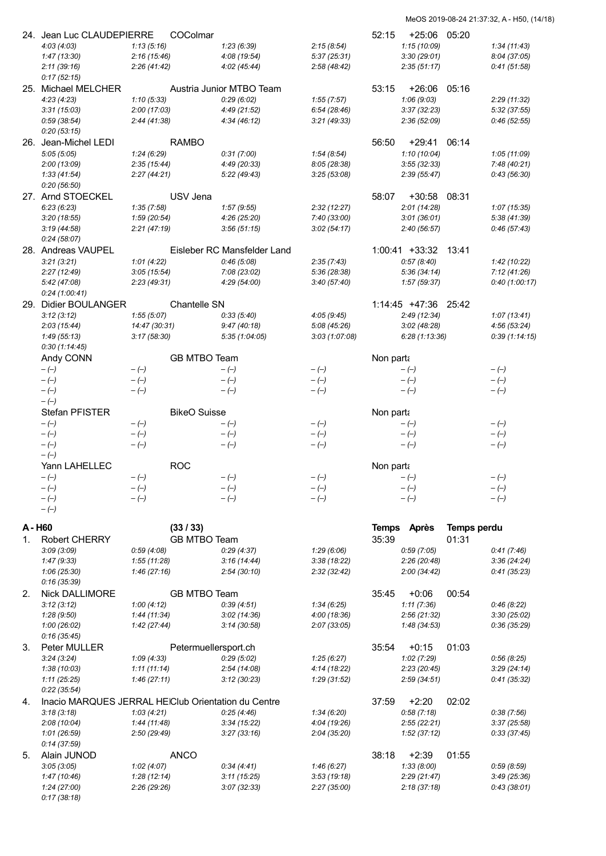|       | 24. Jean Luc CLAUDEPIERRE                           |                           | COColmar                |                             |                             | 52:15     | $+25:06$                      | 05:20                |                             |
|-------|-----------------------------------------------------|---------------------------|-------------------------|-----------------------------|-----------------------------|-----------|-------------------------------|----------------------|-----------------------------|
|       | 4:03(4:03)                                          | 1:13(5:16)                |                         | 1:23(6:39)                  | 2:15(8:54)                  |           | 1:15(10:09)                   |                      | 1:34(11:43)                 |
|       | 1:47(13:30)                                         | 2:16(15:46)               |                         | 4:08 (19:54)                | 5:37(25:31)                 |           | 3:30(29:01)                   |                      | 8:04(37:05)                 |
|       | 2:11(39:16)                                         | 2:26(41:42)               |                         | 4:02(45:44)                 | 2:58(48:42)                 |           | 2:35(51:17)                   |                      | 0:41(51:58)                 |
|       | 0:17(52:15)                                         |                           |                         |                             |                             |           |                               |                      |                             |
|       | 25. Michael MELCHER                                 |                           |                         | Austria Junior MTBO Team    |                             | 53:15     | $+26:06$                      | 05:16                |                             |
|       | 4:23(4:23)<br>3:31(15:03)                           | 1:10(5:33)<br>2:00(17:03) |                         | 0:29(6:02)<br>4:49 (21:52)  | 1:55(7:57)<br>6:54(28:46)   |           | 1:06(9:03)<br>3:37(32:23)     |                      | 2:29 (11:32)<br>5:32(37:55) |
|       | 0:59(38:54)                                         | 2:44(41:38)               |                         | 4:34(46:12)                 | 3:21(49:33)                 |           | 2:36(52:09)                   |                      | 0:46(52:55)                 |
|       | 0:20(53:15)                                         |                           |                         |                             |                             |           |                               |                      |                             |
|       | 26. Jean-Michel LEDI                                |                           | <b>RAMBO</b>            |                             |                             | 56:50     | $+29:41$                      | 06:14                |                             |
|       | 5:05(5:05)                                          | 1:24(6:29)                |                         | 0:31(7:00)                  | 1:54(8:54)                  |           | 1:10(10:04)                   |                      | 1:05(11:09)                 |
|       | 2:00(13:09)                                         | 2:35(15:44)               |                         | 4:49 (20:33)                | 8:05 (28:38)                |           | 3:55(32:33)                   |                      | 7:48 (40:21)                |
|       | 1:33(41:54)                                         | 2:27(44:21)               |                         | 5:22 (49:43)                | 3:25(53:08)                 |           | 2:39(55:47)                   |                      | 0:43(56:30)                 |
|       | 0:20(56:50)                                         |                           |                         |                             |                             |           |                               |                      |                             |
|       | 27. Arnd STOECKEL                                   |                           | USV Jena                | 1:57(9:55)                  |                             | 58:07     | $+30:58$                      | 08:31                |                             |
|       | 6:23(6:23)<br>3:20(18:55)                           | 1:35(7:58)<br>1:59(20:54) |                         | 4:26 (25:20)                | 2:32(12:27)<br>7:40 (33:00) |           | 2:01(14:28)<br>3:01(36:01)    |                      | 1:07(15:35)<br>5:38(41:39)  |
|       | 3:19(44:58)                                         | 2:21(47:19)               |                         | 3:56(51:15)                 | 3:02(54:17)                 |           | 2:40(56:57)                   |                      | 0:46(57:43)                 |
|       | 0:24(58:07)                                         |                           |                         |                             |                             |           |                               |                      |                             |
|       | 28. Andreas VAUPEL                                  |                           |                         | Eisleber RC Mansfelder Land |                             |           | 1:00:41 +33:32 13:41          |                      |                             |
|       | 3:21(3:21)                                          | 1:01(4:22)                |                         | 0.46(5.08)                  | 2:35(7:43)                  |           | 0:57(8:40)                    |                      | 1:42(10:22)                 |
|       | 2:27(12:49)                                         | 3:05(15:54)               |                         | 7:08 (23:02)                | 5:36 (28:38)                |           | 5:36(34:14)                   |                      | 7:12(41:26)                 |
|       | 5:42 (47:08)                                        | 2:23(49:31)               |                         | 4:29(54:00)                 | 3:40(57:40)                 |           | 1:57(59:37)                   |                      | 0:40(1:00:17)               |
|       | 0:24(1:00:41)<br>29. Didier BOULANGER               |                           |                         |                             |                             |           |                               |                      |                             |
|       | 3:12(3:12)                                          | 1:55(5:07)                | Chantelle SN            | 0:33(5:40)                  | 4:05(9:45)                  |           | 1:14:45 +47:36<br>2:49(12:34) | 25:42                | 1:07(13:41)                 |
|       | 2:03(15:44)                                         | 14:47 (30:31)             |                         | 9:47(40:18)                 | 5:08 (45:26)                |           | 3:02(48:28)                   |                      | 4:56(53:24)                 |
|       | 1:49(55:13)                                         | 3:17(58:30)               |                         | 5:35(1:04:05)               | 3:03(1:07:08)               |           | 6:28(1:13:36)                 |                      | 0:39(1:14:15)               |
|       | 0:30(1:14:45)                                       |                           |                         |                             |                             |           |                               |                      |                             |
|       | Andy CONN                                           |                           | GB MTBO Team            |                             |                             | Non parta |                               |                      |                             |
|       | $-(-)$                                              | $-(-)$                    |                         | $-(-)$                      | $-(-)$                      |           | $-(-)$                        |                      | $-(-)$                      |
|       | $-(-)$                                              | $-(-)$                    |                         | $-(-)$                      | $-(-)$                      |           | $-(-)$                        |                      | $-(-)$                      |
|       | $-(-)$<br>$-(-)$                                    | $-(-)$                    |                         | $-(-)$                      | $-(-)$                      |           | $-(-)$                        |                      | $-(-)$                      |
|       | Stefan PFISTER                                      |                           | <b>BikeO</b> Suisse     |                             |                             | Non parta |                               |                      |                             |
|       | $-(-)$                                              | $-(-)$                    |                         | $-(-)$                      | $-(-)$                      |           | $-(-)$                        |                      | $-(-)$                      |
|       | $-(-)$                                              | $-(-)$                    |                         | $-(-)$                      | $-(-)$                      |           | $-(-)$                        |                      | $-(-)$                      |
|       | $-(-)$                                              | $-(-)$                    |                         | $-(-)$                      | $-(-)$                      |           | $-(-)$                        |                      | $-(-)$                      |
|       | $-(-)$                                              |                           |                         |                             |                             |           |                               |                      |                             |
|       | Yann LAHELLEC<br>$-(-)$                             | $-(-)$                    | <b>ROC</b>              | $-(-)$                      | $-(-)$                      | Non parta |                               |                      | $-(-)$                      |
|       | $-(-)$                                              | $-(-)$                    |                         | $-(-)$                      | $-(-)$                      |           | $-(-)$<br>$-(-)$              |                      | $-(-)$                      |
|       | $-(-)$                                              | $-(-)$                    |                         | $-(-)$                      | $-(-)$                      |           | $-(-)$                        |                      | $-(-)$                      |
|       | $-(-)$                                              |                           |                         |                             |                             |           |                               |                      |                             |
| A-H60 |                                                     |                           |                         |                             |                             |           |                               |                      |                             |
|       | <b>Robert CHERRY</b>                                |                           | (33/33)<br>GB MTBO Team |                             |                             | 35:39     | Temps Après                   | Temps perdu<br>01:31 |                             |
| 1.    | 3:09(3:09)                                          | 0:59(4:08)                |                         | 0:29(4:37)                  | 1:29(6:06)                  |           | 0:59(7:05)                    |                      | 0:41(7:46)                  |
|       | 1:47(9:33)                                          | 1:55(11:28)               |                         | 3:16(14:44)                 | 3:38(18:22)                 |           | 2:26(20:48)                   |                      | 3:36(24:24)                 |
|       | 1:06(25:30)                                         | 1:46(27:16)               |                         | 2:54(30:10)                 | 2:32(32:42)                 |           | 2:00(34:42)                   |                      | 0:41(35:23)                 |
|       | 0:16(35:39)                                         |                           |                         |                             |                             |           |                               |                      |                             |
| 2.    | Nick DALLIMORE                                      |                           | GB MTBO Team            |                             |                             | 35:45     | $+0:06$                       | 00:54                |                             |
|       | 3:12(3:12)                                          | 1:00(4:12)                |                         | 0.39(4.51)                  | 1:34(6:25)                  |           | 1:11(7:36)                    |                      | 0:46(8:22)                  |
|       | 1:28(9:50)                                          | 1:44(11:34)               |                         | 3:02(14:36)                 | 4:00(18:36)                 |           | 2:56(21:32)                   |                      | 3:30(25:02)                 |
|       | 1:00(26:02)<br>0:16(35:45)                          | 1:42(27:44)               |                         | 3:14(30:58)                 | 2:07(33:05)                 |           | 1:48(34:53)                   |                      | 0:36(35:29)                 |
| 3.    | Peter MULLER                                        |                           | Petermuellersport.ch    |                             |                             | 35:54     | $+0:15$                       | 01:03                |                             |
|       | 3:24(3:24)                                          | 1:09(4:33)                |                         | 0:29(5:02)                  | 1:25(6:27)                  |           | 1:02(7:29)                    |                      | 0:56(8:25)                  |
|       | 1:38(10:03)                                         | 1:11(11:14)               |                         | 2:54(14:08)                 | 4:14(18:22)                 |           | 2:23(20:45)                   |                      | 3:29(24:14)                 |
|       | 1:11(25:25)                                         | 1:46(27:11)               |                         | 3:12(30:23)                 | 1:29 (31:52)                |           | 2:59(34:51)                   |                      | 0:41(35:32)                 |
|       | 0:22(35:54)                                         |                           |                         |                             |                             |           |                               |                      |                             |
| 4.    | Inacio MARQUES JERRAL HEIClub Orientation du Centre |                           |                         |                             |                             | 37:59     | $+2:20$                       | 02:02                |                             |
|       | 3:18(3:18)                                          | 1:03(4:21)                |                         | 0:25(4:46)                  | 1:34(6:20)<br>4:04 (19:26)  |           | 0:58(7:18)<br>2:55(22:21)     |                      | 0:38(7:56)<br>3:37(25:58)   |
|       |                                                     |                           |                         |                             |                             |           |                               |                      |                             |
|       | 2:08(10:04)                                         | 1:44(11:48)               |                         | 3:34(15:22)                 |                             |           |                               |                      |                             |
|       | 1:01(26:59)                                         | 2:50(29:49)               |                         | 3:27(33:16)                 | 2:04(35:20)                 |           | 1:52(37:12)                   |                      | 0:33(37:45)                 |
| 5.    | 0:14(37:59)<br>Alain JUNOD                          |                           | <b>ANCO</b>             |                             |                             | 38:18     | $+2:39$                       | 01:55                |                             |
|       | 3:05(3:05)                                          | 1:02(4:07)                |                         | 0:34(4:41)                  | 1:46(6:27)                  |           | 1:33(8:00)                    |                      | 0.59(8.59)                  |
|       | 1:47 (10:46)                                        | 1:28(12:14)               |                         | 3:11(15:25)                 | 3:53(19:18)                 |           | 2:29(21:47)                   |                      | 3:49(25:36)                 |
|       | 1:24(27:00)<br>0:17(38:18)                          | 2:26(29:26)               |                         | 3:07(32:33)                 | 2:27(35:00)                 |           | 2:18(37:18)                   |                      | 0:43(38:01)                 |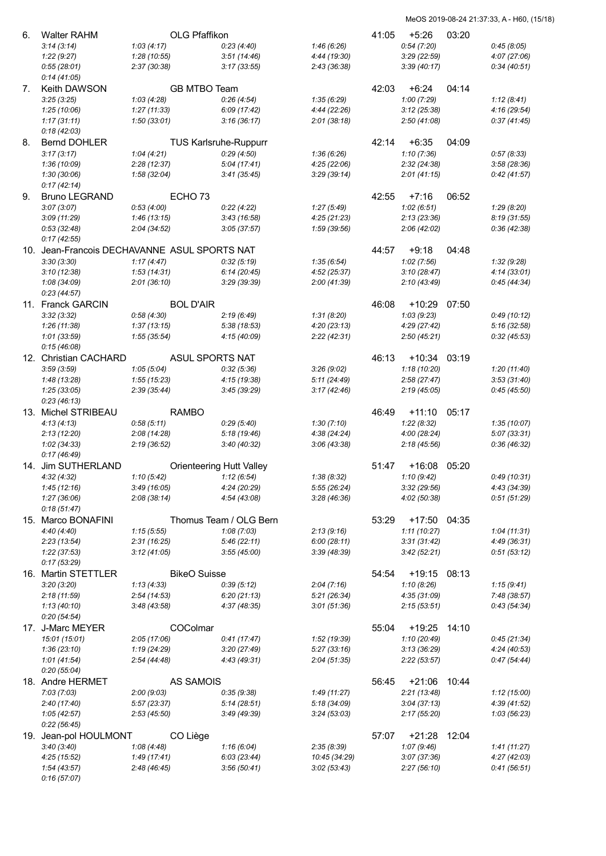| 6. | <b>Walter RAHM</b>                           |                           | OLG Pfaffikon                   |                             | 41:05 | $+5:26$                    | 03:20 |                            |
|----|----------------------------------------------|---------------------------|---------------------------------|-----------------------------|-------|----------------------------|-------|----------------------------|
|    | 3:14(3:14)                                   | 1:03(4:17)                | 0:23(4:40)                      | 1:46(6:26)                  |       | 0:54(7:20)                 |       | 0:45(8:05)                 |
|    | 1:22(9:27)                                   | 1:28(10:55)               | 3:51(14:46)                     | 4:44 (19:30)                |       | 3:29(22:59)                |       | 4:07(27:06)                |
|    | 0:55(28:01)                                  | 2:37(30:38)               | 3:17(33:55)                     | 2:43(36:38)                 |       | 3:39(40:17)                |       | 0:34(40:51)                |
|    | 0:14(41:05)                                  |                           |                                 |                             |       |                            |       |                            |
| 7. | <b>Keith DAWSON</b>                          |                           | <b>GB MTBO Team</b>             |                             | 42:03 | $+6:24$                    | 04:14 |                            |
|    | 3:25(3:25)                                   | 1:03(4:28)                | 0:26(4:54)                      | 1:35(6:29)                  |       | 1:00(7:29)                 |       | 1:12(8:41)                 |
|    | 1:25(10:06)                                  | 1:27(11:33)               | 6:09(17:42)                     | 4:44 (22:26)                |       | 3:12(25:38)                |       | 4:16(29:54)                |
|    | 1:17(31:11)                                  | 1:50(33:01)               | 3:16(36:17)                     |                             |       | 2:50(41:08)                |       | 0:37(41:45)                |
|    | 0:18(42:03)                                  |                           |                                 | 2:01(38:18)                 |       |                            |       |                            |
|    |                                              |                           |                                 |                             |       |                            |       |                            |
| 8. | <b>Bernd DOHLER</b>                          |                           | <b>TUS Karlsruhe-Ruppurr</b>    |                             | 42:14 | $+6:35$                    | 04:09 |                            |
|    | 3:17(3:17)                                   | 1:04(4:21)                | 0:29(4:50)                      | 1:36(6:26)                  |       | 1:10(7:36)                 |       | 0:57(8:33)                 |
|    | 1:36(10:09)                                  | 2:28(12:37)               | 5:04(17:41)                     | 4:25(22:06)                 |       | 2:32(24:38)                |       | 3:58(28:36)                |
|    | 1:30(30:06)                                  | 1:58(32:04)               | 3:41(35:45)                     | 3:29 (39:14)                |       | 2:01(41:15)                |       | 0:42(41:57)                |
|    | 0:17(42:14)                                  |                           |                                 |                             |       |                            |       |                            |
| 9. | <b>Bruno LEGRAND</b>                         | ECHO <sub>73</sub>        |                                 |                             | 42:55 | $+7:16$                    | 06:52 |                            |
|    | 3:07(3:07)                                   | 0:53(4:00)                | 0:22(4:22)                      | 1:27(5:49)                  |       | 1:02(6:51)                 |       | 1:29(8:20)                 |
|    | 3:09(11:29)                                  | 1:46(13:15)               | 3:43(16:58)                     | 4:25(21:23)                 |       | 2:13(23:36)                |       | 8:19(31:55)                |
|    | 0:53(32:48)                                  | 2:04(34:52)               | 3:05(37:57)                     | 1:59 (39:56)                |       | 2:06(42:02)                |       | 0:36(42:38)                |
|    | 0:17(42:55)                                  |                           |                                 |                             |       |                            |       |                            |
|    | 10. Jean-Francois DECHAVANNE ASUL SPORTS NAT |                           |                                 |                             | 44:57 | $+9:18$                    | 04:48 |                            |
|    | 3:30(3:30)                                   | 1:17(4:47)                | 0:32(5:19)                      | 1:35(6:54)                  |       | 1:02(7:56)                 |       | 1:32(9:28)                 |
|    | 3:10(12:38)                                  | 1:53(14:31)               | 6:14(20:45)                     | 4:52(25:37)                 |       | 3:10(28:47)                |       | 4:14(33:01)                |
|    | 1:08(34:09)                                  | 2:01(36:10)               | 3:29(39:39)                     | 2:00(41:39)                 |       | 2:10(43:49)                |       | 0:45(44:34)                |
|    | 0:23(44:57)                                  |                           |                                 |                             |       |                            |       |                            |
|    | 11. Franck GARCIN                            |                           | <b>BOL D'AIR</b>                |                             | 46:08 | $+10:29$                   | 07:50 |                            |
|    | 3:32(3:32)                                   | 0:58(4:30)                | 2:19(6:49)                      | 1:31(8:20)                  |       | 1:03(9:23)                 |       | 0:49(10:12)                |
|    | 1:26(11:38)                                  | 1:37(13:15)               | 5:38(18:53)                     | 4:20(23:13)                 |       | 4:29(27:42)                |       | 5:16 (32:58)               |
|    | 1:01(33:59)                                  | 1:55(35:54)               | 4:15 (40:09)                    | 2:22(42:31)                 |       | 2:50(45:21)                |       | 0:32(45:53)                |
|    | 0:15(46:08)                                  |                           |                                 |                             |       |                            |       |                            |
|    | 12. Christian CACHARD                        |                           | ASUL SPORTS NAT                 |                             | 46:13 | $+10:34$                   | 03:19 |                            |
|    | 3:59(3:59)                                   | 1:05(5:04)                | 0:32(5:36)                      | 3:26(9:02)                  |       | 1:18(10:20)                |       | 1:20(11:40)                |
|    | 1:48(13:28)                                  | 1:55(15:23)               | 4:15 (19:38)                    | 5:11(24:49)                 |       | 2:58(27:47)                |       | 3:53(31:40)                |
|    | 1:25(33:05)                                  | 2:39(35:44)               | 3:45 (39:29)                    | 3:17(42:46)                 |       | 2:19(45:05)                |       | 0:45(45:50)                |
|    |                                              |                           |                                 |                             |       |                            |       |                            |
|    |                                              |                           |                                 |                             |       |                            |       |                            |
|    | 0:23(46:13)                                  |                           |                                 |                             |       |                            |       |                            |
|    | 13. Michel STRIBEAU                          | <b>RAMBO</b>              |                                 |                             | 46:49 | $+11:10$                   | 05:17 |                            |
|    | 4:13(4:13)                                   | 0:58(5:11)                | 0:29(5:40)                      | 1:30(7:10)                  |       | 1:22(8:32)                 |       | 1:35(10:07)                |
|    | 2:13(12:20)                                  | 2:08 (14:28)              | 5:18(19:46)                     | 4:38(24:24)                 |       | 4:00 (28:24)               |       | 5:07(33:31)                |
|    | 1:02(34:33)                                  | 2:19(36:52)               | 3:40(40:32)                     | 3:06(43:38)                 |       | 2:18(45:56)                |       | 0:36(46:32)                |
|    | 0:17(46:49)                                  |                           |                                 |                             |       |                            |       |                            |
|    | 14. Jim SUTHERLAND                           |                           | <b>Orienteering Hutt Valley</b> |                             | 51:47 | $+16:08$                   | 05:20 |                            |
|    | 4:32(4:32)                                   | 1:10(5:42)                | 1:12(6:54)                      | 1:38(8:32)                  |       | 1:10(9:42)                 |       | 0:49(10:31)                |
|    | 1:45(12:16)                                  | 3:49(16:05)               | 4:24 (20:29)                    | 5:55 (26:24)                |       | 3:32(29:56)                |       | 4:43 (34:39)               |
|    | 1:27(36:06)                                  | 2:08(38:14)               | 4:54 (43:08)                    | 3:28(46:36)                 |       | 4:02 (50:38)               |       | 0:51(51:29)                |
|    | 0:18(51:47)                                  |                           |                                 |                             |       |                            |       |                            |
|    | 15. Marco BONAFINI                           |                           | Thomus Team / OLG Bern          |                             | 53:29 | +17:50 04:35               |       |                            |
|    | 4:40 (4:40)                                  | 1:15(5:55)                | 1:08(7:03)                      | 2:13(9:16)                  |       | 1:11(10:27)                |       | 1:04(11:31)                |
|    | 2:23(13:54)                                  | 2:31 (16:25)              | 5:46(22:11)                     | 6:00(28:11)                 |       | 3:31(31:42)                |       | 4:49 (36:31)               |
|    | 1:22(37:53)                                  | 3:12(41:05)               | 3:55(45:00)                     | 3:39 (48:39)                |       | 3:42(52:21)                |       | 0:51(53:12)                |
|    | 0:17(53:29)                                  |                           |                                 |                             |       |                            |       |                            |
|    | 16. Martin STETTLER                          |                           | <b>BikeO</b> Suisse             |                             | 54:54 | $+19:15$                   | 08:13 |                            |
|    | 3:20(3:20)                                   | 1:13(4:33)                | 0:39(5:12)                      | 2:04(7:16)                  |       | 1:10(8:26)                 |       | 1:15(9:41)                 |
|    | 2:18(11:59)                                  | 2:54(14:53)               | 6:20(21:13)                     | 5:21(26:34)                 |       | 4:35(31:09)                |       | 7:48 (38:57)               |
|    | 1:13(40:10)                                  | 3:48 (43:58)              | 4:37 (48:35)                    | 3:01(51:36)                 |       | 2:15(53:51)                |       | 0:43(54:34)                |
|    | 0:20(54:54)                                  |                           |                                 |                             |       |                            |       |                            |
|    | 17. J-Marc MEYER                             |                           | COColmar                        |                             | 55:04 | $+19:25$                   | 14:10 |                            |
|    | 15:01 (15:01)                                | 2:05(17:06)               | 0:41(17:47)                     | 1:52 (19:39)                |       | 1:10 (20:49)               |       | 0:45(21:34)                |
|    | 1:36(23:10)                                  | 1:19(24:29)               | 3:20(27:49)                     | 5:27(33:16)                 |       | 3:13(36:29)                |       | 4:24 (40:53)               |
|    | 1:01(41:54)                                  | 2:54(44:48)               | 4:43 (49:31)                    | 2:04(51:35)                 |       | 2:22(53:57)                |       | 0:47(54:44)                |
|    | 0:20(55:04)                                  |                           |                                 |                             |       |                            |       |                            |
|    |                                              |                           |                                 |                             |       |                            | 10:44 |                            |
|    | 18. Andre HERMET                             |                           | AS SAMOIS                       |                             | 56:45 | $+21:06$                   |       |                            |
|    | 7:03(7:03)                                   | 2:00(9:03)<br>5:57(23:37) | 0:35(9:38)<br>5:14(28:51)       | 1:49(11:27)<br>5:18 (34:09) |       | 2:21(13:48)<br>3:04(37:13) |       | 1:12(15:00)<br>4:39(41:52) |
|    | 2:40 (17:40)<br>1:05(42:57)                  | 2:53(45:50)               | 3:49(49:39)                     | 3:24(53:03)                 |       | 2:17(55:20)                |       | 1:03(56:23)                |
|    |                                              |                           |                                 |                             |       |                            |       |                            |
|    | 0:22(56:45)                                  |                           |                                 |                             |       |                            |       |                            |
|    | 19. Jean-pol HOULMONT                        | CO Liège                  |                                 |                             | 57:07 | $+21:28$                   | 12:04 |                            |
|    | 3:40(3:40)                                   | 1:08 (4:48)               | 1:16(6:04)                      | 2:35(8:39)                  |       | 1:07(9:46)                 |       | 1:41(11:27)                |
|    | 4:25(15:52)                                  | 1:49(17:41)               | 6:03(23:44)                     | 10:45 (34:29)               |       | 3:07(37:36)                |       | 4:27 (42:03)               |
|    | 1:54(43:57)<br>0:16(57:07)                   | 2:48 (46:45)              | 3:56(50:41)                     | 3:02(53:43)                 |       | 2:27(56:10)                |       | 0:41(56:51)                |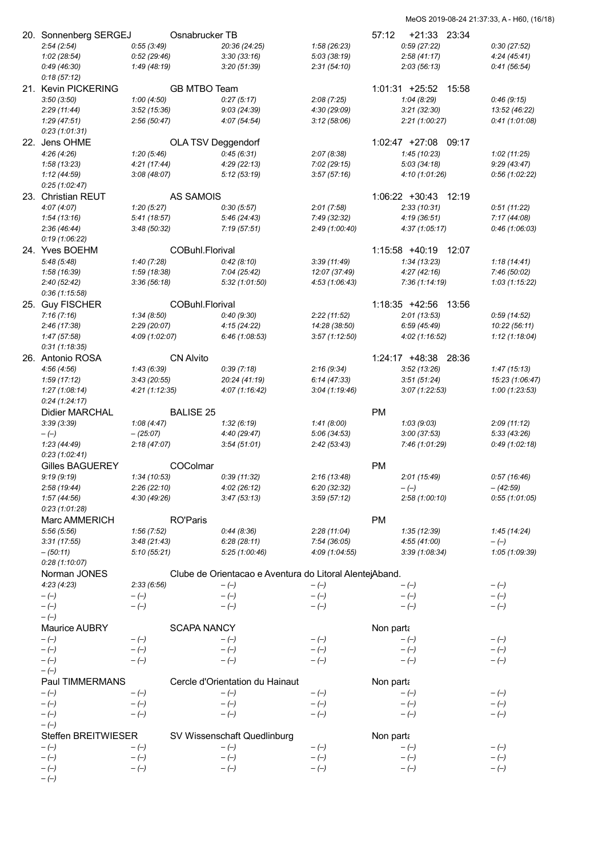| 20. Sonnenberg SERGEJ<br>2:54(2:54) | 0:55(3:49)     | Osnabrucker TB     | 20:36 (24:25)                                           | 1:58(26:23)    | $+21:33$ 23:34<br>57:12<br>0:59(27:22) | 0:30(27:52)                |
|-------------------------------------|----------------|--------------------|---------------------------------------------------------|----------------|----------------------------------------|----------------------------|
| 1:02(28:54)                         | 0:52(29:46)    |                    | 3:30(33:16)                                             | 5:03(38:19)    | 2:58(41:17)                            | 4:24(45:41)                |
| 0:49(46:30)                         | 1:49 (48:19)   |                    | 3:20(51:39)                                             | 2:31(54:10)    | 2:03(56:13)                            | 0:41(56:54)                |
| 0:18(57:12)                         |                |                    |                                                         |                |                                        |                            |
| 21. Kevin PICKERING                 |                | GB MTBO Team       |                                                         |                | 1:01:31 +25:52 15:58                   |                            |
| 3:50(3:50)                          | 1:00(4:50)     |                    | 0:27(5:17)                                              | 2:08(7:25)     | 1:04(8:29)                             | 0:46(9:15)                 |
| 2:29(11:44)                         | 3:52(15:36)    |                    | 9:03(24:39)                                             | 4:30 (29:09)   | 3:21(32:30)                            | 13:52 (46:22)              |
| 1:29(47:51)                         | 2:56(50:47)    |                    | 4:07 (54:54)                                            | 3:12(58:06)    | 2:21(1:00:27)                          | 0:41(1:01:08)              |
| 0:23(1:01:31)                       |                |                    |                                                         |                |                                        |                            |
| 22.  Jens OHME                      |                | OLA TSV Deggendorf |                                                         |                | 1:02:47 +27:08 09:17                   |                            |
| 4:26 (4:26)                         | 1:20(5:46)     |                    | 0:45(6:31)                                              | 2:07(8:38)     | 1:45(10:23)                            | 1:02(11:25)                |
| 1:58(13:23)                         | 4:21(17:44)    |                    | 4:29(22:13)                                             | 7:02(29:15)    | 5:03(34:18)                            | 9:29(43:47)                |
| 1:12(44:59)                         | 3:08(48:07)    |                    | 5:12(53:19)                                             | 3:57(57:16)    | 4:10(1:01:26)                          | 0:56(1:02:22)              |
| 0:25(1:02:47)                       |                |                    |                                                         |                |                                        |                            |
| 23. Christian REUT                  |                | <b>AS SAMOIS</b>   |                                                         |                | 1:06:22 +30:43 12:19                   |                            |
| 4:07(4:07)                          | 1:20(5:27)     |                    | 0:30(5:57)                                              | 2:01(7:58)     | 2:33(10:31)                            | 0:51(11:22)                |
| 1:54(13:16)                         | 5:41(18:57)    |                    | 5:46(24:43)                                             | 7:49 (32:32)   | 4:19(36:51)                            | 7:17 (44:08)               |
| 2:36(46:44)                         | 3:48 (50:32)   |                    | 7:19(57:51)                                             | 2:49 (1:00:40) | 4:37 (1:05:17)                         | 0:46(1:06:03)              |
| 0:19(1:06:22)                       |                |                    |                                                         |                |                                        |                            |
| 24. Yves BOEHM                      |                | COBuhl.Florival    |                                                         |                | 1:15:58 +40:19 12:07                   |                            |
| 5:48(5:48)                          | 1:40(7:28)     |                    | 0:42(8:10)                                              | 3:39(11:49)    | 1:34(13:23)                            | 1:18(14:41)                |
| 1:58 (16:39)                        | 1:59 (18:38)   |                    | 7:04(25:42)                                             | 12:07 (37:49)  | 4:27(42:16)                            | 7:46 (50:02)               |
| 2:40(52:42)                         | 3:36(56:18)    |                    | 5:32(1:01:50)                                           | 4:53(1:06:43)  | 7:36(1:14:19)                          | 1:03(1:15:22)              |
| 0:36(1:15:58)                       |                |                    |                                                         |                |                                        |                            |
| 25. Guy FISCHER                     |                | COBuhl.Florival    |                                                         |                | 1:18:35 +42:56 13:56                   |                            |
| 7:16(7:16)                          | 1:34(8:50)     |                    | 0:40(9:30)                                              | 2:22(11:52)    | 2:01(13:53)                            | 0:59(14:52)                |
| 2:46(17:38)                         | 2:29(20:07)    |                    | 4:15(24:22)                                             | 14:28 (38:50)  | 6:59(45:49)                            | 10:22 (56:11)              |
| 1:47(57:58)                         | 4:09 (1:02:07) |                    | 6:46(1:08:53)                                           | 3:57(1:12:50)  | 4:02 (1:16:52)                         | 1:12(1:18:04)              |
| 0:31(1:18:35)                       |                |                    |                                                         |                |                                        |                            |
| 26.   Antonio ROSA                  |                | <b>CN Alvito</b>   |                                                         |                | 1:24:17 +48:38 28:36                   |                            |
| 4:56(4:56)                          | 1:43(6:39)     |                    | 0:39(7:18)                                              | 2:16(9:34)     | 3:52(13:26)                            | 1:47(15:13)                |
| 1:59(17:12)                         | 3:43(20:55)    |                    | 20:24 (41:19)                                           | 6:14(47:33)    | 3:51(51:24)                            | 15:23 (1:06:47)            |
| 1:27(1:08:14)                       | 4:21(1:12:35)  |                    | 4:07(1:16:42)                                           | 3:04(1:19:46)  | 3:07(1:22:53)                          | 1:00(1:23:53)              |
| 0:24(1:24:17)                       |                |                    |                                                         |                |                                        |                            |
| Didier MARCHAL                      |                | <b>BALISE 25</b>   |                                                         |                | <b>PM</b>                              |                            |
|                                     |                |                    |                                                         |                |                                        |                            |
| 3:39(3:39)                          | 1:08(4:47)     |                    | 1:32(6:19)                                              | 1:41(8:00)     | 1:03(9:03)                             |                            |
| $-(-)$                              | $-(25:07)$     |                    | 4:40 (29:47)                                            | 5:06(34:53)    | 3:00(37:53)                            | 2:09(11:12)<br>5:33(43:26) |
| 1:23(44:49)                         | 2:18(47:07)    |                    | 3:54(51:01)                                             | 2:42(53:43)    | 7:46 (1:01:29)                         | 0:49(1:02:18)              |
| 0:23(1:02:41)                       |                |                    |                                                         |                |                                        |                            |
| <b>Gilles BAGUEREY</b>              |                | COColmar           |                                                         |                | <b>PM</b>                              |                            |
| 9:19(9:19)                          | 1:34 (10:53)   |                    | 0:39(11:32)                                             | 2:16(13:48)    | 2:01(15:49)                            | 0:57(16:46)                |
| 2:58(19:44)                         | 2:26(22:10)    |                    | 4:02(26:12)                                             | 6:20 (32:32)   | $-(-)$                                 | $-(42:59)$                 |
| 1:57(44:56)                         | 4:30 (49:26)   |                    | 3:47(53:13)                                             | 3:59(57:12)    | 2:58(1:00:10)                          | 0:55(1:01:05)              |
| 0:23(1:01:28)                       |                |                    |                                                         |                |                                        |                            |
| Marc AMMERICH                       |                | <b>RO'Paris</b>    |                                                         |                | <b>PM</b>                              |                            |
| 5:56(5:56)                          | 1:56(7:52)     |                    | 0:44(8:36)                                              | 2:28(11:04)    | 1:35(12:39)                            | 1:45(14:24)                |
| 3:31(17:55)                         | 3:48(21:43)    |                    | 6:28(28:11)                                             | 7:54 (36:05)   | 4:55(41:00)                            | $-(-)$                     |
| $- (50:11)$                         | 5:10(55:21)    |                    | 5:25(1:00:46)                                           | 4:09 (1:04:55) | 3:39(1:08:34)                          | 1:05 (1:09:39)             |
| 0:28(1:10:07)                       |                |                    |                                                         |                |                                        |                            |
| Norman JONES                        |                |                    | Clube de Orientacao e Aventura do Litoral AlentejAband. |                |                                        |                            |
| 4:23(4:23)                          | 2:33(6:56)     |                    | $-(-)$                                                  | $-(-)$         | $-(-)$                                 | $-(-)$                     |
| $-(-)$                              | $-(-)$         |                    | $-(-)$                                                  | $-(-)$         | $-(-)$                                 | $-(-)$                     |
| $-(-)$                              | $-(-)$         |                    | $-(-)$                                                  | $-(-)$         | $-(-)$                                 | $-(-)$                     |
| $-(-)$                              |                |                    |                                                         |                |                                        |                            |
| Maurice AUBRY                       |                | <b>SCAPA NANCY</b> |                                                         |                | Non parta                              |                            |
| $-(-)$                              | $-(-)$         |                    | $-(-)$                                                  | $-(-)$         | $-(-)$                                 | $-(-)$                     |
| $-(-)$                              | $-(-)$         |                    | $-(-)$                                                  | $-(-)$         | $-(-)$                                 | $-(-)$                     |
| $-(-)$                              | $-(-)$         |                    | $-(-)$                                                  | $-(-)$         | $-(-)$                                 | $-(-)$                     |
| $-(-)$                              |                |                    |                                                         |                |                                        |                            |
| Paul TIMMERMANS                     |                |                    | Cercle d'Orientation du Hainaut                         |                | Non parta                              |                            |
| $-(-)$                              | $-(-)$         |                    | $-(-)$                                                  | $-(-)$         | $-(-)$                                 | $-(-)$                     |
| $-(-)$                              | $-(-)$         |                    | $-(-)$                                                  | $-(-)$         | $-(-)$                                 | $-(-)$                     |
| $-(-)$                              | $-(-)$         |                    | $-(-)$                                                  | $-(-)$         | $-(-)$                                 | $-(-)$                     |
| $-(-)$                              |                |                    |                                                         |                |                                        |                            |
| Steffen BREITWIESER                 |                |                    | SV Wissenschaft Quedlinburg                             |                | Non parta                              |                            |
| $-(-)$                              | $-(-)$         |                    | $-(-)$                                                  | $-(-)$         | $-(-)$                                 | $-(-)$                     |
| $-(-)$                              | $-(-)$         |                    | $-(-)$                                                  | $-(-)$         | $-(-)$                                 | $-(-)$                     |
| $-(-)$<br>$-(-)$                    | $-(-)$         |                    | $-(-)$                                                  | $-(-)$         | $-(-)$                                 | $-(-)$                     |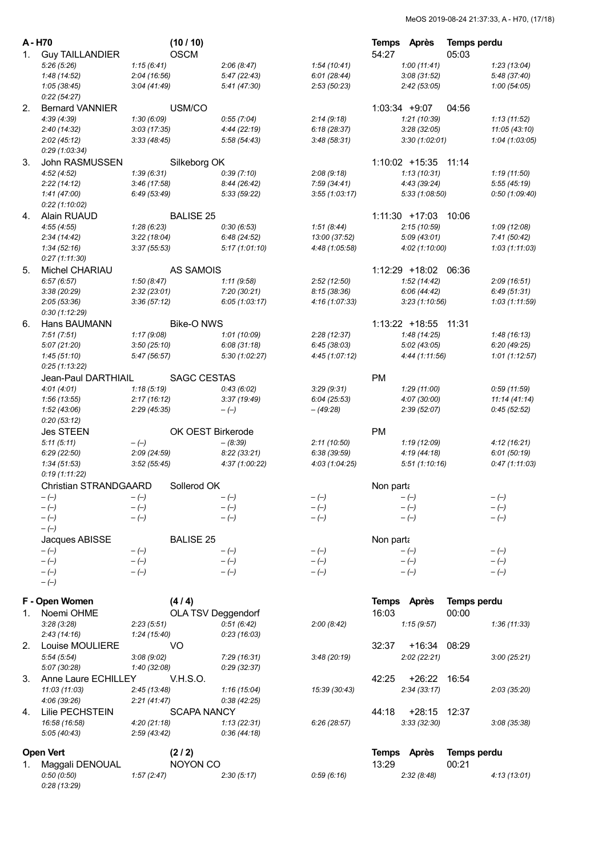| A - H70 |                            | (10/10)            |                |                | Temps Après     |                      | <b>Temps perdu</b> |                |
|---------|----------------------------|--------------------|----------------|----------------|-----------------|----------------------|--------------------|----------------|
| 1.      | <b>Guy TAILLANDIER</b>     | <b>OSCM</b>        |                |                | 54:27           |                      | 05:03              |                |
|         | 5:26(5:26)                 | 1:15(6:41)         | 2:06(8:47)     | 1:54(10:41)    |                 | 1:00(11:41)          |                    | 1:23(13:04)    |
|         | 1:48(14:52)                | 2:04(16:56)        | 5:47(22:43)    | 6:01(28:44)    |                 | 3:08(31:52)          |                    | 5:48(37:40)    |
|         | 1:05(38:45)                | 3:04(41:49)        | 5:41(47:30)    | 2:53(50:23)    |                 | 2:42(53:05)          |                    | 1:00(54:05)    |
|         | 0:22(54:27)                |                    |                |                |                 |                      |                    |                |
| 2.      | <b>Bernard VANNIER</b>     | USM/CO             |                |                | $1:03:34 +9:07$ |                      | 04:56              |                |
|         | 4:39(4:39)                 | 1:30(6:09)         | 0:55(7:04)     | 2:14(9:18)     |                 | 1:21(10:39)          |                    | 1:13(11:52)    |
|         | 2:40(14:32)                | 3:03(17:35)        | 4:44 (22:19)   | 6:18(28:37)    |                 | 3:28(32:05)          |                    | 11:05 (43:10)  |
|         | 2:02(45:12)                | 3:33(48:45)        | 5:58(54:43)    | 3:48(58:31)    |                 | 3:30(1:02:01)        |                    | 1:04 (1:03:05) |
|         | 0:29(1:03:34)              |                    |                |                |                 |                      |                    |                |
| 3.      | John RASMUSSEN             | Silkeborg OK       |                |                |                 | 1:10:02 +15:35 11:14 |                    |                |
|         | 4:52(4:52)                 | 1:39(6:31)         | 0:39(7:10)     | 2:08(9:18)     |                 | 1:13(10:31)          |                    | 1:19(11:50)    |
|         | 2:22(14:12)                | 3:46(17:58)        | 8:44(26:42)    | 7:59(34:41)    |                 | 4:43 (39:24)         |                    | 5:55(45:19)    |
|         | 1:41(47:00)                | 6:49(53:49)        | 5:33 (59:22)   | 3:55(1:03:17)  |                 | 5:33 (1:08:50)       |                    | 0:50(1:09:40)  |
|         | 0:22(1:10:02)              |                    |                |                |                 |                      |                    |                |
| 4.      | Alain RUAUD                | <b>BALISE 25</b>   |                |                |                 | $1:11:30$ +17:03     | 10:06              |                |
|         | 4:55(4:55)                 | 1:28(6:23)         | 0:30(6:53)     | 1:51(8:44)     |                 | 2:15(10:59)          |                    | 1:09(12:08)    |
|         | 2:34(14:42)                | 3:22(18:04)        | 6:48(24:52)    | 13:00 (37:52)  |                 | 5:09(43:01)          |                    | 7:41(50:42)    |
|         | 1:34(52:16)                | 3:37(55:53)        | 5:17(1:01:10)  | 4:48 (1:05:58) |                 | 4:02 (1:10:00)       |                    | 1:03(1:11:03)  |
|         | 0:27(1:11:30)              |                    |                |                |                 |                      |                    |                |
| 5.      | Michel CHARIAU             | <b>AS SAMOIS</b>   |                |                |                 | 1:12:29 +18:02 06:36 |                    |                |
|         | 6:57(6:57)                 | 1:50(8:47)         | 1:11(9:58)     | 2:52(12:50)    |                 | 1:52(14:42)          |                    | 2:09(16:51)    |
|         | 3:38(20:29)                | 2:32(23:01)        | 7:20(30:21)    | 8:15(38:36)    |                 | 6:06(44:42)          |                    | 6:49(51:31)    |
|         | 2:05(53:36)                | 3:36(57:12)        | 6:05(1:03:17)  | 4:16(1:07:33)  |                 | 3:23(1:10:56)        |                    | 1:03 (1:11:59) |
|         | 0:30(1:12:29)              |                    |                |                |                 |                      |                    |                |
| 6.      | Hans BAUMANN               | <b>Bike-O NWS</b>  |                |                |                 | $1:13:22 + 18:55$    | 11:31              |                |
|         | 7:51(7:51)                 | 1:17(9:08)         | 1:01(10:09)    | 2:28(12:37)    |                 | 1:48(14:25)          |                    | 1:48(16:13)    |
|         | 5:07(21:20)                | 3:50(25:10)        | 6:08(31:18)    | 6:45(38:03)    |                 | 5:02(43:05)          |                    | 6:20(49:25)    |
|         | 1:45(51:10)                | 5:47 (56:57)       | 5:30 (1:02:27) | 4:45(1:07:12)  |                 | 4:44 (1:11:56)       |                    | 1:01(1:12:57)  |
|         | 0:25(1:13:22)              |                    |                |                |                 |                      |                    |                |
|         | Jean-Paul DARTHIAIL        | <b>SAGC CESTAS</b> |                |                | <b>PM</b>       |                      |                    |                |
|         | 4:01(4:01)                 | 1:18(5:19)         | 0:43(6:02)     | 3:29(9:31)     |                 | 1:29(11:00)          |                    | 0:59(11:59)    |
|         | 1:56(13:55)                | 2:17(16:12)        | 3:37(19:49)    | 6:04(25:53)    |                 | 4:07 (30:00)         |                    | 11:14(41:14)   |
|         | 1:52 (43:06)               | 2:29 (45:35)       | $-(-)$         | - (49:28)      |                 | 2:39(52:07)          |                    | 0:45(52:52)    |
|         | 0:20(53:12)                |                    |                |                |                 |                      |                    |                |
|         | <b>Jes STEEN</b>           | OK OEST Birkerode  |                |                | <b>PM</b>       |                      |                    |                |
|         | 5:11(5:11)                 | $-(-)$             | $- (8:39)$     | 2:11(10:50)    |                 | 1:19(12:09)          |                    | 4:12(16:21)    |
|         | 6:29(22:50)                | 2:09 (24:59)       | 8:22(33:21)    | 6:38(39:59)    |                 | 4:19(44:18)          |                    | 6:01(50:19)    |
|         | 1:34(51:53)                | 3:52(55:45)        | 4:37 (1:00:22) | 4:03(1:04:25)  |                 | 5:51(1:10:16)        |                    | 0:47(1:11:03)  |
|         | 0:19(1:11:22)              |                    |                |                |                 |                      |                    |                |
|         | Christian STRANDGAARD      | Sollerod OK        |                |                | Non parta       |                      |                    |                |
|         | $-(-)$                     | $-(-)$             | $-(-)$         | $-(-)$         |                 | $-(-)$               |                    | $-(-)$         |
|         | $-(-)$                     | $-(-)$             | $-(-)$         | $-(-)$         |                 | $-(-)$               |                    | $-(-)$         |
|         | $-(-)$                     | $-(-)$             | $-(-)$         | $-(-)$         |                 | $-(-)$               |                    | $-(-)$         |
|         | $-(-)$                     |                    |                |                |                 |                      |                    |                |
|         | Jacques ABISSE             | <b>BALISE 25</b>   |                |                | Non parta       |                      |                    |                |
|         | $-(-)$                     | $-(-)$             | $-(-)$         | $-(-)$         |                 | $-(-)$               |                    | $-(-)$         |
|         | $-(-)$                     | $-(-)$             | $-(-)$         | $-(-)$         |                 | $-(-)$               |                    | $-(-)$         |
|         | $-(-)$                     | $-(-)$             | $-(-)$         | $-(-)$         |                 | $-(-)$               |                    | $-(-)$         |
|         | $-(-)$                     |                    |                |                |                 |                      |                    |                |
|         | F - Open Women             | (4/4)              |                |                |                 | Temps Après          | Temps perdu        |                |
| 1.      | Noemi OHME                 | OLA TSV Deggendorf |                |                | 16:03           |                      | 00:00              |                |
|         | 3:28(3:28)                 | 2:23(5:51)         | 0:51(6:42)     | 2:00(8:42)     |                 | 1:15(9:57)           |                    | 1:36(11:33)    |
|         | 2:43(14:16)                | 1:24(15:40)        | 0:23(16:03)    |                |                 |                      |                    |                |
|         |                            | VO                 |                |                | 32:37           |                      |                    |                |
|         | 2. Louise MOULIERE         |                    |                |                |                 | +16:34 08:29         |                    |                |
|         | 5:54(5:54)<br>5:07 (30:28) | 3:08(9:02)         | 7:29(16:31)    | 3:48(20:19)    |                 | 2:02(22:21)          |                    | 3:00(25:21)    |
|         |                            | 1:40 (32:08)       | 0:29(32:37)    |                |                 |                      |                    |                |
| 3.      | Anne Laure ECHILLEY        | <b>V.H.S.O.</b>    |                |                | 42:25           | +26:22 16:54         |                    |                |
|         | 11:03 (11:03)              | 2:45(13:48)        | 1:16(15:04)    | 15:39 (30:43)  |                 | 2:34(33:17)          |                    | 2:03(35:20)    |
|         | 4:06(39:26)                | 2:21(41:47)        | 0:38(42:25)    |                |                 |                      |                    |                |
| 4.      | Lilie PECHSTEIN            | <b>SCAPA NANCY</b> |                |                | 44:18           | +28:15 12:37         |                    |                |
|         | 16:58 (16:58)              | 4:20(21:18)        | 1:13(22:31)    | 6:26(28:57)    |                 | 3:33(32:30)          |                    | 3:08(35:38)    |
|         | 5:05(40:43)                | 2:59(43:42)        | 0:36(44:18)    |                |                 |                      |                    |                |
|         | <b>Open Vert</b>           | (2/2)              |                |                |                 | Temps Après          | Temps perdu        |                |
| 1.      | Maggali DENOUAL            | NOYON CO           |                |                | 13:29           |                      | 00:21              |                |
|         | 0:50(0:50)                 | 1:57(2:47)         | 2:30(5:17)     | 0.59(6.16)     |                 | 2:32(8:48)           |                    | 4:13(13:01)    |
|         | 0:28(13:29)                |                    |                |                |                 |                      |                    |                |
|         |                            |                    |                |                |                 |                      |                    |                |